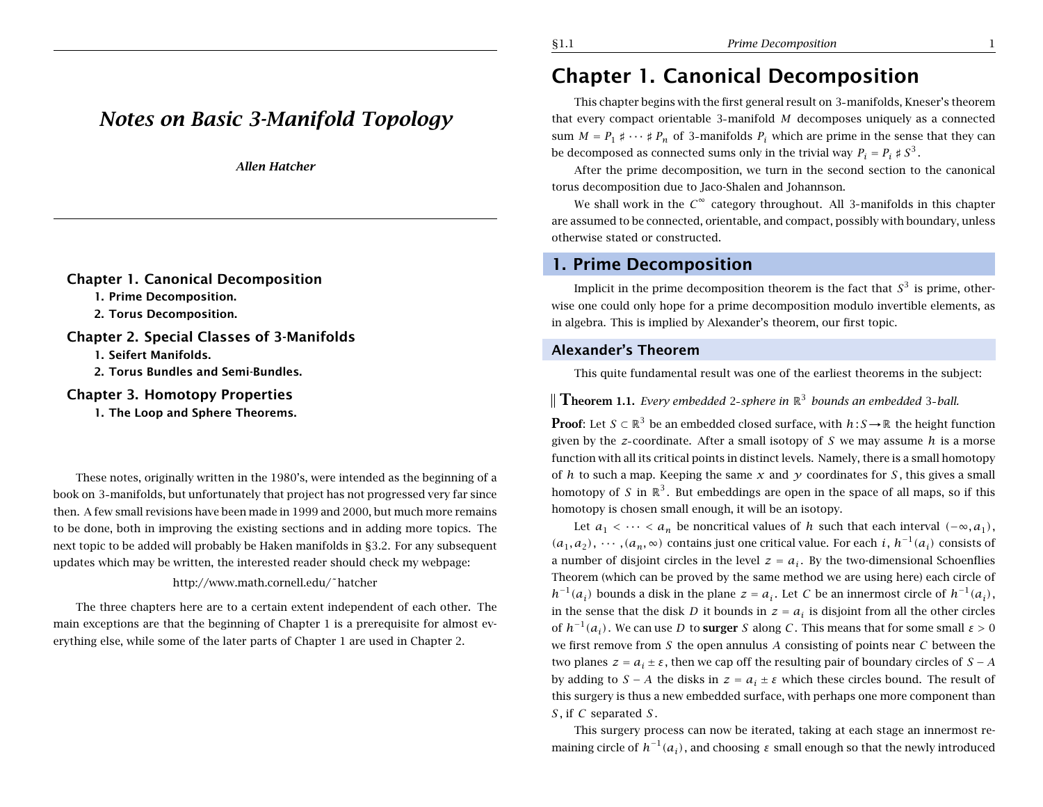# *Notes on Basic 3-Manifold Topology*

*Allen Hatcher*

### **Chapter 1. Canonical Decomposition**

**1. Prime Decomposition.**

**2. Torus Decomposition.**

### **Chapter 2. Special Classes of 3-Manifolds**

**1. Seifert Manifolds.**

**2. Torus Bundles and Semi-Bundles.**

### **Chapter 3. Homotopy Properties**

**1. The Loop and Sphere Theorems.**

These notes, originally written in the 1980's, were intended as the beginning of <sup>a</sup> book on 3 manifolds, but unfortunately that project has not progressed very far since then. A few small revisions have been made in 1999 and 2000, but much more remains to be done, both in improving the existing sections and in adding more topics. The next topic to be added will probably be Haken manifolds in §3.2. For any subsequent updates which may be written, the interested reader should check my webpage:

### http://www.math.cornell.edu/˜hatcher

The three chapters here are to <sup>a</sup> certain extent independent of each other. The main exceptions are that the beginning of Chapter 1 is <sup>a</sup> prerequisite for almost everything else, while some of the later parts of Chapter 1 are used in Chapter 2.

### §1.1 *Prime Decomposition* 1

# **Chapter 1. Canonical Decomposition**

This chapter begins with the first general result on 3 manifolds, Kneser's theorem that every compact orientable 3 manifold *M* decomposes uniquely as <sup>a</sup> connected sum  $M = P_1 \sharp \cdots \sharp P_n$  of 3-manifolds  $P_i$  which are prime in the sense that they can be decomposed as connected sums only in the trivial way  $P_i = P_i \nless S^3$ .

After the prime decomposition, we turn in the second section to the canonical torus decomposition due to Jaco-Shalen and Johannson.

We shall work in the  $C^{\infty}$  category throughout. All 3-manifolds in this chapter are assumed to be connected, orientable, and compact, possibly with boundary, unless otherwise stated or constructed.

### **1. Prime Decomposition**

Implicit in the prime decomposition theorem is the fact that  $S<sup>3</sup>$  is prime, otherwise one could only hope for <sup>a</sup> prime decomposition modulo invertible elements, as in algebra. This is implied by Alexander's theorem, our first topic.

### **Alexander's Theorem**

This quite fundamental result was one of the earliest theorems in the subject:

**Theorem 1.1.** *Every embedded* 2-sphere in  $\mathbb{R}^3$  *bounds an embedded* 3-ball.

**Proof**: Let  $S \subset \mathbb{R}^3$  be an embedded closed surface, with  $h : S \to \mathbb{R}$  the height function given by the *<sup>z</sup>* coordinate. After <sup>a</sup> small isotopy of *S* we may assume *h* is <sup>a</sup> morse function with all its critical points in distinct levels. Namely, there is <sup>a</sup> small homotopy of *h* to such a map. Keeping the same  $x$  and  $y$  coordinates for  $S$ , this gives a small homotopy of *S* in  $\mathbb{R}^3$ . But embeddings are open in the space of all maps, so if this homotopy is chosen small enough, it will be an isotopy.

Let  $a_1 < \cdots < a_n$  be noncritical values of *h* such that each interval  $(-\infty, a_1)$ ,  $(a_1, a_2), \cdots, (a_n, \infty)$  contains just one critical value. For each *i*,  $h^{-1}(a_i)$  consists of a number of disjoint circles in the level  $z = a_i$ . By the two-dimensional Schoenflies Theorem (which can be proved by the same method we are using here) each circle of *h*<sup>−1</sup>(*a<sub>i</sub>*) bounds a disk in the plane *z* = *a<sub>i</sub>*. Let *C* be an innermost circle of  $h^{-1}(a_i)$ , in the sense that the disk *D* it bounds in  $z = a_i$  is disjoint from all the other circles of  $h^{-1}(a_i)$ . We can use *D* to **surger** *S* along *C*. This means that for some small  $\varepsilon > 0$ we first remove from *S* the open annulus *A* consisting of points near *C* between the two planes  $z = a_i \pm \varepsilon$ , then we cap off the resulting pair of boundary circles of  $S - A$ by adding to  $S - A$  the disks in  $z = a_i \pm \varepsilon$  which these circles bound. The result of this surgery is thus <sup>a</sup> new embedded surface, with perhaps one more component than *S* , if *C* separated *S* .

This surgery process can now be iterated, taking at each stage an innermost remaining circle of  $h^{-1}(a_i)$ , and choosing  $\varepsilon$  small enough so that the newly introduced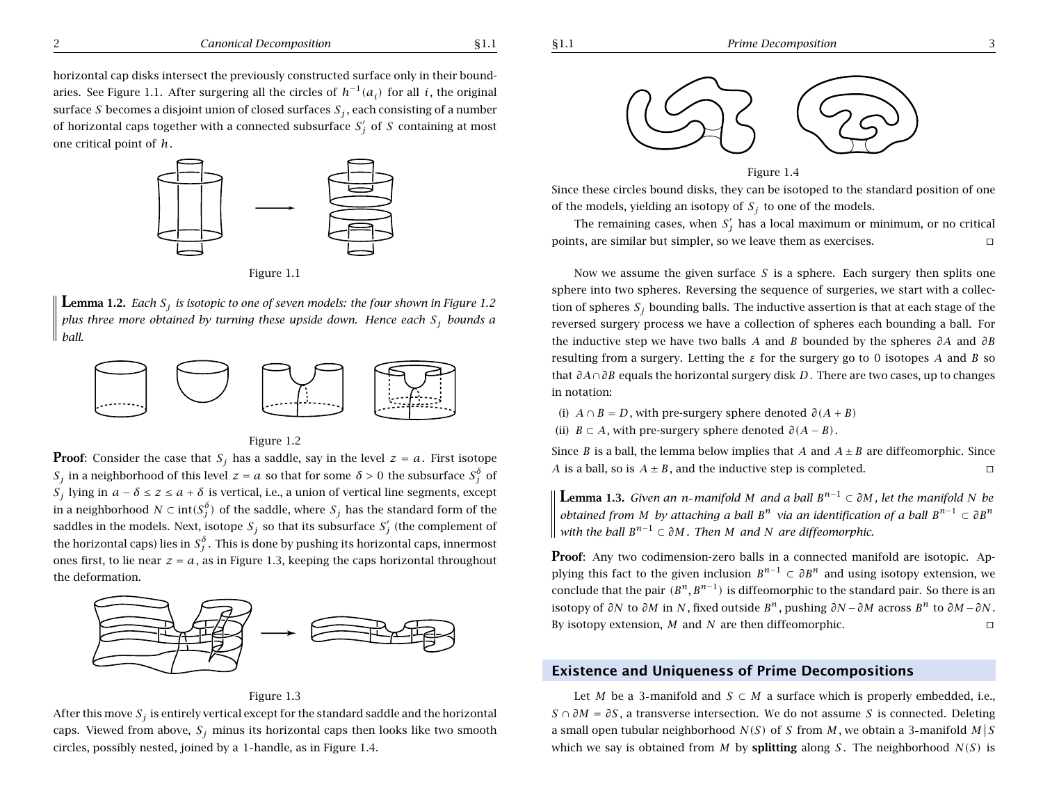

Figure 1.1

**Lemma 1.2.** Each  $S_i$  is isotopic to one of seven models: the four shown in Figure 1.2 plus three more obtained by turning these upside down. Hence each  $S_i$  bounds a *ball.*



Figure 1.2

**Proof**: Consider the case that  $S_i$  has a saddle, say in the level  $z = a$ . First isotope *S<sub>j</sub>* in a neighborhood of this level  $z = a$  so that for some  $\delta > 0$  the subsurface  $S_i^{\delta}$  of *S<sub>i</sub>* lying in *a* − *δ* ≤ *z* ≤ *a* + *δ* is vertical, i.e., a union of vertical line segments, except in a neighborhood *N* ⊂ int $(S_i^{\delta})$  of the saddle, where  $S_j$  has the standard form of the saddles in the models. Next, isotope  $S_j$  so that its subsurface  $S_j'$  (the complement of the horizontal caps) lies in  $S_i^{\delta}$ . This is done by pushing its horizontal caps, innermost ones first, to lie near  $z = a$ , as in Figure 1.3, keeping the caps horizontal throughout the deformation.



Figure 1.3

After this move  $S_i$  is entirely vertical except for the standard saddle and the horizontal caps. Viewed from above,  $S_i$  minus its horizontal caps then looks like two smooth circles, possibly nested, joined by <sup>a</sup> 1 handle, as in Figure 1.4.



#### Figure 1.4

Since these circles bound disks, they can be isotoped to the standard position of one of the models, yielding an isotopy of  $S_i$  to one of the models.

The remaining cases, when  $S_i'$  has a local maximum or minimum, or no critical points, are similar but simpler, so we leave them as exercises.  $\square$ 

Now we assume the given surface *S* is <sup>a</sup> sphere. Each surgery then splits one sphere into two spheres. Reversing the sequence of surgeries, we start with <sup>a</sup> collection of spheres  $S_j$  bounding balls. The inductive assertion is that at each stage of the reversed surgery process we have <sup>a</sup> collection of spheres each bounding <sup>a</sup> ball. For the inductive step we have two balls *A* and *B* bounded by the spheres *∂A* and *∂B* resulting from <sup>a</sup> surgery. Letting the *<sup>ε</sup>* for the surgery go to 0 isotopes *A* and *B* so that *∂A*∩*∂B* equals the horizontal surgery disk *D*. There are two cases, up to changes in notation:

- (i)  $A \cap B = D$ , with pre-surgery sphere denoted  $\partial(A + B)$
- (ii) *B* ⊂ *A*, with pre-surgery sphere denoted  $\partial(A B)$ .

Since *B* is a ball, the lemma below implies that *A* and  $A \pm B$  are diffeomorphic. Since *A* is a ball, so is  $A \pm B$ , and the inductive step is completed.

**Lemma 1.3.** Given an n-manifold M and a ball  $B^{n-1} \subset \partial M$ , let the manifold N be obtained from M by attaching a ball  $B^n$  via an identification of a ball  $B^{n-1} \subset \partial B^n$ *with the ball*  $B^{n-1} \subset \partial M$ *. Then M and N are diffeomorphic.* 

**Proof**: Any two codimension-zero balls in a connected manifold are isotopic. Applying this fact to the given inclusion  $B^{n-1} \subset \partial B^n$  and using isotopy extension, we conclude that the pair  $(B^n, B^{n-1})$  is diffeomorphic to the standard pair. So there is an isotopy of  $\partial N$  to  $\partial M$  in  $N$ , fixed outside  $B^n$ , pushing  $\partial N - \partial M$  across  $B^n$  to  $\partial M - \partial N$ . By isotopy extension,  $M$  and  $N$  are then diffeomorphic.  $\Box$ 

### **Existence and Uniqueness of Prime Decompositions**

Let *M* be a 3-manifold and *S* ⊂ *M* a surface which is properly embedded, i.e., *S* ∩  $\partial M = \partial S$ , a transverse intersection. We do not assume *S* is connected. Deleting a small open tubular neighborhood  $N(S)$  of *S* from *M*, we obtain a 3-manifold  $M \mid S$ which we say is obtained from *M* by **splitting** along *S*. The neighborhood  $N(S)$  is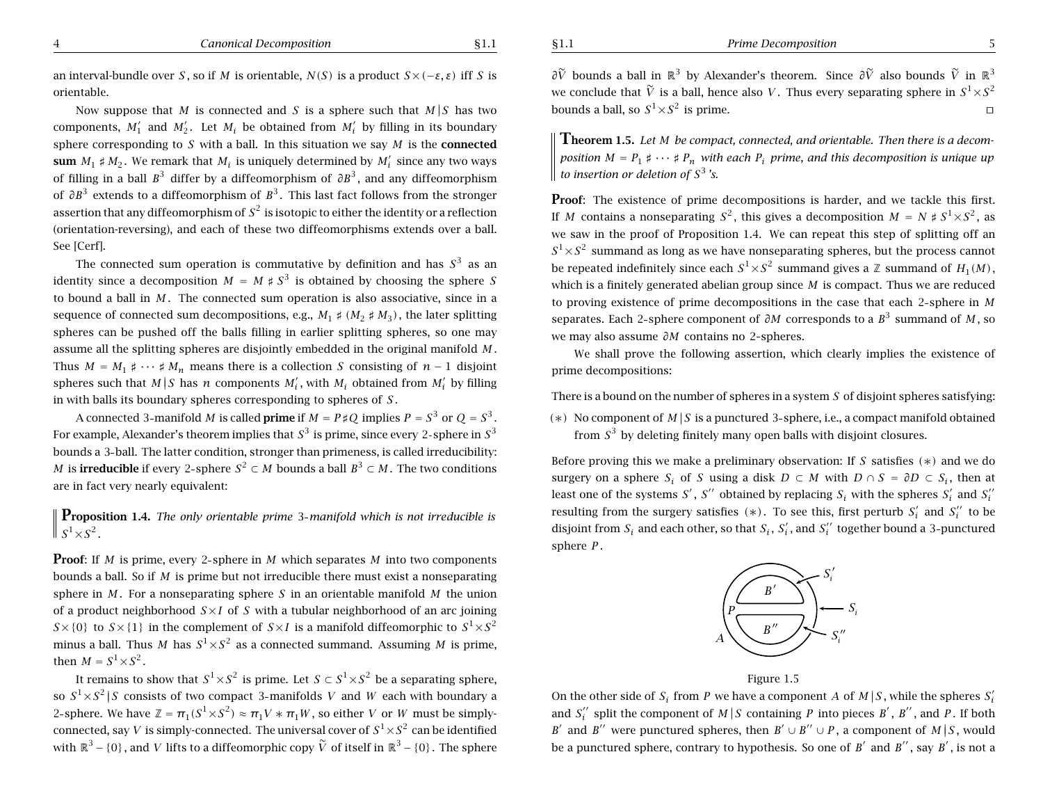an interval-bundle over *S* , so if *M* is orientable,  $N(S)$  is a product  $S\times (-\varepsilon,\varepsilon)$  iff *S* is orientable.

Now suppose that  $M$  is connected and  $S$  is a sphere such that  $M/S$  has two components,  $M'_1$  and  $M'_2$ . Let  $M_i$  be obtained from  $M'_i$  by filling in its boundary sphere corresponding to *S* with <sup>a</sup> ball. In this situation we say *M* is the **connected**  ${\bf sum}~M_1 \sharp M_2.$  We remark that  $M_i$  is uniquely determined by  $M_i'$  since any two ways of filling in a ball  $B^3$  differ by a diffeomorphism of  $\partial B^3$ , and any diffeomorphism of ∂B<sup>3</sup> extends to a diffeomorphism of B<sup>3</sup>. This last fact follows from the stronger assertion that any diffeomorphism of  $\mathcal{S}^2$  is isotopic to either the identity or a reflection (orientation-reversing), and each of these two diffeomorphisms extends over <sup>a</sup> ball. See [Cerf].

The connected sum operation is commutative by definition and has  $S^3$  as an identity since a decomposition  $M = M \nmid S^3$  is obtained by choosing the sphere S to bound a ball in *M* . The connected sum operation is also associative, since in <sup>a</sup> sequence of connected sum decompositions, e.g.,  $M_1 \nless \{M_2 \nless \neg M_3\}$ , the later splitting spheres can be pushed off the balls filling in earlier splitting spheres, so one may assume all the splitting spheres are disjointly embedded in the original manifold *M* . Thus  $M = M_1 \sharp \cdots \sharp M_n$  means there is a collection *S* consisting of  $n-1$  disjoint spheres such that  $M|S$  has  $n$  components  $M'_{i}$ , with  $M_{i}$  obtained from  $M'_{i}$  by filling in with balls its boundary spheres corresponding to spheres of *S* .

A connected 3-manifold  $M$  is called **prime** if  $M = P \nmid Q$  implies  $P = S^3$  or  $Q = S^3$ . For example, Alexander's theorem implies that  $S^3$  is prime, since every 2-sphere in  $S^3$ bounds <sup>a</sup> 3 ball. The latter condition, stronger than primeness, is called irreducibility: *M* is **irreducible** if every 2-sphere  $S^2$  ⊂ *M* bounds a ball  $B^3$  ⊂ *M* . The two conditions are in fact very nearly equivalent:

**Proposition 1.4.** The only orientable prime 3-manifold which is not irreducible is  $S^1 \times S^2$ .

**Proof**: If *M* is prime, every 2-sphere in *M* which separates *M* into two components bounds <sup>a</sup> ball. So if *M* is prime but not irreducible there must exist <sup>a</sup> nonseparating sphere in *M* . For <sup>a</sup> nonseparating sphere *S* in an orientable manifold *M* the union of <sup>a</sup> product neighborhood *S* ×*I* of *S* with <sup>a</sup> tubular neighborhood of an arc joining  $S \times \{0\}$  to  $S \times \{1\}$  in the complement of  $S \times I$  is a manifold diffeomorphic to  $S^1 \times S^2$ minus a ball. Thus  $M$  has  $S^1 {\times} S^2$  as a connected summand. Assuming  $M$  is prime, then  $M = S^1 \times S^2$ .

It remains to show that  $S^1\!\times\! S^2$  is prime. Let  $S\subset S^1\!\times\! S^2$  be a separating sphere, so  $S^1\!\times\!S^2\,|\,S$  consists of two compact 3-manifolds  $V$  and  $W$  each with boundary a 2 sphere. We have  $\mathbb{Z} = \pi_1(S^1 \times S^2) \approx \pi_1 V \ast \pi_1 W$ , so either V or W must be simplyconnected, say  $V$  is simply-connected. The universal cover of  $S^1 {\times} S^2$  can be identified with  $\mathbb{R}^3 - \{0\}$ , and *V* lifts to a diffeomorphic copy  $\widetilde{V}$  of itself in  $\mathbb{R}^3 - \{0\}$ . The sphere

∂ $\widetilde{V}$  bounds a ball in  $\mathbb{R}^3$  by Alexander's theorem. Since  $\partial \widetilde{V}$  also bounds  $\widetilde{V}$  in  $\mathbb{R}^3$ we conclude that  $\widetilde{V}$  is a ball, hence also  $V.$  Thus every separating sphere in  $S^1 {\times} S^2$ bounds a ball, so  $S^1 \times S^2$  is prime.  $\Box$ 

 $\rm T$ heorem 1.5. Let M be compact, connected, and orientable. Then there is a decomposition M =  $P_1 \sharp \cdots \sharp P_n$  with each  $P_i$  prime, and this decomposition is unique up *to insertion or deletion of S*<sup>3</sup> *'s.*

**Proof:** The existence of prime decompositions is harder, and we tackle this first. If *M* contains a nonseparating  $S^2$ , this gives a decomposition  $M = N \sharp S^1 \times S^2$ , as we saw in the proof of Proposition 1.4. We can repeat this step of splitting off an  $S^1\!\times\!S^2$  summand as long as we have nonseparating spheres, but the process cannot be repeated indefinitely since each  $S^1 {\times} S^2$  summand gives a  ${\mathbb Z}$  summand of  $H_1(M)$  , which is <sup>a</sup> finitely generated abelian group since *M* is compact. Thus we are reduced to proving existence of prime decompositions in the case that each 2 sphere in *M* separates. Each 2 sphere component of *∂M* corresponds to <sup>a</sup> *B*<sup>3</sup> summand of *M* , so we may also assume *∂M* contains no 2 spheres.

We shall prove the following assertion, which clearly implies the existence of prime decompositions:

There is <sup>a</sup> bound on the number of spheres in <sup>a</sup> system *S* of disjoint spheres satisfying:

*(*∗*)* No component of *<sup>M</sup>* ||*<sup>S</sup>* is <sup>a</sup> punctured <sup>3</sup> sphere, i.e., <sup>a</sup> compact manifold obtained from  $S^3$  by deleting finitely many open balls with disjoint closures.

Before proving this we make <sup>a</sup> preliminary observation: If *S* satisfies *(*∗*)* and we do surgery on a sphere  $S_i$  of S using a disk  $D \subset M$  with  $D \cap S = \partial D \subset S_i$ , then at least one of the systems S', S'' obtained by replacing  $S_i$  with the spheres  $S_i'$  and  $S_i''$ resulting from the surgery satisfies  $(*)$ . To see this, first perturb  $S_i'$  and  $S_i''$  to be disjoint from  $S_i$  and each other, so that  $S_i$ ,  $S_i'$ , and  $S_i''$  together bound a 3-punctured sphere *P* .





On the other side of  $S_i$  from P we have a component A of M | S , while the spheres  $S_i'$ and  $S_i^{\prime\prime}$  split the component of  $M|S$  containing P into pieces B', B'', and P. If both *B*<sup> $\prime$ </sup> and *B*<sup> $\prime$ </sup> were punctured spheres, then *B*<sup> $\prime$ </sup> ∪ *B*<sup> $\prime$ </sup> ∪ *P*, a component of *M* | *S*, would be a punctured sphere, contrary to hypothesis. So one of  $B'$  and  $B''$ , say  $B'$ , is not a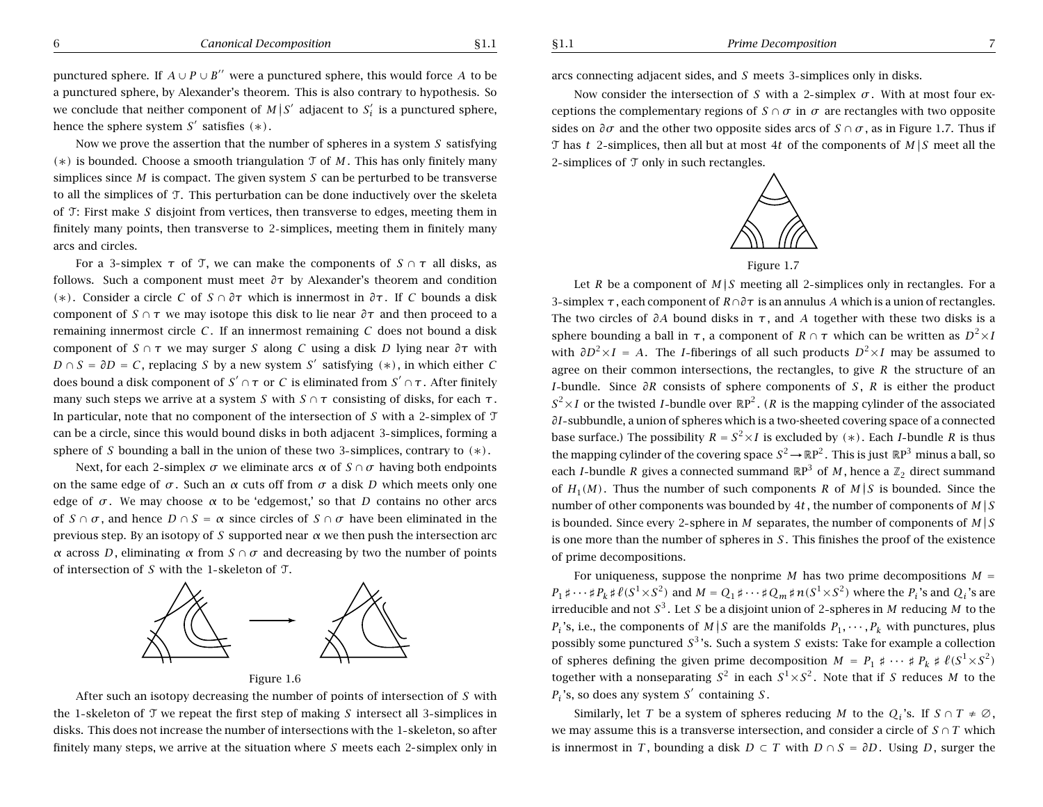punctured sphere. If  $A \cup P \cup B''$  were a punctured sphere, this would force *A* to be <sup>a</sup> punctured sphere, by Alexander's theorem. This is also contrary to hypothesis. So we conclude that neither component of  $M|S'$  adjacent to  $S'$  is a punctured sphere, hence the sphere system  $S'$  satisfies  $(*)$ .

Now we prove the assertion that the number of spheres in <sup>a</sup> system *S* satisfying *(*∗*)* is bounded. Choose <sup>a</sup> smooth triangulation T of *M* . This has only finitely many simplices since *M* is compact. The given system *S* can be perturbed to be transverse to all the simplices of T. This perturbation can be done inductively over the skeleta of T: First make *S* disjoint from vertices, then transverse to edges, meeting them in finitely many points, then transverse to 2 simplices, meeting them in finitely many arcs and circles.

For a 3-simplex  $\tau$  of  $\tau$ , we can make the components of  $S \cap \tau$  all disks, as follows. Such <sup>a</sup> component must meet *∂τ* by Alexander's theorem and condition *(*∗*)*. Consider <sup>a</sup> circle *C* of *S* <sup>∩</sup> *∂τ* which is innermost in *∂τ* . If *C* bounds <sup>a</sup> disk component of  $S \cap \tau$  we may isotope this disk to lie near  $\partial \tau$  and then proceed to a remaining innermost circle *C* . If an innermost remaining *C* does not bound <sup>a</sup> disk component of *S* <sup>∩</sup> *<sup>τ</sup>* we may surger *S* along *C* using <sup>a</sup> disk *D* lying near *∂τ* with *D* ∩ *S* =  $\partial$ *D* = *C*, replacing *S* by a new system *S'* satisfying (\*), in which either *C* does bound a disk component of  $S' \cap \tau$  or *C* is eliminated from  $S' \cap \tau$ . After finitely many such steps we arrive at a system *S* with  $S \cap \tau$  consisting of disks, for each  $\tau$ . In particular, note that no component of the intersection of  $S$  with a 2-simplex of  $T$ can be <sup>a</sup> circle, since this would bound disks in both adjacent 3 simplices, forming <sup>a</sup> sphere of *S* bounding <sup>a</sup> ball in the union of these two 3 simplices, contrary to *(*∗*)*.

Next, for each 2-simplex *σ* we eliminate arcs *α* of  $S \cap \sigma$  having both endpoints on the same edge of  $\sigma$ . Such an  $\alpha$  cuts off from  $\sigma$  a disk *D* which meets only one edge of  $\sigma$ . We may choose  $\alpha$  to be 'edgemost,' so that *D* contains no other arcs of  $S \cap \sigma$ , and hence  $D \cap S = \alpha$  since circles of  $S \cap \sigma$  have been eliminated in the previous step. By an isotopy of *S* supported near  $\alpha$  we then push the intersection arc *α* across *D*, eliminating *α* from *S*  $\cap$  *σ* and decreasing by two the number of points of intersection of *S* with the 1 skeleton of T.



Figure 1.6

After such an isotopy decreasing the number of points of intersection of *S* with the 1-skeleton of  $\mathcal T$  we repeat the first step of making *S* intersect all 3-simplices in disks. This does not increase the number of intersections with the 1-skeleton, so after finitely many steps, we arrive at the situation where *S* meets each 2 simplex only in arcs connecting adjacent sides, and *S* meets 3 simplices only in disks.

Now consider the intersection of *S* with a 2-simplex  $\sigma$ . With at most four exceptions the complementary regions of *S* ∩  $\sigma$  in  $\sigma$  are rectangles with two opposite sides on  $\partial \sigma$  and the other two opposite sides arcs of  $S \cap \sigma$ , as in Figure 1.7. Thus if T has *t* 2-simplices, then all but at most 4*t* of the components of  $M \mid S$  meet all the 2-simplices of  $\mathcal T$  only in such rectangles.



Let *R* be a component of  $M/S$  meeting all 2-simplices only in rectangles. For a 3 simplex *<sup>τ</sup>* , each component of *R*∩*∂τ* is an annulus *A* which is <sup>a</sup> union of rectangles. The two circles of *∂A* bound disks in *<sup>τ</sup>* , and *A* together with these two disks is <sup>a</sup> sphere bounding a ball in  $\tau$ , a component of  $R \cap \tau$  which can be written as  $D^2 \times I$ with  $\partial D^2 \times I = A$ . The *I*-fiberings of all such products  $D^2 \times I$  may be assumed to agree on their common intersections, the rectangles, to give *R* the structure of an *I*-bundle. Since  $\partial R$  consists of sphere components of *S*, *R* is either the product  $S^2 \times I$  or the twisted *I*-bundle over  $\mathbb{R}P^2$ . (*R* is the mapping cylinder of the associated ∂*I* - subbundle, a union of spheres which is a two-sheeted covering space of a connected base surface.) The possibility  $R = S^2 \times I$  is excluded by  $(*)$ . Each *I*-bundle *R* is thus the mapping cylinder of the covering space  $S^2 \to \mathbb{R}P^2$ . This is just  $\mathbb{R}P^3$  minus a ball, so each *I*-bundle *R* gives a connected summand  $\mathbb{R}P^3$  of *M*, hence a  $\mathbb{Z}_2$  direct summand of  $H_1(M)$ . Thus the number of such components *R* of  $M|S$  is bounded. Since the number of other components was bounded by 4t, the number of components of  $M \mid S$ is bounded. Since every 2-sphere in *M* separates, the number of components of  $M \mid S$ is one more than the number of spheres in *S* . This finishes the proof of the existence of prime decompositions.

For uniqueness, suppose the nonprime *M* has two prime decompositions  $M =$  $P_1 \sharp \cdots \sharp P_k \sharp \ell(S^1 \times S^2)$  and  $M = Q_1 \sharp \cdots \sharp Q_m \sharp n(S^1 \times S^2)$  where the  $P_i$ 's and  $Q_i$ 's are irreducible and not *<sup>S</sup>*<sup>3</sup> . Let *<sup>S</sup>* be <sup>a</sup> disjoint union of <sup>2</sup> spheres in *<sup>M</sup>* reducing *<sup>M</sup>* to the *P<sub>i</sub>* 's, i.e., the components of  $M \mid S$  are the manifolds  $P_1, \dots, P_k$  with punctures, plus possibly some punctured  $S<sup>3</sup>$ 's. Such a system *S* exists: Take for example a collection of spheres defining the given prime decomposition  $M = P_1 \sharp \cdots \sharp P_k \sharp \ell(S^1 \times S^2)$ together with a nonseparating  $S^2$  in each  $S^1 \times S^2$ . Note that if *S* reduces *M* to the  $P_i$ 's, so does any system  $S'$  containing  $S$ .

Similarly, let *T* be a system of spheres reducing *M* to the *Q<sub>i</sub>*'s. If  $S \cap T \neq \emptyset$ , we may assume this is a transverse intersection, and consider a circle of  $S \cap T$  which is innermost in *T*, bounding a disk  $D \subset T$  with  $D \cap S = \partial D$ . Using *D*, surger the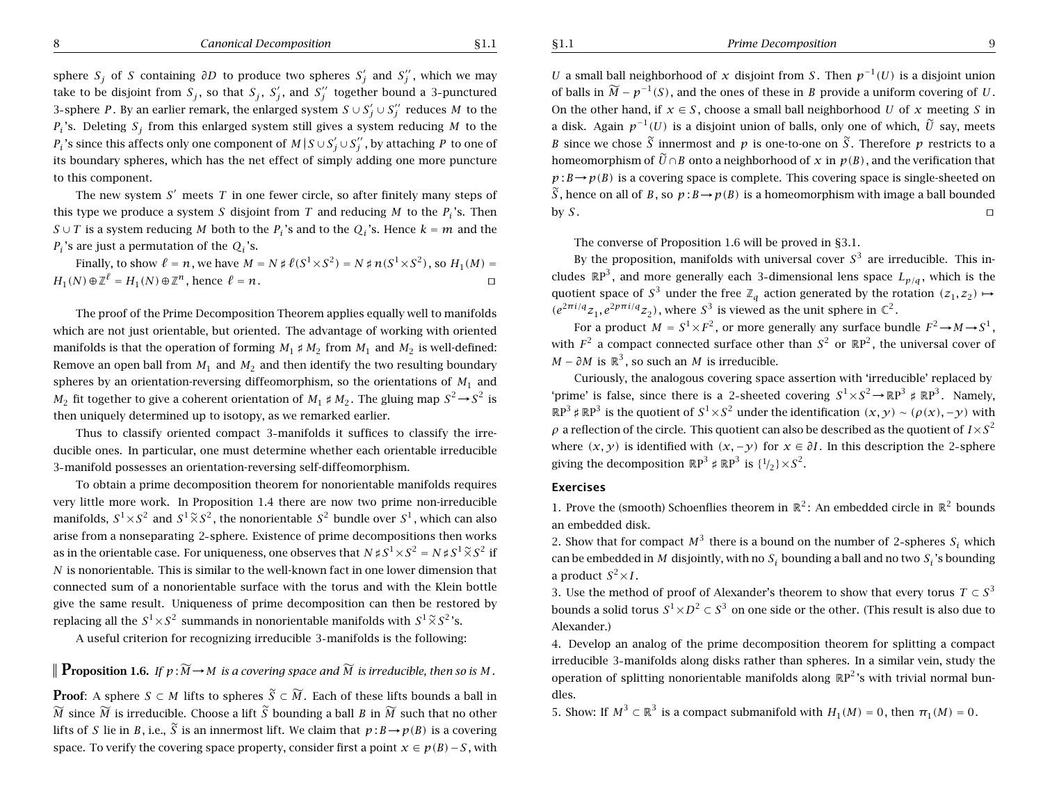sphere  $S_j$  of *S* containing  $\partial D$  to produce two spheres  $S'_j$  and  $S''_j$ , which we may take to be disjoint from  $S_j$ , so that  $S_j$ ,  $S_j'$ , and  $S_j''$  together bound a 3-punctured 3-sphere P. By an earlier remark, the enlarged system  $S \cup S'_{j} \cup S''_{j}$  reduces M to the *Pi* 's. Deleting *Sj* from this enlarged system still gives <sup>a</sup> system reducing *M* to the  $P_i$ 's since this affects only one component of  $M \,|\, S \cup S_j' \cup S_j''$  , by attaching  $P$  to one of its boundary spheres, which has the net effect of simply adding one more puncture to this component.

The new system S' meets T in one fewer circle, so after finitely many steps of this type we produce a system S disjoint from T and reducing M to the  $P_i$ 's. Then *S* ∪ *T* is a system reducing *M* both to the  $P_i$ 's and to the  $Q_i$ 's. Hence  $k = m$  and the  $P_i$ 's are just a permutation of the  $Q_i$ 's.

Finally, to show  $\ell = n$ , we have  $M = N \sharp \ell(S^1 \times S^2) = N \sharp n(S^1 \times S^2)$ , so  $H_1(M) =$  $H_1(N) \oplus \mathbb{Z}^{\ell} = H_1(N) \oplus \mathbb{Z}^n$ , hence  $\ell =$  $n$ .

The proof of the Prime Decomposition Theorem applies equally well to manifolds which are not just orientable, but oriented. The advantage of working with oriented manifolds is that the operation of forming  $M_1 \nleftrightarrow M_2$  from  $M_1$  and  $M_2$  is well-defined: Remove an open ball from  $M_1$  and  $M_2$  and then identify the two resulting boundary spheres by an orientation-reversing diffeomorphism, so the orientations of  $M_1$  and  $M_2$  fit together to give a coherent orientation of  $M_1 \sharp M_2$ . The gluing map  $S^2 {\,\rightarrow\,} S^2$  is then uniquely determined up to isotopy, as we remarked earlier.

Thus to classify oriented compact 3 manifolds it suffices to classify the irreducible ones. In particular, one must determine whether each orientable irreducible 3 manifold possesses an orientation-reversing self-diffeomorphism.

To obtain <sup>a</sup> prime decomposition theorem for nonorientable manifolds requires very little more work. In Proposition 1.4 there are now two prime non-irreducible manifolds,  $S^1 {\times} S^2$  and  $S^1 \widetilde{\times} S^2$ , the nonorientable  $S^2$  bundle over  $S^1$ , which can also arise from <sup>a</sup> nonseparating 2 sphere. Existence of prime decompositions then works as in the orientable case. For uniqueness, one observes that  $N \sharp S^1 \times S^2 = N \sharp S^1 \tilde{\times} S^2$  if *N* is nonorientable. This is similar to the well-known fact in one lower dimension that connected sum of <sup>a</sup> nonorientable surface with the torus and with the Klein bottle give the same result. Uniqueness of prime decomposition can then be restored by replacing all the  $S^1 {\times} S^2$  summands in nonorientable manifolds with  $S^1 \widetilde{\times} S^2$  's.

A useful criterion for recognizing irreducible 3 manifolds is the following:

 ${\bf P}$ roposition 1.6. If  $p$  :  $\widetilde{M}$   $\rightarrow$   $M$  is a covering space and  $\widetilde{M}$  is irreducible, then so is  $M$  .

**Proof**: A sphere  $S \subset M$  lifts to spheres  $\widetilde{S} \subset \widetilde{M}$ . Each of these lifts bounds a ball in  $\widetilde{M}$  since  $\widetilde{M}$  is irreducible. Choose a lift  $\widetilde{S}$  bounding a ball  $B$  in  $\widetilde{M}$  such that no other lifts of S lie in B, i.e.,  $\widetilde{S}$  is an innermost lift. We claim that  $p$  :  $B\!\rightarrow\!p(B)$  is a covering space. To verify the covering space property, consider first a point  $x \in p(B) - S$ , with

*U* a small ball neighborhood of x disjoint from S. Then  $p^{-1}(U)$  is a disjoint union of balls in  $\widetilde{M}$  –  $p^{-1}(S)$  , and the ones of these in  $B$  provide a uniform covering of  $U$  . On the other hand, if  $x \in S$ , choose a small ball neighborhood U of x meeting S in a disk. Again  $p^{-1}(U)$  is a disjoint union of balls, only one of which,  $\widetilde{U}$  say, meets *B* since we chose  $\widetilde{S}$  innermost and  $p$  is one-to-one on  $\widetilde{S}$ . Therefore  $p$  restricts to a homeomorphism of  $\widetilde{U}\cap B$  onto a neighborhood of  $x$  in  $p(B)$  , and the verification that  $p: B \rightarrow p(B)$  is a covering space is complete. This covering space is single-sheeted on  $\widetilde{S}$ , hence on all of B, so  $p : B \to p(B)$  is a homeomorphism with image a ball bounded  $bvS.$  $S$  . Turns are turns as  $S$  . Turns and  $S$  is turns as  $\Box$ 

The converse of Proposition 1.6 will be proved in §3.1.

By the proposition, manifolds with universal cover  $S^3$  are irreducible. This includes  $\mathbb{R} \text{P}^3$ , and more generally each 3-dimensional lens space  $L_{p/q}$ , which is the quotient space of  $S^3$  under the free  $\mathbb{Z}_q$  action generated by the rotation  $(z_1, z_2) \mapsto$  $(e^{2\pi i/q}z_1, e^{2p\pi i/q}z_2)$ , where  $S^3$  is viewed as the unit sphere in  $\mathbb{C}^2$ .

For a product  $M = S^1 {\times} F^2$ , or more generally any surface bundle  $F^2 {\,\rightarrow\,} M {\,\rightarrow\,} S^1,$ with  $F^2$  a compact connected surface other than  $S^2$  or  $\mathbb{R} \mathrm{P}^2$ , the universal cover of *M* − ∂*M* is  $\mathbb{R}^3$  , so such an *M* is irreducible.

Curiously, the analogous covering space assertion with 'irreducible' replaced by 'prime' is false, since there is a 2-sheeted covering  $S^1 \times S^2 \to \mathbb{R}P^3 \sharp \mathbb{R}P^3$ . Namely,  $\mathbb{R}P^3 \sharp \mathbb{R}P^3$  is the quotient of  $S^1 \times S^2$  under the identification  $(x, y) \sim (\rho(x), -y)$  with  $\rho$  a reflection of the circle. This quotient can also be described as the quotient of  $I\!\times\! S^2$ where  $(x, y)$  is identified with  $(x, -y)$  for  $x \in \partial I$ . In this description the 2-sphere giving the decomposition  $\mathbb{R} \mathrm{P}^3 \sharp \mathbb{R} \mathrm{P}^3$  is  $\{ \frac{1}{2} \} \times S^2.$ 

### **Exercises**

1. Prove the (smooth) Schoenflies theorem in  $\mathbb{R}^2$ : An embedded circle in  $\mathbb{R}^2$  bounds an embedded disk.

2. Show that for compact  $M^3$  there is a bound on the number of 2-spheres  $S_i$  which can be embedded in M disjointly, with no  $S_i$  bounding a ball and no two  $S_i$  's bounding a product  $S^2{\times}I$  .

3. Use the method of proof of Alexander's theorem to show that every torus  $T\subset S^3$ bounds a solid torus  $S^1 {\times} D^2 \subset S^3$  on one side or the other. (This result is also due to Alexander.)

4. Develop an analog of the prime decomposition theorem for splitting <sup>a</sup> compact irreducible 3 manifolds along disks rather than spheres. In <sup>a</sup> similar vein, study the operation of splitting nonorientable manifolds along  $\mathbb{R}P^2$ 's with trivial normal bundles.

5. Show: If  $M^3 \subset \mathbb{R}^3$  is a compact submanifold with  $H_1(M) = 0$ , then  $\pi_1(M) = 0$ .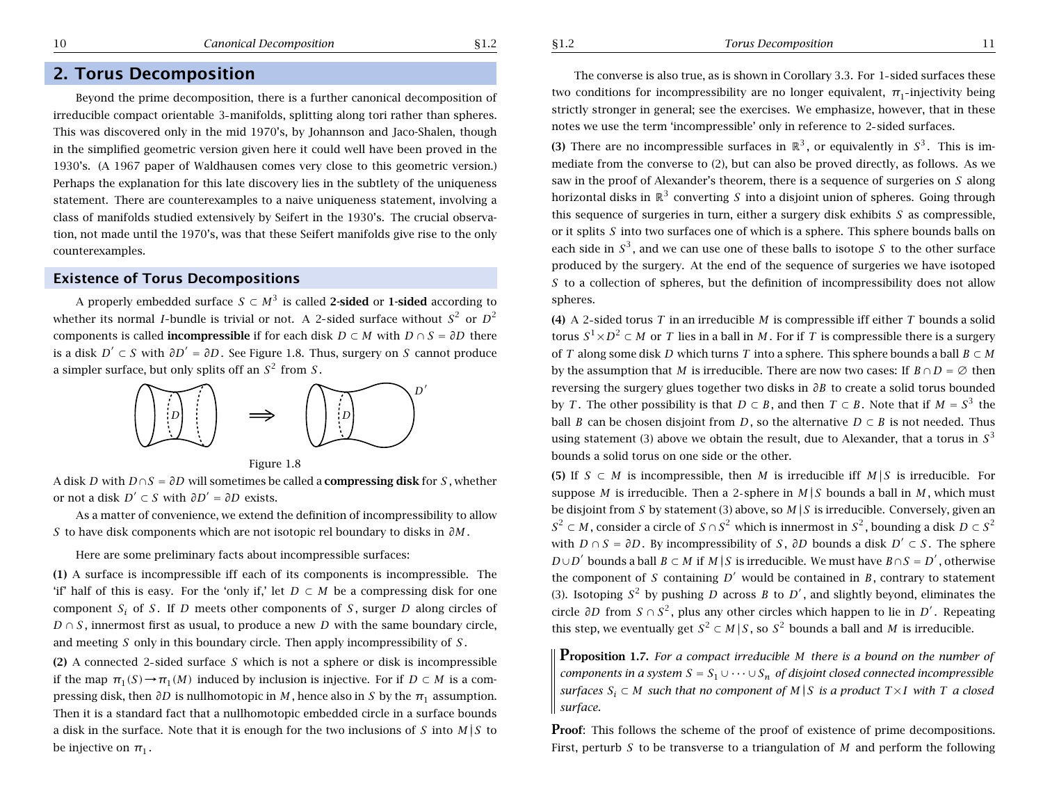# **2. Torus Decomposition**

Beyond the prime decomposition, there is <sup>a</sup> further canonical decomposition of irreducible compact orientable 3 manifolds, splitting along tori rather than spheres. This was discovered only in the mid 1970's, by Johannson and Jaco-Shalen, though in the simplified geometric version given here it could well have been proved in the 1930's. (A 1967 paper of Waldhausen comes very close to this geometric version.) Perhaps the explanation for this late discovery lies in the subtlety of the uniqueness statement. There are counterexamples to <sup>a</sup> naive uniqueness statement, involving <sup>a</sup> class of manifolds studied extensively by Seifert in the 1930's. The crucial observation, not made until the 1970's, was that these Seifert manifolds give rise to the only counterexamples.

### **Existence of Torus Decompositions**

A properly embedded surface  $S \subset M^3$  is called 2-sided or 1-sided according to whether its normal *I*-bundle is trivial or not. A 2-sided surface without  $S^2$  or  $D^2$ components is called **incompressible** if for each disk  $D \subset M$  with  $D \cap S = \partial D$  there is a disk  $D' \subset S$  with  $\partial D' = \partial D$ . See Figure 1.8. Thus, surgery on S cannot produce a simpler surface, but only splits off an  $S^2$  from  $S$ .





A disk *D* with *D* ∩ *S* = *∂D* will sometimes be called <sup>a</sup> **compressing disk** for *S* , whether *o*r not a disk  $D' \subset S$  with  $\partial D' = \partial D$  exists.

As <sup>a</sup> matter of convenience, we extend the definition of incompressibility to allow *S* to have disk components which are not isotopic rel boundary to disks in *∂M* .

Here are some preliminary facts about incompressible surfaces:

**(1)** A surface is incompressible iff each of its components is incompressible. The 'if' half of this is easy. For the 'only if,' let  $D \subset M$  be a compressing disk for one component *Si* of *S* . If *D* meets other components of *S* , surger *D* along circles of *D* ∩ *S*, innermost first as usual, to produce a new *D* with the same boundary circle, and meeting *S* only in this boundary circle. Then apply incompressibility of *S* .

**(2)** A connected 2 sided surface *S* which is not <sup>a</sup> sphere or disk is incompressible if the map  $\pi_1(S) \to \pi_1(M)$  induced by inclusion is injective. For if  $D \subset M$  is a compressing disk, then *∂D* is nullhomotopic in *M* , hence also in *S* by the *<sup>π</sup>*<sup>1</sup> assumption. Then it is <sup>a</sup> standard fact that <sup>a</sup> nullhomotopic embedded circle in <sup>a</sup> surface bounds a disk in the surface. Note that it is enough for the two inclusions of  $S$  into  $M\vert S$  to be injective on  $\pi_1.$ 

The converse is also true, as is shown in Corollary 3.3. For 1 sided surfaces these two conditions for incompressibility are no longer equivalent,  $π₁$ -injectivity being strictly stronger in general; see the exercises. We emphasize, however, that in these notes we use the term 'incompressible' only in reference to 2 sided surfaces.

**(3)** There are no incompressible surfaces in  $\mathbb{R}^3$ , or equivalently in  $S^3$ . This is immediate from the converse to (2), but can also be proved directly, as follows. As we saw in the proof of Alexander's theorem, there is <sup>a</sup> sequence of surgeries on *S* along horizontal disks in  $\mathbb{R}^3$  converting  $S$  into a disjoint union of spheres. Going through this sequence of surgeries in turn, either <sup>a</sup> surgery disk exhibits *S* as compressible, or it splits *S* into two surfaces one of which is <sup>a</sup> sphere. This sphere bounds balls on each side in  $S^3$ , and we can use one of these balls to isotope  $S$  to the other surface produced by the surgery. At the end of the sequence of surgeries we have isotoped *S* to a collection of spheres, but the definition of incompressibility does not allow spheres.

**(4)** A 2 sided torus *T* in an irreducible *M* is compressible iff either *T* bounds a solid torus  $S^1 {\times} D^2 \subset M$  or  $T$  lies in a ball in  $M.$  For if  $T$  is compressible there is a surgery of *T* along some disk *D* which turns *T* into <sup>a</sup> sphere. This sphere bounds <sup>a</sup> ball *B* ⊂ *M* by the assumption that M is irreducible. There are now two cases: If  $B \cap D = \emptyset$  then reversing the surgery glues together two disks in *∂B* to create <sup>a</sup> solid torus bounded by *T*. The other possibility is that  $D \subset B$ , and then  $T \subset B$ . Note that if  $M = S^3$  the ball *B* can be chosen disjoint from *D*, so the alternative  $D \subset B$  is not needed. Thus using statement (3) above we obtain the result, due to Alexander, that a torus in  $S^3$ bounds a solid torus on one side or the other.

**(5)** If  $S \subset M$  is incompressible, then M is irreducible iff  $M \mid S$  is irreducible. For suppose  $M$  is irreducible. Then a 2-sphere in  $M\,|\,S$  bounds a ball in  $M$  , which must be disjoint from *S* by statement (3) above, so *<sup>M</sup>* ||*<sup>S</sup>* is irreducible. Conversely, given an *S*<sup>2</sup> ⊂ *M* , consider a circle of *S* ∩ *S*<sup>2</sup> which is innermost in *S*<sup>2</sup> , bounding a disk *D* ⊂ *S*<sup>2</sup> with  $D \cap S = \partial D$ . By incompressibility of S,  $\partial D$  bounds a disk  $D' \subset S$ . The sphere *D*∪*D'* bounds a ball *B* ⊂ *M* if *M* |*S* is irreducible. We must have *B*∩*S* = *D'* , otherwise the component of S containing  $D<sup>′</sup>$  would be contained in B, contrary to statement (3). Isotoping  $S^2$  by pushing  $D$  across  $B$  to  $D'$ , and slightly beyond, eliminates the circle *∂D* from *S* ∩ *<sup>S</sup>*<sup>2</sup> , plus any other circles which happen to lie in *<sup>D</sup>*<sup>0</sup> . Repeating this step, we eventually get  $S^2 \subset M \,|\, S$ , so  $S^2$  bounds a ball and  $M$  is irreducible.

**Proposition 1.7.** For a compact irreducible M there is a bound on the number of  $\iota$  *components in a system*  $S = S_1 \cup \cdots \cup S_n$  *of disjoint closed connected incompressible* surfaces  $S_i \subset M$  such that no component of M  $|S|$  is a product  $T \times I$  with T a closed *surface.*

**Proof:** This follows the scheme of the proof of existence of prime decompositions. First, perturb *S* to be transverse to <sup>a</sup> triangulation of *M* and perform the following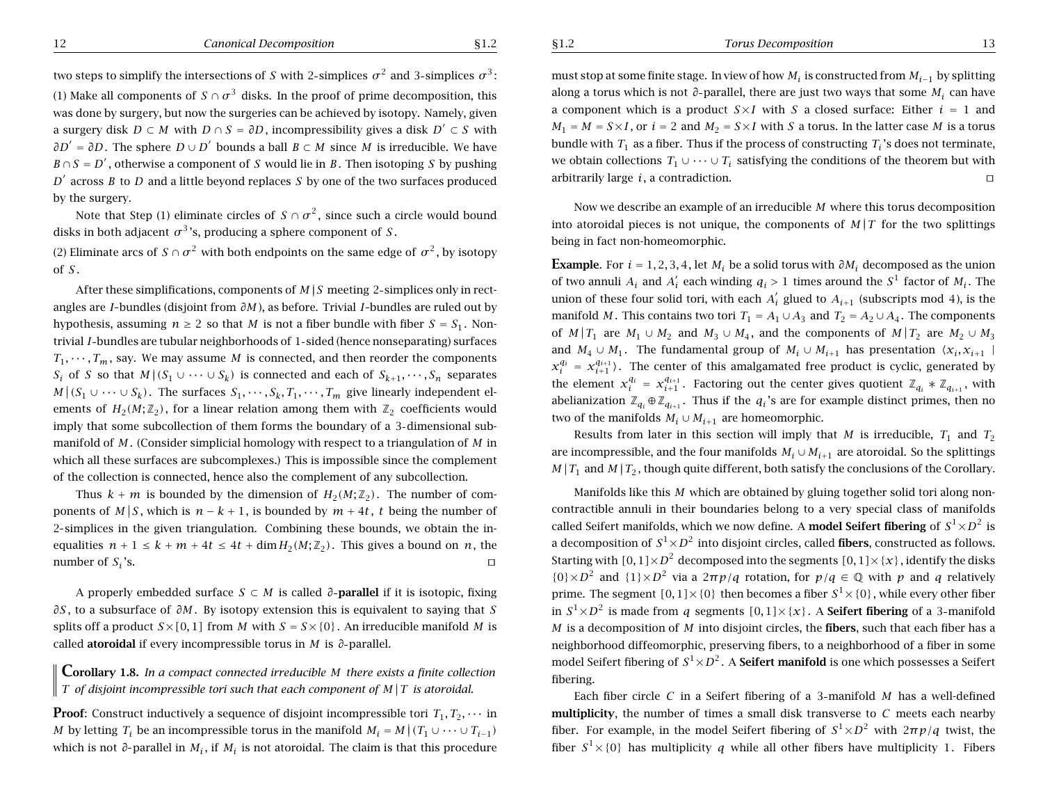two steps to simplify the intersections of  $S$  with 2-simplices  $\sigma^2$  and 3-simplices  $\sigma^3$ : (1) Make all components of  $S \cap \sigma^3$  disks. In the proof of prime decomposition, this was done by surgery, but now the surgeries can be achieved by isotopy. Namely, given a surgery disk  $D \subset M$  with  $D \cap S = \partial D$ , incompressibility gives a disk  $D' \subset S$  with *∂D'* = *∂D*. The sphere *D* ∪ *D'* bounds a ball *B* ⊂ *M* since *M* is irreducible. We have  $B \cap S = D'$ , otherwise a component of S would lie in B. Then isotoping S by pushing  $D^{\prime}$  across *B* to *D* and a little beyond replaces *S* by one of the two surfaces produced by the surgery.

Note that Step (1) eliminate circles of  $S \cap \sigma^2$ , since such a circle would bound disks in both adjacent  $\sigma^3$ 's, producing a sphere component of  $S.$ 

(2) Eliminate arcs of  $S \cap \sigma^2$  with both endpoints on the same edge of  $\sigma^2$ , by isotopy of *S* .

After these simplifications, components of  $M/S$  meeting 2-simplices only in rectangles are *I* bundles (disjoint from *∂M* ), as before. Trivial *I* bundles are ruled out by hypothesis, assuming  $n \geq 2$  so that M is not a fiber bundle with fiber  $S = S_1$ . Nontrivial *I* bundles are tubular neighborhoods of 1 sided (hence nonseparating) surfaces  $T_1, \dots, T_m$ , say. We may assume M is connected, and then reorder the components *S*<sub>*i*</sub> of *S* so that *M*  $|(S_1 ∪ ⋯ ∪ S_k)|$  is connected and each of  $S_{k+1}, ⋯$  *,S*<sub>*n*</sub> separates *M* |  $(S_1$  ∪ ··· ∪  $S_k$ ). The surfaces  $S_1$ , ···,  $S_k$ ,  $T_1$ , ···,  $T_m$  give linearly independent elements of  $H_2(M; \mathbb{Z}_2)$ , for a linear relation among them with  $\mathbb{Z}_2$  coefficients would imply that some subcollection of them forms the boundary of <sup>a</sup> 3 dimensional submanifold of *M* . (Consider simplicial homology with respect to <sup>a</sup> triangulation of *M* in which all these surfaces are subcomplexes.) This is impossible since the complement of the collection is connected, hence also the complement of any subcollection.

Thus  $k + m$  is bounded by the dimension of  $H_2(M; \mathbb{Z}_2)$ . The number of components of  $M|S$ , which is  $n - k + 1$ , is bounded by  $m + 4t$ , t being the number of 2 simplices in the given triangulation. Combining these bounds, we obtain the inequalities  $n + 1 \leq k + m + 4t \leq 4t + \dim H_2(M; \mathbb{Z}_2)$ . This gives a bound on *n*, the number of *Si* 's.  $\Box$ 

A properly embedded surface *S* ⊂ *M* is called *∂* **parallel** if it is isotopic, fixing *∂S* , to <sup>a</sup> subsurface of *∂M* . By isotopy extension this is equivalent to saying that *S* splits off a product  $S\times [0,1]$  from M with  $S=S\times \{0\}$ . An irreducible manifold M is called **atoroidal** if every incompressible torus in *M* is *∂* parallel.

 $\mathsf{Corollary}\nolimits$  1.8. In a compact connected irreducible M there exists a finite collection T of disjoint incompressible tori such that each component of  $M/T$  is atoroidal.

**Proof**: Construct inductively a sequence of disjoint incompressible tori  $T_1, T_2, \cdots$  in *M* by letting  $T_i$  be an incompressible torus in the manifold  $M_i = M | (T_1 \cup \cdots \cup T_{i-1})$ which is not ∂-parallel in M<sub>i</sub>, if M<sub>i</sub> is not atoroidal. The claim is that this procedure

must stop at some finite stage. In view of how  $M_i$  is constructed from  $M_{i-1}$  by splitting along <sup>a</sup> torus which is not *∂* parallel, there are just two ways that some *Mi* can have a component which is a product  $S \times I$  with  $S$  a closed surface: Either  $i = 1$  and  $M_1 = M = S \times I$  , or  $i = 2$  and  $M_2 = S \times I$  with  $S$  a torus. In the latter case  $M$  is a torus bundle with *<sup>T</sup>*<sup>1</sup> as <sup>a</sup> fiber. Thus if the process of constructing *Ti* 's does not terminate, we obtain collections  $\, T_1 \cup \cdots \cup T_i \,$  satisfying the conditions of the theorem but with arbitrarily large *i*, <sup>a</sup> contradiction.  $\Box$ 

Now we describe an example of an irreducible *M* where this torus decomposition into atoroidal pieces is not unique, the components of  $M/T$  for the two splittings being in fact non-homeomorphic.

**Example**. For  $i = 1, 2, 3, 4$ , let  $M_i$  be a solid torus with  $\partial M_i$  decomposed as the union of two annuli  $A_i$  and  $A'_i$  each winding  $q_i > 1$  times around the  $S^1$  factor of  $M_i$ . The union of these four solid tori, with each  $A_i'$  glued to  $A_{i+1}$  (subscripts mod 4), is the manifold *M* . This contains two tori  $T_1 = A_1 \cup A_3$  and  $T_2 = A_2 \cup A_4$  . The components of  $M|T_1$  are  $M_1 \cup M_2$  and  $M_3 \cup M_4$ , and the components of  $M|T_2$  are  $M_2 \cup M_3$ and  $M_4 \cup M_1$ . The fundamental group of  $M_i \cup M_{i+1}$  has presentation  $\langle x_i, x_{i+1} \rangle$  $x_i^{q_i} = x_{i+1}^{q_{i+1}}$ ). The center of this amalgamated free product is cyclic, generated by the element  $x_i^{q_i} = x_{i+1}^{q_{i+1}}$ . Factoring out the center gives quotient  $\mathbb{Z}_{q_i} * \mathbb{Z}_{q_{i+1}}$ , with abelianization  $\mathbb{Z}_{q_i} \oplus \mathbb{Z}_{q_{i+1}}$ . Thus if the  $q_i$ 's are for example distinct primes, then no two of the manifolds  $M_i \cup M_{i+1}$  are homeomorphic.

Results from later in this section will imply that M is irreducible,  $T_1$  and  $T_2$ are incompressible, and the four manifolds  $M_i \cup M_{i+1}$  are atoroidal. So the splittings  $M|T_1$  and  $M|T_2$ , though quite different, both satisfy the conclusions of the Corollary.

Manifolds like this *M* which are obtained by gluing together solid tori along noncontractible annuli in their boundaries belong to <sup>a</sup> very special class of manifolds called Seifert manifolds, which we now define. A **model Seifert fibering** of  $S^1 {\times} D^2$  is a decomposition of  $S^1 {\times} D^2$  into disjoint circles, called **fibers**, constructed as follows. Starting with  $[0,1]\!\times\!D^2$  decomposed into the segments  $[0,1]\!\times\!\{\mathcal{X}\}$  , identify the disks  $\{0\}\times D^2$  and  $\{1\}\times D^2$  via a  $2\pi p/q$  rotation, for  $p/q \in \mathbb{Q}$  with  $p$  and  $q$  relatively prime. The segment  $[0,1] \times \{0\}$  then becomes a fiber  $S^1 \times \{0\}$  , while every other fiber in  $S^1 \times D^2$  is made from *q* segments  $[0,1] \times \{x\}$ . A **Seifert fibering** of a 3-manifold *M* is <sup>a</sup> decomposition of *M* into disjoint circles, the **fibers**, such that each fiber has <sup>a</sup> neighborhood diffeomorphic, preserving fibers, to <sup>a</sup> neighborhood of <sup>a</sup> fiber in some model Seifert fibering of  $S^1 {\times} D^2$  . A **Seifert manifold** is one which possesses a Seifert fibering.

Each fiber circle *C* in <sup>a</sup> Seifert fibering of <sup>a</sup> 3 manifold *M* has <sup>a</sup> well-defined **multiplicity**, the number of times <sup>a</sup> small disk transverse to *C* meets each nearby fiber. For example, in the model Seifert fibering of *S*<sup>1</sup><sup>×</sup> *<sup>D</sup>*<sup>2</sup> with <sup>2</sup>*πp/q* twist, the fiber  $S^1\times \{0\}$  has multiplicity  $q$  while all other fibers have multiplicity 1. Fibers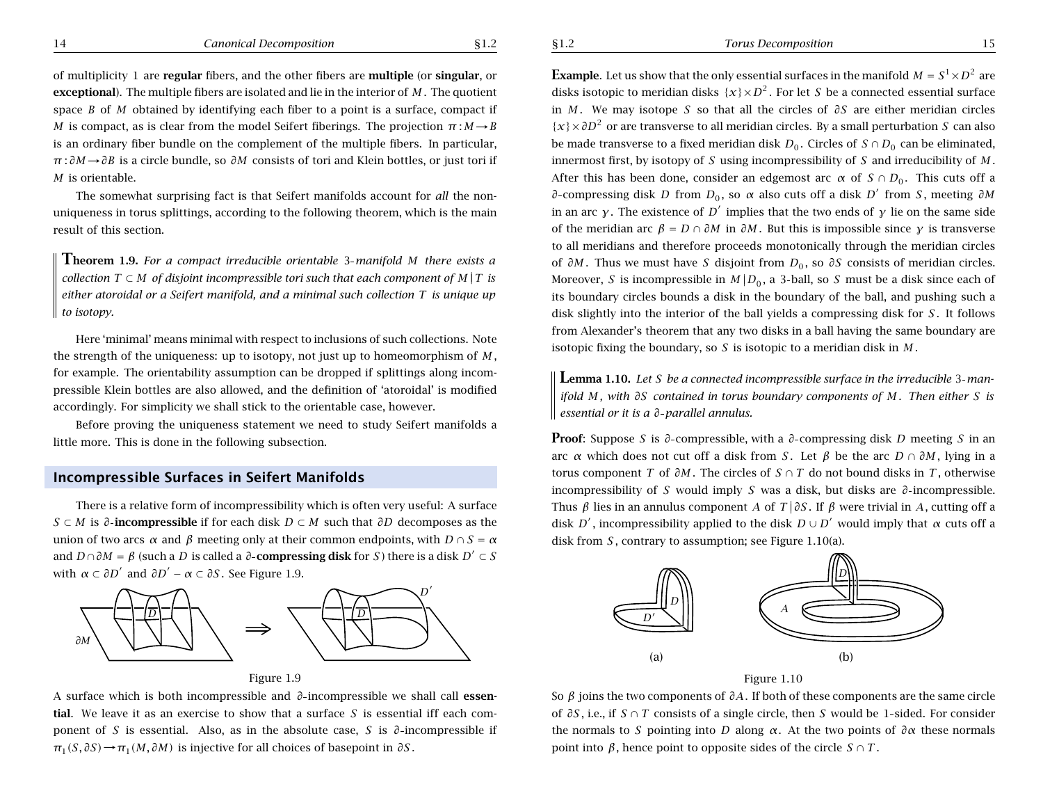of multiplicity 1 are **regular** fibers, and the other fibers are **multiple** (or **singular**, or **exceptional**). The multiple fibers are isolated and lie in the interior of *M* . The quotient space *B* of *M* obtained by identifying each fiber to <sup>a</sup> point is <sup>a</sup> surface, compact if *M* is compact, as is clear from the model Seifert fiberings. The projection  $\pi : M \rightarrow B$ is an ordinary fiber bundle on the complement of the multiple fibers. In particular, *<sup>π</sup>* : *∂M*→*∂B* is <sup>a</sup> circle bundle, so *∂M* consists of tori and Klein bottles, or just tori if *M* is orientable.

The somewhat surprising fact is that Seifert manifolds account for *all* the nonuniqueness in torus splittings, according to the following theorem, which is the main result of this section.

**Theorem 1.9.** *For <sup>a</sup> compact irreducible orientable* <sup>3</sup> *manifold <sup>M</sup> there exists <sup>a</sup>* collection  $T \subset M$  of disjoint incompressible tori such that each component of  $M \mid T$  is either atoroidal or a Seifert manifold, and a minimal such collection  $T$  is unique up *to isotopy.*

Here 'minimal' means minimal with respect to inclusions of such collections. Note the strength of the uniqueness: up to isotopy, not just up to homeomorphism of *M* , for example. The orientability assumption can be dropped if splittings along incompressible Klein bottles are also allowed, and the definition of 'atoroidal' is modified accordingly. For simplicity we shall stick to the orientable case, however.

Before proving the uniqueness statement we need to study Seifert manifolds <sup>a</sup> little more. This is done in the following subsection.

### **Incompressible Surfaces in Seifert Manifolds**

There is <sup>a</sup> relative form of incompressibility which is often very useful: A surface *S* <sup>⊂</sup> *M* is *∂* **incompressible** if for each disk *D* <sup>⊂</sup> *M* such that *∂D* decomposes as the union of two arcs  $\alpha$  and  $\beta$  meeting only at their common endpoints, with  $D \cap S = \alpha$ and  $D \cap \partial M = \beta$  (such a *D* is called a  $\partial$ -**compressing disk** for *S*) there is a disk  $D' \subset S$ with  $\alpha \subset \partial D'$  and  $\partial D' - \alpha \subset \partial S$ . See Figure 1.9.



Figure 1.9

A surface which is both incompressible and *∂* incompressible we shall call **essential**. We leave it as an exercise to show that <sup>a</sup> surface *S* is essential iff each component of *S* is essential. Also, as in the absolute case, *S* is *∂* incompressible if  $\pi_1(S, \partial S) \rightarrow \pi_1(M, \partial M)$  is injective for all choices of basepoint in  $\partial S$ .

**Example**. Let us show that the only essential surfaces in the manifold  $M = S^1 \times D^2$  are disks isotopic to meridian disks  $\{x\} \times D^2$ . For let *S* be a connected essential surface in *M* . We may isotope *S* so that all the circles of *∂S* are either meridian circles {*x*}×*∂D*<sup>2</sup> or are transverse to all meridian circles. By <sup>a</sup> small perturbation *<sup>S</sup>* can also be made transverse to a fixed meridian disk  $D_0$ . Circles of  $S \cap D_0$  can be eliminated, innermost first, by isotopy of *S* using incompressibility of *S* and irreducibility of *M* . After this has been done, consider an edgemost arc  $\alpha$  of  $S \cap D_0$ . This cuts off a *∂* compressing disk *D* from *D*<sub>0</sub>, so *α* also cuts off a disk *D'* from *S*, meeting *∂M* in an arc *γ*. The existence of  $D^{\prime}$  implies that the two ends of *γ* lie on the same side of the meridian arc  $\beta = D \cap \partial M$  in  $\partial M$ . But this is impossible since  $\gamma$  is transverse to all meridians and therefore proceeds monotonically through the meridian circles of *∂M*. Thus we must have *S* disjoint from *D*<sub>0</sub>, so *∂S* consists of meridian circles. Moreover, *S* is incompressible in  $M|_{D_0}$ , a 3-ball, so *S* must be a disk since each of its boundary circles bounds <sup>a</sup> disk in the boundary of the ball, and pushing such <sup>a</sup> disk slightly into the interior of the ball yields <sup>a</sup> compressing disk for *S* . It follows from Alexander's theorem that any two disks in <sup>a</sup> ball having the same boundary are isotopic fixing the boundary, so *S* is isotopic to <sup>a</sup> meridian disk in *M* .

**Lemma 1.10.** Let S be a connected incompressible surface in the irreducible 3-manifold M, with  $\partial S$  contained in torus boundary components of M. Then either S is *essential or it is <sup>a</sup> ∂ parallel annulus.*

**Proof**: Suppose *<sup>S</sup>* is *∂* compressible, with <sup>a</sup> *∂* compressing disk *<sup>D</sup>* meeting *<sup>S</sup>* in an arc *α* which does not cut off a disk from *S*. Let *β* be the arc  $D \cap \partial M$ , lying in a torus component *T* of *∂M* . The circles of *S* <sup>∩</sup> *T* do not bound disks in *T* , otherwise incompressibility of *S* would imply *S* was <sup>a</sup> disk, but disks are *∂* incompressible. Thus  $\beta$  lies in an annulus component *A* of *T* |  $\partial S$ . If  $\beta$  were trivial in *A*, cutting off a disk *D'*, incompressibility applied to the disk  $D \cup D'$  would imply that  $\alpha$  cuts off a disk from *S* , contrary to assumption; see Figure 1.10(a).





So *β* joins the two components of *∂A*. If both of these components are the same circle of *∂S* , i.e., if *S* <sup>∩</sup> *T* consists of <sup>a</sup> single circle, then *S* would be 1 sided. For consider the normals to *S* pointing into *D* along *α*. At the two points of  $\partial \alpha$  these normals point into *β*, hence point to opposite sides of the circle *S* <sup>∩</sup> *T* .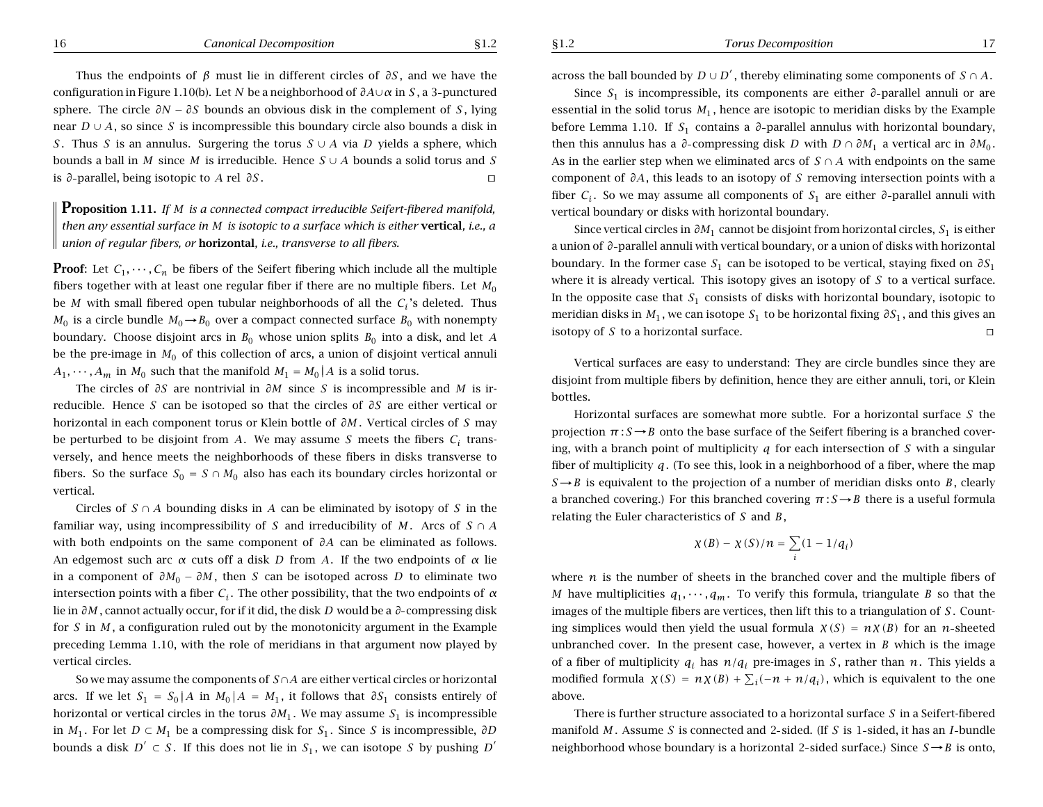#### 16 *Canonical Decomposition* §1.2

§1.2 *Torus Decomposition* 17

Thus the endpoints of *β* must lie in different circles of *∂S* , and we have the configuration in Figure 1.10(b). Let *N* be <sup>a</sup> neighborhood of *∂A*∪*<sup>α</sup>* in *S* ,a3 punctured sphere. The circle  $\partial N - \partial S$  bounds an obvious disk in the complement of *S*, lying near *D* <sup>∪</sup> *A*, so since *S* is incompressible this boundary circle also bounds <sup>a</sup> disk in *S* . Thus *S* is an annulus. Surgering the torus *S* <sup>∪</sup> *A* via *D* yields <sup>a</sup> sphere, which bounds a ball in *M* since *M* is irreducible. Hence *S* ∪ *A* bounds a solid torus and *S* is  $∂$ -parallel, being isotopic to *A* rel  $∂S$ .  $□$ 

**Proposition 1.11.** *If <sup>M</sup> is <sup>a</sup> connected compact irreducible Seifert-fibered manifold,* then any essential surface in M is isotopic to a surface which is either vertical, i.e., a *union of regular fibers, or* **horizontal***, i.e., transverse to all fibers.*

**Proof**: Let  $C_1, \dots, C_n$  be fibers of the Seifert fibering which include all the multiple fibers together with at least one regular fiber if there are no multiple fibers. Let  $M_0$ be *<sup>M</sup>* with small fibered open tubular neighborhoods of all the *Ci* 's deleted. Thus *M*<sub>0</sub> is a circle bundle  $M_0 \rightarrow B_0$  over a compact connected surface  $B_0$  with nonempty boundary. Choose disjoint arcs in  $B_0$  whose union splits  $B_0$  into a disk, and let *A* be the pre-image in  $M_0$  of this collection of arcs, a union of disjoint vertical annuli  $A_1, \cdots, A_m$  in  $M_0$  such that the manifold  $M_1 = M_0 |A$  is a solid torus.

The circles of *∂S* are nontrivial in *∂M* since *S* is incompressible and *M* is irreducible. Hence *S* can be isotoped so that the circles of *∂S* are either vertical or horizontal in each component torus or Klein bottle of *∂M* . Vertical circles of *S* may be perturbed to be disjoint from  $A$ . We may assume  $S$  meets the fibers  $C_i$  transversely, and hence meets the neighborhoods of these fibers in disks transverse to fibers. So the surface  $S_0 = S \cap M_0$  also has each its boundary circles horizontal or vertical.

Circles of *S* <sup>∩</sup> *A* bounding disks in *A* can be eliminated by isotopy of *S* in the familiar way, using incompressibility of *S* and irreducibility of *M*. Arcs of  $S \cap A$ with both endpoints on the same component of *∂A* can be eliminated as follows. An edgemost such arc *<sup>α</sup>* cuts off <sup>a</sup> disk *D* from *A*. If the two endpoints of *<sup>α</sup>* lie in a component of  $\partial M_0 - \partial M$ , then *S* can be isotoped across *D* to eliminate two intersection points with a fiber  $C_i$ . The other possibility, that the two endpoints of *α* lie in *∂M* , cannot actually occur, for if it did, the disk *D* would be <sup>a</sup> *∂* compressing disk for *S* in *M* , <sup>a</sup> configuration ruled out by the monotonicity argument in the Example preceding Lemma 1.10, with the role of meridians in that argument now played by vertical circles.

So we may assume the components of *S*∩*A* are either vertical circles or horizontal arcs. If we let  $S_1 = S_0 |A$  in  $M_0 |A = M_1$ , it follows that  $\partial S_1$  consists entirely of horizontal or vertical circles in the torus  $\partial M_1$ . We may assume  $S_1$  is incompressible in *M*<sub>1</sub>. For let *D* ⊂ *M*<sub>1</sub> be a compressing disk for *S*<sub>1</sub>. Since *S* is incompressible,  $\partial D$ bounds a disk  $D' \subset S$ . If this does not lie in  $S_1$ , we can isotope *S* by pushing  $D'$ 

across the ball bounded by  $D \cup D'$ , thereby eliminating some components of *S* ∩ *A*.

Since  $S_1$  is incompressible, its components are either  $\partial$ -parallel annuli or are essential in the solid torus  $M_1$ , hence are isotopic to meridian disks by the Example before Lemma 1.10. If  $S_1$  contains a  $\partial$ -parallel annulus with horizontal boundary, then this annulus has a  $\partial$ -compressing disk *D* with  $D \cap \partial M_1$  a vertical arc in  $\partial M_0$ . As in the earlier step when we eliminated arcs of *S* <sup>∩</sup> *A* with endpoints on the same component of *∂A*, this leads to an isotopy of *S* removing intersection points with <sup>a</sup> fiber  $C_i$ . So we may assume all components of  $S_1$  are either  $\partial$ -parallel annuli with vertical boundary or disks with horizontal boundary.

Since vertical circles in *∂M*<sup>1</sup> cannot be disjoint from horizontal circles, *S*<sup>1</sup> is either <sup>a</sup> union of *∂* parallel annuli with vertical boundary, or <sup>a</sup> union of disks with horizontal boundary. In the former case  $S_1$  can be isotoped to be vertical, staying fixed on  $\partial S_1$ where it is already vertical. This isotopy gives an isotopy of *S* to <sup>a</sup> vertical surface. In the opposite case that  $S_1$  consists of disks with horizontal boundary, isotopic to meridian disks in  $M_1$ , we can isotope  $S_1$  to be horizontal fixing  $\partial S_1$ , and this gives an isotopy of  $S$  to a horizontal surface.

Vertical surfaces are easy to understand: They are circle bundles since they are disjoint from multiple fibers by definition, hence they are either annuli, tori, or Klein bottles.

Horizontal surfaces are somewhat more subtle. For <sup>a</sup> horizontal surface *S* the projection  $\pi : S \rightarrow B$  onto the base surface of the Seifert fibering is a branched covering, with <sup>a</sup> branch point of multiplicity *q* for each intersection of *S* with <sup>a</sup> singular fiber of multiplicity *q*. (To see this, look in <sup>a</sup> neighborhood of <sup>a</sup> fiber, where the map  $S \rightarrow B$  is equivalent to the projection of a number of meridian disks onto *B*, clearly a branched covering.) For this branched covering  $\pi : S \rightarrow B$  there is a useful formula relating the Euler characteristics of *S* and *B*,

$$
\chi(B) - \chi(S)/n = \sum_i (1 - 1/q_i)
$$

where *<sup>n</sup>* is the number of sheets in the branched cover and the multiple fibers of *M* have multiplicities  $q_1, \dots, q_m$ . To verify this formula, triangulate *B* so that the images of the multiple fibers are vertices, then lift this to <sup>a</sup> triangulation of *S* . Counting simplices would then yield the usual formula  $\chi(S) = n\chi(B)$  for an *n*-sheeted unbranched cover. In the present case, however, a vertex in  $B$  which is the image of a fiber of multiplicity  $q_i$  has  $n/q_i$  pre-images in *S*, rather than *n*. This yields a modified formula  $\chi(S) = n\chi(B) + \sum_i(-n + n/q_i)$ , which is equivalent to the one above.

There is further structure associated to <sup>a</sup> horizontal surface *S* in <sup>a</sup> Seifert-fibered manifold *M* . Assume *S* is connected and 2 sided. (If *S* is 1 sided, it has an *I* bundle neighborhood whose boundary is a horizontal 2-sided surface.) Since  $S \rightarrow B$  is onto,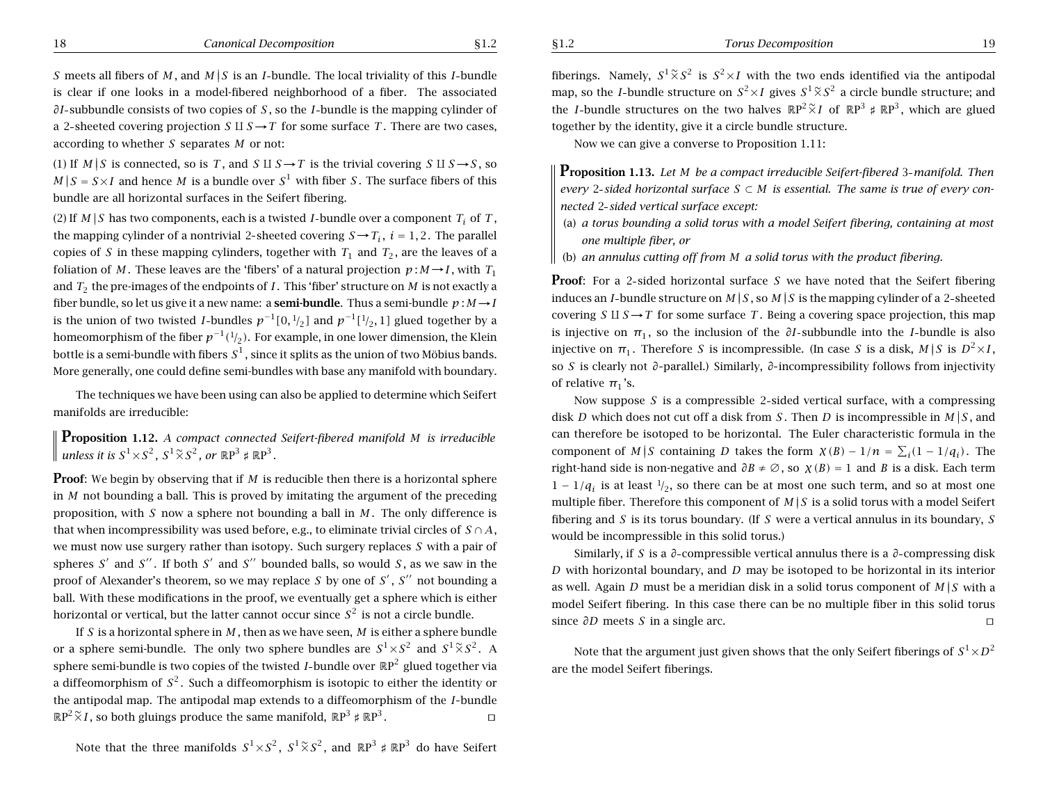§1.2 *Torus Decomposition* 19

*S* meets all fibers of M, and  $M \mid S$  is an *I*-bundle. The local triviality of this *I*-bundle is clear if one looks in <sup>a</sup> model-fibered neighborhood of <sup>a</sup> fiber. The associated *∂I* -subbundle consists of two copies of *S* , so the *I* -bundle is the mapping cylinder of a 2-sheeted covering projection  $S \amalg S \to T$  for some surface T. There are two cases, according to whether *S* separates *M* or not:

(1) If  $M \mid S$  is connected, so is T, and S II  $S \rightarrow T$  is the trivial covering S II  $S \rightarrow S$ , so  $M | S = S \times I$  and hence M is a bundle over  $S^1$  with fiber S. The surface fibers of this bundle are all horizontal surfaces in the Seifert fibering.

(2) If  $M|S$  has two components, each is a twisted *I*-bundle over a component  $T_i$  of  $T$  , the mapping cylinder of a nontrivial 2-sheeted covering  $S \rightarrow T_i$ ,  $i = 1, 2$ . The parallel copies of S in these mapping cylinders, together with  $T_1$  and  $T_2$ , are the leaves of a foliation of M. These leaves are the 'fibers' of a natural projection  $p : M \rightarrow I$ , with  $T_1$ and *<sup>T</sup>*<sup>2</sup> the pre-images of the endpoints of *<sup>I</sup>* . This 'fiber' structure on *M* is not exactly <sup>a</sup> fiber bundle, so let us give it <sup>a</sup> new name: <sup>a</sup> **semi-bundle**. Thus <sup>a</sup> semi-bundle *p* : *M* <sup>→</sup>*I* is the union of two twisted *I*-bundles  $p^{-1}[0, \frac{1}{2}]$  and  $p^{-1}[\frac{1}{2}, 1]$  glued together by a homeomorphism of the fiber  $p^{-1}({}^1\!/_{2})$ . For example, in one lower dimension, the Klein bottle is a semi-bundle with fibers  $\mathcal{S}^1$  , since it splits as the union of two Möbius bands. More generally, one could define semi-bundles with base any manifold with boundary.

The techniques we have been using can also be applied to determine which Seifert manifolds are irreducible:

**Proposition 1.12.** *<sup>A</sup> compact connected Seifert-fibered manifold M is irreducible*  $u$ nless it is  $S^1 {\times} S^2$  ,  $S^1 \widetilde{\times} S^2$  , or  $\mathbb{R} \text{P}^3$   $\sharp$   $\mathbb{R} \text{P}^3$  .

**Proof**: We begin by observing that if *M* is reducible then there is <sup>a</sup> horizontal sphere in *M* not bounding <sup>a</sup> ball. This is proved by imitating the argument of the preceding proposition, with *S* now <sup>a</sup> sphere not bounding <sup>a</sup> ball in *M* . The only difference is that when incompressibility was used before, e.g., to eliminate trivial circles of  $S \cap A,$ we must now use surgery rather than isotopy. Such surgery replaces *S* with <sup>a</sup> pair of spheres S<sup> $\prime$ </sup> and S<sup> $\prime\prime$ </sup>. If both S<sup> $\prime$ </sup> and S<sup> $\prime\prime$ </sup> bounded balls, so would S, as we saw in the proof of Alexander's theorem, so we may replace S by one of S', S'' not bounding a ball. With these modifications in the proof, we eventually get <sup>a</sup> sphere which is either horizontal or vertical, but the latter cannot occur since  $S^2$  is not a circle bundle.

If *S* is <sup>a</sup> horizontal sphere in *M* , then as we have seen, *M* is either <sup>a</sup> sphere bundle or a sphere semi-bundle. The only two sphere bundles are  $S^1 \times S^2$  and  $S^1 \tilde{\times} S^2$ . A sphere semi-bundle is two copies of the twisted *I* bundle over <sup>R</sup>P<sup>2</sup> glued together via a diffeomorphism of  $S^2$ . Such a diffeomorphism is isotopic to either the identity or the antipodal map. The antipodal map extends to <sup>a</sup> diffeomorphism of the *I* bundle  $\mathbb{R}P^2 \widetilde{\times} I$ , so both gluings produce the same manifold,  $\mathbb{R}P^3 \sharp \mathbb{R}P^3$ .

Note that the three manifolds  $S^1 {\times} S^2, \; S^1 \widetilde{\times} S^2,$  and  $\mathbb{R} \text{P}^3 \notin \mathbb{R} \text{P}^3$  do have Seifert

fiberings. Namely,  $S^1 \widetilde{\times} S^2$  is  $S^2 \times I$  with the two ends identified via the antipodal map, so the *I*-bundle structure on  $S^2{\times}I$  gives  $S^1\widetilde{\times}S^2$  a circle bundle structure; and the *I*-bundle structures on the two halves  $\mathbb{R}P^2 \tilde{\times}I$  of  $\mathbb{R}P^3 \sharp \mathbb{R}P^3$ , which are glued together by the identity, give it <sup>a</sup> circle bundle structure.

Now we can give <sup>a</sup> converse to Proposition 1.11:

**Proposition 1.13.** *Let M be <sup>a</sup> compact irreducible Seifert-fibered* 3 *manifold. Then* every 2-sided horizontal surface S  $\subset$  M is essential. The same is true of every con*nected* 2 *sided vertical surface except:*

- (a) a torus bounding a solid torus with a model Seifert fibering, containing at most *one multiple fiber, or*
- (b) an annulus cutting off from M a solid torus with the product fibering.

**Proof**: For <sup>a</sup> 2 sided horizontal surface *S* we have noted that the Seifert fibering induces an *I*-bundle structure on  $M|S$  , so  $M|S$  is the mapping cylinder of a 2-sheeted covering  $S \amalg S \rightarrow T$  for some surface T. Being a covering space projection, this map is injective on *<sup>π</sup>*<sup>1</sup> , so the inclusion of the *∂I* subbundle into the *<sup>I</sup>* bundle is also injective on  $\pi_1$  . Therefore  $S$  is incompressible. (In case  $S$  is a disk,  $M|S$  is  $D^2{\times}I,$ so *S* is clearly not *∂* parallel.) Similarly, *∂* incompressibility follows from injectivity of relative  $\pi_1$  's.

Now suppose *S* is <sup>a</sup> compressible 2 sided vertical surface, with <sup>a</sup> compressing disk *D* which does not cut off a disk from *S* . Then *D* is incompressible in  $M|S,$  and can therefore be isotoped to be horizontal. The Euler characteristic formula in the component of *M* | *S* containing *D* takes the form *χ*(*B*) − 1/*n* =  $\sum_i$ (1 − 1/*q<sub>i</sub>*). The right-hand side is non-negative and  $\partial B \neq \emptyset$ , so  $\chi(B) = 1$  and B is a disk. Each term  $1 - 1/q_i$  is at least  $\frac{1}{2}$ , so there can be at most one such term, and so at most one multiple fiber. Therefore this component of  $M\,|\,S$  is a solid torus with a model Seifert fibering and *S* is its torus boundary. (If *S* were <sup>a</sup> vertical annulus in its boundary, *S* would be incompressible in this solid torus.)

Similarly, if *S* is <sup>a</sup> *∂* compressible vertical annulus there is <sup>a</sup> *∂* compressing disk *D* with horizontal boundary, and *D* may be isotoped to be horizontal in its interior as well. Again  $D$  must be a meridian disk in a solid torus component of  $M|S$  with a model Seifert fibering. In this case there can be no multiple fiber in this solid torus since *∂D* meets *S* in <sup>a</sup> single arc.  $\Box$ 

Note that the argument just given shows that the only Seifert fiberings of  $S^1 {\times} D^2$ are the model Seifert fiberings.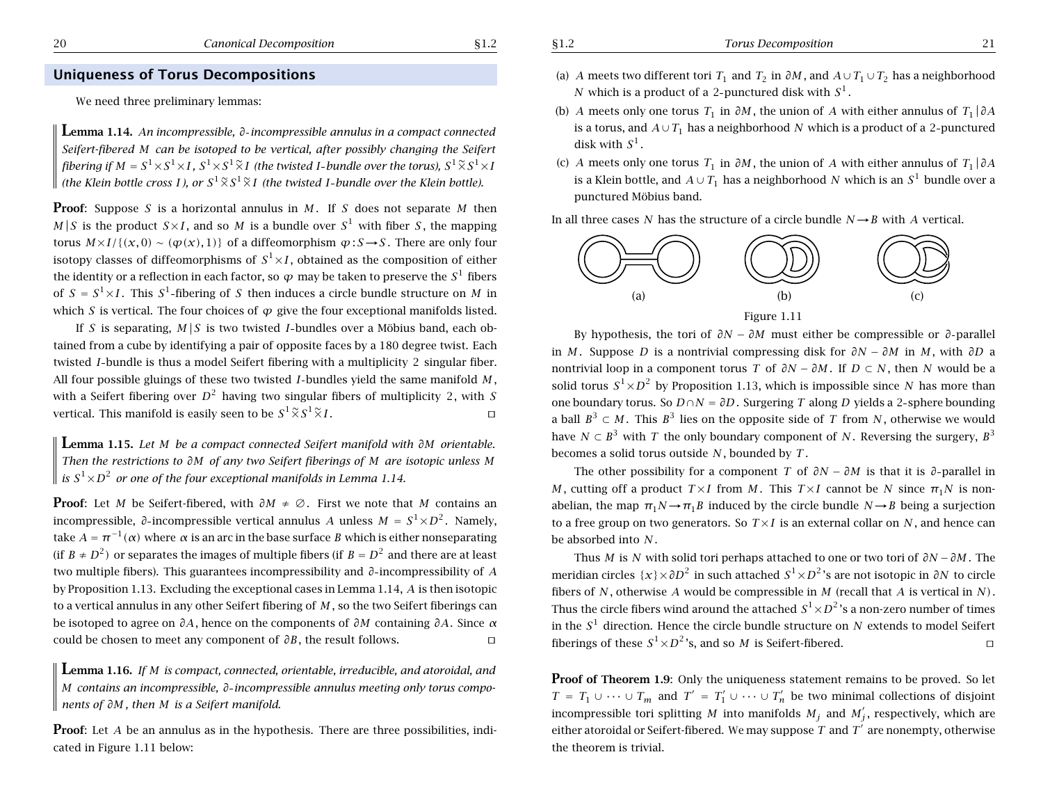### **Uniqueness of Torus Decompositions**

We need three preliminary lemmas:

**Lemma 1.14.** *An incompressible, <sup>∂</sup> incompressible annulus in <sup>a</sup> compact connected* Seifert-fibered M can be isotoped to be vertical, after possibly changing the Seifert fibering if  $M=S^1\times S^1\times I$  ,  $S^1\times S^1 \widetilde{\times} I$  (the twisted I-bundle over the torus),  $S^1 \widetilde{\times} S^1\times I$ (the Klein bottle cross I ), or  $S^1 \widetilde{\times} S^1 \widetilde{\times} I$  (the twisted I-bundle over the Klein bottle).

**Proof**: Suppose *S* is a horizontal annulus in *M* . If *S* does not separate *M* then *M* |*S* is the product  $S \times I$ , and so *M* is a bundle over  $S^1$  with fiber *S*, the mapping torus  $M \times I / \{(x, 0) \sim (\varphi(x), 1)\}$  of a diffeomorphism  $\varphi : S \rightarrow S$ . There are only four isotopy classes of diffeomorphisms of  $S^1{\times}I$ , obtained as the composition of either the identity or a reflection in each factor, so  $\varphi$  may be taken to preserve the  $S^1$  fibers of  $S = S^1 \times I$ . This  $S^1$ -fibering of S then induces a circle bundle structure on M in which *S* is vertical. The four choices of *ϕ* give the four exceptional manifolds listed.

If S is separating,  $M/S$  is two twisted I-bundles over a Möbius band, each obtained from <sup>a</sup> cube by identifying <sup>a</sup> pair of opposite faces by <sup>a</sup> 180 degree twist. Each twisted *I* bundle is thus <sup>a</sup> model Seifert fibering with <sup>a</sup> multiplicity 2 singular fiber. All four possible gluings of these two twisted *I* bundles yield the same manifold *M* , with a Seifert fibering over  $D^2$  having two singular fibers of multiplicity 2, with S vertical. This manifold is easily seen to be  $S^1 \widetilde{\times} S^1 \widetilde{\times} I$ .

**Lemma 1.15.** *Let M be <sup>a</sup> compact connected Seifert manifold with ∂M orientable.* Then the restrictions to  $\partial M$  of any two Seifert fiberings of M are isotopic unless M  $s \leq S^1 \times D^2$  *or one of the four exceptional manifolds in Lemma 1.14.* 

**Proof**: Let *M* be Seifert-fibered, with *∂M* ≠ ∅. First we note that *M* contains an incompressible, ∂-incompressible vertical annulus A unless  $M = S^1 {\times} D^2$ . Namely, take  $A = \pi^{-1}(\alpha)$  where α is an arc in the base surface  $B$  which is either nonseparating (if  $B \neq D^2$ ) or separates the images of multiple fibers (if  $B=D^2$  and there are at least two multiple fibers). This guarantees incompressibility and *∂* incompressibility of *A* by Proposition 1.13. Excluding the exceptional cases in Lemma 1.14, *A* is then isotopic to <sup>a</sup> vertical annulus in any other Seifert fibering of *M* , so the two Seifert fiberings can be isotoped to agree on *∂A*, hence on the components of *∂M* containing *∂A*. Since *α* could be chosen to meet any component of *∂B*, the result follows.  $\Box$ 

**Lemma 1.16.** *If M is compact, connected, orientable, irreducible, and atoroidal, and M contains an incompressible, ∂ incompressible annulus meeting only torus components of ∂M , then M is <sup>a</sup> Seifert manifold.*

**Proof**: Let *A* be an annulus as in the hypothesis. There are three possibilities, indicated in Figure 1.11 below:

- (a) A meets two different tori  $T_1$  and  $T_2$  in  $\partial M$ , and  $A \cup T_1 \cup T_2$  has a neighborhood  $N$  which is a product of a 2-punctured disk with  $S^1$ .
- (b) A meets only one torus  $T_1$  in  $\partial M$ , the union of A with either annulus of  $T_1|\partial A$ is a torus, and  $A\cup T_1$  has a neighborhood  $N$  which is a product of a 2-punctured disk with *S*<sup>1</sup> .
- (c) A meets only one torus  $T_1$  in  $\partial M$ , the union of A with either annulus of  $T_1 | \partial A$ is a Klein bottle, and  $A\cup T_1$  has a neighborhood  $N$  which is an  $S^1$  bundle over a punctured Möbius band.

In all three cases N has the structure of a circle bundle  $N\rightarrow B$  with A vertical.



By hypothesis, the tori of *∂N* − *∂M* must either be compressible or *∂* parallel in *M* . Suppose *D* is <sup>a</sup> nontrivial compressing disk for *∂N* − *∂M* in *M* , with *∂D* <sup>a</sup> nontrivial loop in a component torus *T* of  $\partial N - \partial M$ . If  $D \subset N$ , then  $N$  would be a solid torus  $S^1 \times D^2$  by Proposition 1.13, which is impossible since N has more than one boundary torus. So *D* ∩ *N* = *∂D*. Surgering *T* along *D* yields <sup>a</sup> 2 sphere bounding a ball  $B^3\subset M$  . This  $B^3$  lies on the opposite side of  $\,$  from  $\,$  , otherwise we would have  $N \subset B^3$  with  $T$  the only boundary component of  $N$ . Reversing the surgery,  $B^3$ becomes a solid torus outside *N* , bounded by *T* .

The other possibility for <sup>a</sup> component *T* of *∂N* − *∂M* is that it is *∂* parallel in *M*, cutting off a product  $T\times I$  from *M*. This  $T\times I$  cannot be *N* since  $\pi_1 N$  is nonabelian, the map  $\pi_1 N \rightarrow \pi_1 B$  induced by the circle bundle  $N \rightarrow B$  being a surjection to <sup>a</sup> free group on two generators. So *T* ×*I* is an external collar on *N* , and hence can be absorbed into *N* .

Thus *M* is *N* with solid tori perhaps attached to one or two tori of *∂N* <sup>−</sup>*∂M* . The meridian circles {*x*}×*∂D*<sup>2</sup> in such attached *S*<sup>1</sup><sup>×</sup> *<sup>D</sup>*<sup>2</sup> 's are not isotopic in *∂N* to circle fibers of *N* , otherwise *A* would be compressible in *M* (recall that *A* is vertical in *N)*. Thus the circle fibers wind around the attached  $S^1\!\times\! D^2$  's a non-zero number of times in the *S*<sup>1</sup> direction. Hence the circle bundle structure on *N* extends to model Seifert fiberings of these  $S^1 {\times} D^2$  's, and so  $M$  is Seifert-fibered.  $\Box$ 

**Proof** of Theorem 1.9: Only the uniqueness statement remains to be proved. So let *T* = *T*<sub>1</sub> ∪ ··· ∪ *T<sub>m</sub>* and *T'* = *T*<sub>1</sub>′ ∪ ··· ∪ *T*<sub>n</sub>′ be two minimal collections of disjoint incompressible tori splitting  $M$  into manifolds  $M_j$  and  $M_j'$ , respectively, which are either atoroidal or Seifert-fibered. We may suppose  $T$  and  $T^\prime$  are nonempty, otherwise the theorem is trivial.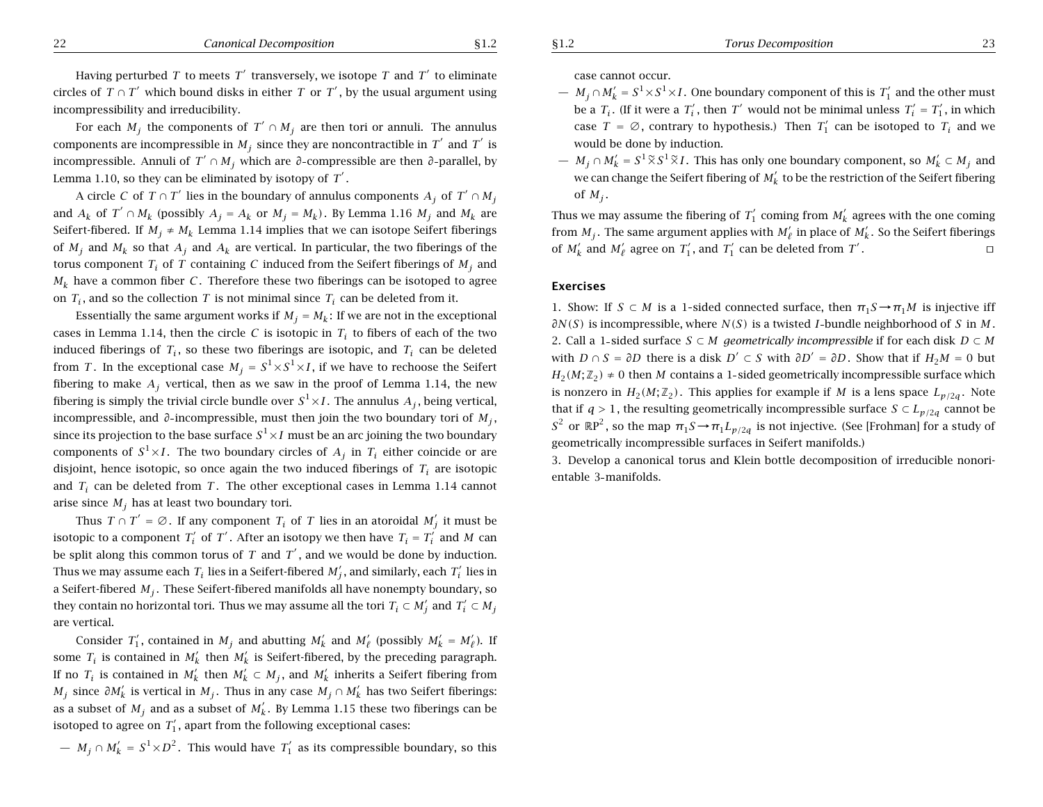Having perturbed *T* to meets  $T'$  transversely, we isotope *T* and  $T'$  to eliminate circles of  $T \cap T'$  which bound disks in either *T* or *T'*, by the usual argument using incompressibility and irreducibility.

For each  $M_i$  the components of  $T' \cap M_i$  are then tori or annuli. The annulus components are incompressible in  $M_i$  since they are noncontractible in  $T'$  and  $T'$  is incompressible. Annuli of *T'* ∩ *M<sub>i</sub>* which are *∂*-compressible are then *∂*-parallel, by Lemma 1.10, so they can be eliminated by isotopy of  $T'$ .

A circle *C* of  $T \cap T'$  lies in the boundary of annulus components  $A_j$  of  $T' \cap M_j$ and  $A_k$  of  $T' \cap M_k$  (possibly  $A_j = A_k$  or  $M_j = M_k$ ). By Lemma 1.16  $M_j$  and  $M_k$  are Seifert-fibered. If  $M_i \neq M_k$  Lemma 1.14 implies that we can isotope Seifert fiberings of  $M_i$  and  $M_k$  so that  $A_j$  and  $A_k$  are vertical. In particular, the two fiberings of the torus component  $T_i$  of  $T$  containing  $C$  induced from the Seifert fiberings of  $M_i$  and  $M_k$  have a common fiber *C*. Therefore these two fiberings can be isotoped to agree on  $T_i$ , and so the collection  $T$  is not minimal since  $T_i$  can be deleted from it.

Essentially the same argument works if  $M_j = M_k$ : If we are not in the exceptional cases in Lemma 1.14, then the circle *C* is isotopic in  $T_i$  to fibers of each of the two induced fiberings of  $T_i$ , so these two fiberings are isotopic, and  $T_i$  can be deleted from *T*. In the exceptional case  $M_i = S^1 \times S^1 \times I$ , if we have to rechoose the Seifert fibering to make  $A_i$  vertical, then as we saw in the proof of Lemma 1.14, the new fibering is simply the trivial circle bundle over  $S^1 \times I$ . The annulus  $A_i$ , being vertical, incompressible, and *<sup>∂</sup>* incompressible, must then join the two boundary tori of *Mj* , since its projection to the base surface  $S^1 \times I$  must be an arc joining the two boundary components of  $S^1 \times I$ . The two boundary circles of  $A_j$  in  $T_i$  either coincide or are disjoint, hence isotopic, so once again the two induced fiberings of  $T_i$  are isotopic and  $T_i$  can be deleted from  $T$ . The other exceptional cases in Lemma 1.14 cannot arise since  $M_i$  has at least two boundary tori.

Thus  $T \cap T' = \emptyset$ . If any component  $T_i$  of  $T$  lies in an atoroidal  $M'_i$  it must be isotopic to a component  $T_i'$  of  $T'$ . After an isotopy we then have  $T_i = T_i'$  and *M* can be split along this common torus of  $T$  and  $T'$ , and we would be done by induction. Thus we may assume each  $T_i$  lies in a Seifert-fibered  $M'_i$ , and similarly, each  $T'_i$  lies in a Seifert-fibered  $M_i$ . These Seifert-fibered manifolds all have nonempty boundary, so they contain no horizontal tori. Thus we may assume all the tori  $T_i \subset M'_i$  and  $T'_i \subset M_j$ are vertical.

Consider  $T_1'$ , contained in  $M_i$  and abutting  $M'_k$  and  $M'_\ell$  (possibly  $M'_k = M'_\ell$ ). If some  $T_i$  is contained in  $M'_k$  then  $M'_k$  is Seifert-fibered, by the preceding paragraph. If no  $T_i$  is contained in  $M'_k$  then  $M'_k \subset M_j$ , and  $M'_k$  inherits a Seifert fibering from *M<sub>j</sub>* since  $\partial M_k'$  is vertical in  $M_j$ . Thus in any case  $M_j \cap M_k'$  has two Seifert fiberings: as a subset of  $M_i$  and as a subset of  $M'_k$ . By Lemma 1.15 these two fiberings can be isotoped to agree on  $T_1'$ , apart from the following exceptional cases:

 $\mu-M_j\cap M'_k=S^1\times D^2.$  This would have  $T'_1$  as its compressible boundary, so this

case cannot occur.

- $− M_j ∩ M'_k = S^1 × S^1 × I$  . One boundary component of this is  $T'_1$  and the other must be a  $T_i$ . (If it were a  $T'_i$ , then  $T'$  would not be minimal unless  $T'_i = T'_1$ , in which case  $T = \emptyset$ , contrary to hypothesis.) Then  $T_1'$  can be isotoped to  $T_i$  and we would be done by induction.
- $M_j ∩ M'_k = S^1 \widetilde{\times} S^1 \widetilde{\times} I$ . This has only one boundary component, so  $M'_k ∂ M_j$  and we can change the Seifert fibering of  $M_k'$  to be the restriction of the Seifert fibering of  $M_i$ .

Thus we may assume the fibering of  $T_1'$  coming from  $M_k'$  agrees with the one coming from  $M_i$ . The same argument applies with  $M'_\ell$  in place of  $M'_k$ . So the Seifert fiberings of  $M'_k$  and  $M'_\ell$  agree on  $T'_1$ , and  $T'_1$  can be deleted from  $T'$ .

### **Exercises**

1. Show: If  $S \subset M$  is a 1-sided connected surface, then  $\pi_1 S \to \pi_1 M$  is injective iff *∂N(S)* is incompressible, where *N(S)* is a twisted *I*-bundle neighborhood of *S* in *M*. 2. Call a 1-sided surface  $S \subset M$  *geometrically incompressible* if for each disk  $D \subset M$ with  $D \cap S = \partial D$  there is a disk  $D' \subset S$  with  $\partial D' = \partial D$ . Show that if  $H_2M = 0$  but  $H_2(M; \mathbb{Z}_2) \neq 0$  then *M* contains a 1-sided geometrically incompressible surface which is nonzero in  $H_2(M; \mathbb{Z}_2)$ . This applies for example if *M* is a lens space  $L_{n/2a}$ . Note that if *q* > 1, the resulting geometrically incompressible surface  $S \subset L_{p/2q}$  cannot be *S*<sup>2</sup> or ℝP<sup>2</sup>, so the map  $π_1S → π_1L_{p/2q}$  is not injective. (See [Frohman] for a study of geometrically incompressible surfaces in Seifert manifolds.)

3. Develop <sup>a</sup> canonical torus and Klein bottle decomposition of irreducible nonorientable 3 manifolds.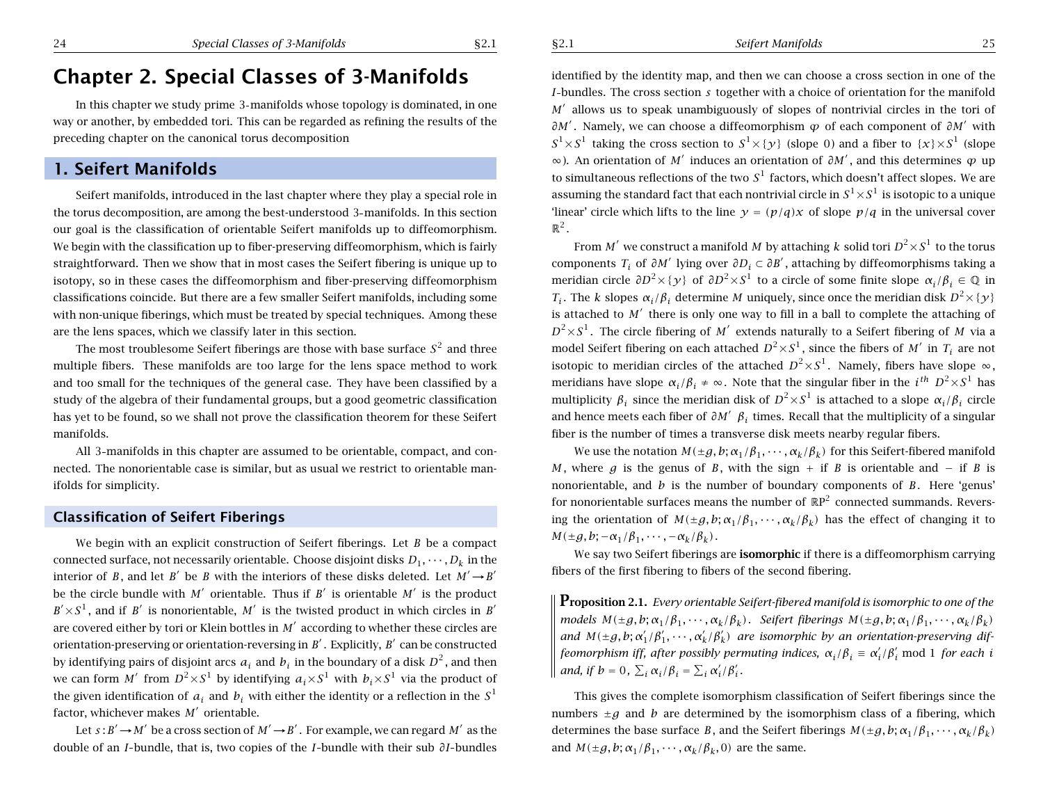### §2.1 *Seifert Manifolds* 25

# **Chapter 2. Special Classes of 3-Manifolds**

In this chapter we study prime 3 manifolds whose topology is dominated, in one way or another, by embedded tori. This can be regarded as refining the results of the preceding chapter on the canonical torus decomposition

# **1. Seifert Manifolds**

Seifert manifolds, introduced in the last chapter where they play <sup>a</sup> special role in the torus decomposition, are among the best-understood 3 manifolds. In this section our goal is the classification of orientable Seifert manifolds up to diffeomorphism. We begin with the classification up to fiber-preserving diffeomorphism, which is fairly straightforward. Then we show that in most cases the Seifert fibering is unique up to isotopy, so in these cases the diffeomorphism and fiber-preserving diffeomorphism classifications coincide. But there are <sup>a</sup> few smaller Seifert manifolds, including some with non-unique fiberings, which must be treated by special techniques. Among these are the lens spaces, which we classify later in this section.

The most troublesome Seifert fiberings are those with base surface  $S<sup>2</sup>$  and three multiple fibers. These manifolds are too large for the lens space method to work and too small for the techniques of the general case. They have been classified by <sup>a</sup> study of the algebra of their fundamental groups, but <sup>a</sup> good geometric classification has yet to be found, so we shall not prove the classification theorem for these Seifert manifolds.

All 3 manifolds in this chapter are assumed to be orientable, compact, and connected. The nonorientable case is similar, but as usual we restrict to orientable manifolds for simplicity.

### **Classification of Seifert Fiberings**

We begin with an explicit construction of Seifert fiberings. Let *B* be <sup>a</sup> compact connected surface, not necessarily orientable. Choose disjoint disks  $D_1, \dots, D_k$  in the interior of *B*, and let *B*<sup> $\prime$ </sup> be *B* with the interiors of these disks deleted. Let  $M' \rightarrow B'$ be the circle bundle with  $M'$  orientable. Thus if  $B'$  is orientable  $M'$  is the product  $B' \times S^1$ , and if *B*<sup> $\prime$ </sup> is nonorientable, *M*<sup> $\prime$ </sup> is the twisted product in which circles in *B*<sup> $\prime$ </sup> are covered either by tori or Klein bottles in M<sup>'</sup> according to whether these circles are orientation-preserving or orientation-reversing in  $B'$ . Explicitly,  $B'$  can be constructed by identifying pairs of disjoint arcs  $a_i$  and  $b_i$  in the boundary of a disk  $D^2$ , and then we can form *M'* from  $D^2 \times S^1$  by identifying  $a_i \times S^1$  with  $b_i \times S^1$  via the product of the given identification of  $a_i$  and  $b_i$  with either the identity or a reflection in the  $S<sup>1</sup>$ factor, whichever makes  $M'$  orientable.

Let  $s : B' \rightarrow M'$  be a cross section of  $M' \rightarrow B'$ . For example, we can regard M' as the double of an *I* bundle, that is, two copies of the *I* bundle with their sub *∂I* bundles identified by the identity map, and then we can choose <sup>a</sup> cross section in one of the *I*-bundles. The cross section *s* together with a choice of orientation for the manifold *M*<sup> $\prime$ </sup> allows us to speak unambiguously of slopes of nontrivial circles in the tori of *∂M'*. Namely, we can choose a diffeomorphism *ϕ* of each component of *∂M'* with  $S^1 \times S^1$  taking the cross section to  $S^1 \times \{ \gamma \}$  (slope 0) and a fiber to  $\{x\} \times S^1$  (slope <sup>∞</sup>). An orientation of *<sup>M</sup>*<sup>0</sup> induces an orientation of *∂M*<sup>0</sup> , and this determines *<sup>ϕ</sup>* up to simultaneous reflections of the two  $S<sup>1</sup>$  factors, which doesn't affect slopes. We are assuming the standard fact that each nontrivial circle in  $S^1 \times S^1$  is isotopic to a unique 'linear' circle which lifts to the line  $y = (p/a)x$  of slope  $p/a$  in the universal cover  $\mathbb{R}^2$ .

From *M'* we construct a manifold *M* by attaching *k* solid tori  $D^2 \times S^1$  to the torus components *T<sub>i</sub>* of  $\partial M'$  lying over  $\partial D_i \subset \partial B'$ , attaching by diffeomorphisms taking a meridian circle  $\partial D^2 \times {\gamma}$  of  $\partial D^2 \times S^1$  to a circle of some finite slope  $\alpha_i/\beta_i \in \mathbb{Q}$  in *T<sub>i</sub>*. The *k* slopes  $\alpha_i/\beta_i$  determine *M* uniquely, since once the meridian disk  $D^2 \times {\gamma}$ is attached to  $M'$  there is only one way to fill in a ball to complete the attaching of  $D^2 \times S^1$ . The circle fibering of *M'* extends naturally to a Seifert fibering of *M* via a model Seifert fibering on each attached  $D^2 \times S^1$ , since the fibers of *M'* in *T<sub>i</sub>* are not isotopic to meridian circles of the attached  $D^2 \times S^1$ . Namely, fibers have slope  $\infty$ , meridians have slope  $\alpha_i/\beta_i \neq \infty$ . Note that the singular fiber in the  $i^{th} D^2 \times S^1$  has multiplicity  $\beta_i$  since the meridian disk of  $D^2 \times S^1$  is attached to a slope  $\alpha_i/\beta_i$  circle and hence meets each fiber of  $\partial M'$   $\beta_i$  times. Recall that the multiplicity of a singular fiber is the number of times <sup>a</sup> transverse disk meets nearby regular fibers.

We use the notation  $M(\pm g, b; \alpha_1/\beta_1, \cdots, \alpha_k/\beta_k)$  for this Seifert-fibered manifold *M*, where *g* is the genus of *B*, with the sign + if *B* is orientable and − if *B* is nonorientable, and *b* is the number of boundary components of *B*. Here 'genus' for nonorientable surfaces means the number of  $\mathbb{R}P^2$  connected summands. Reversing the orientation of  $M(\pm g, b; \alpha_1/\beta_1, \cdots, \alpha_k/\beta_k)$  has the effect of changing it to  $M(\pm g, b; -\alpha_1/\beta_1, \cdots, -\alpha_k/\beta_k)$ .

We say two Seifert fiberings are **isomorphic** if there is <sup>a</sup> diffeomorphism carrying fibers of the first fibering to fibers of the second fibering.

**Proposition 2.1.** Every orientable Seifert-fibered manifold is isomorphic to one of the models  $M(\pm g, b; \alpha_1/\beta_1, \cdots, \alpha_k/\beta_k)$ . Seifert fiberings  $M(\pm g, b; \alpha_1/\beta_1, \cdots, \alpha_k/\beta_k)$ and  $M(\pm g, b; \alpha'_1/\beta'_1, \cdots, \alpha'_k/\beta'_k)$  are isomorphic by an orientation-preserving dif*feomorphism iff, after possibly permuting indices,*  $\alpha_i/\beta_i \equiv \alpha'_i/\beta'_i \text{ mod } 1$  *for each i and, if*  $b = 0$ ,  $\sum_i \alpha_i/\beta_i = \sum_i \alpha'_i/\beta'_i$ .

This gives the complete isomorphism classification of Seifert fiberings since the numbers  $\pm g$  and *b* are determined by the isomorphism class of a fibering, which determines the base surface *B*, and the Seifert fiberings  $M(\pm q, b; \alpha_1/\beta_1, \cdots, \alpha_k/\beta_k)$ and  $M(\pm g, b; \alpha_1/\beta_1, \cdots, \alpha_k/\beta_k, 0)$  are the same.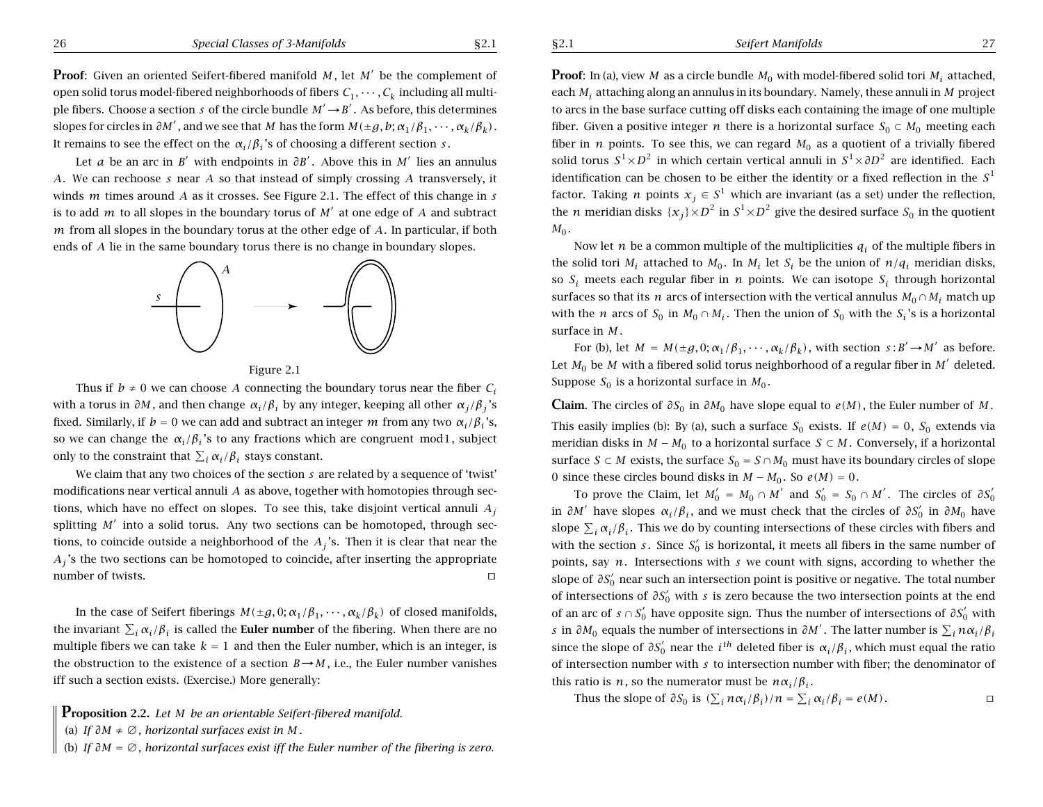Let *a* be an arc in *B*<sup> $\prime$ </sup> with endpoints in  $\partial B'$ . Above this in *M*<sup> $\prime$ </sup> lies an annulus *A*. We can rechoose *<sup>s</sup>* near *A* so that instead of simply crossing *A* transversely, it winds *<sup>m</sup>* times around *A* as it crosses. See Figure 2.1. The effect of this change in *<sup>s</sup>* is to add *<sup>m</sup>* to all slopes in the boundary torus of *<sup>M</sup>*<sup>0</sup> at one edge of *<sup>A</sup>* and subtract *<sup>m</sup>* from all slopes in the boundary torus at the other edge of *A*. In particular, if both ends of *A* lie in the same boundary torus there is no change in boundary slopes.





Thus if  $b \neq 0$  we can choose *A* connecting the boundary torus near the fiber  $C_i$ with a torus in  $\partial M$ , and then change  $\alpha_i/\beta_i$  by any integer, keeping all other  $\alpha_i/\beta_i$ 's fixed. Similarly, if  $b = 0$  we can add and subtract an integer *m* from any two  $\alpha_i/\beta_i$ 's, so we can change the  $\alpha_i/\beta_i$ 's to any fractions which are congruent mod1, subject only to the constraint that  $\sum_i \alpha_i/\beta_i$  stays constant.

We claim that any two choices of the section *<sup>s</sup>* are related by <sup>a</sup> sequence of 'twist' modifications near vertical annuli *A* as above, together with homotopies through sections, which have no effect on slopes. To see this, take disjoint vertical annuli  $A_i$ splitting  $M'$  into a solid torus. Any two sections can be homotoped, through sections, to coincide outside a neighborhood of the  $A_j$ 's. Then it is clear that near the *A<sub>i</sub>*'s the two sections can be homotoped to coincide, after inserting the appropriate number of twists.  $\Box$ 

In the case of Seifert fiberings  $M(\pm g, 0; \alpha_1/\beta_1, \cdots, \alpha_k/\beta_k)$  of closed manifolds, the invariant  $\sum_i \alpha_i/\beta_i$  is called the **Euler number** of the fibering. When there are no multiple fibers we can take  $k = 1$  and then the Euler number, which is an integer, is the obstruction to the existence of a section  $B \rightarrow M$ , i.e., the Euler number vanishes iff such <sup>a</sup> section exists. (Exercise.) More generally:



<sup>(</sup>a) *If ∂M* <sup>≠</sup> ∅*, horizontal surfaces exist in M .*

**Proof**: In (a), view *M* as a circle bundle  $M_0$  with model-fibered solid tori  $M_i$  attached, each *Mi* attaching along an annulus in its boundary. Namely, these annuli in *<sup>M</sup>* project to arcs in the base surface cutting off disks each containing the image of one multiple fiber. Given a positive integer *n* there is a horizontal surface  $S_0 \subset M_0$  meeting each fiber in *n* points. To see this, we can regard  $M_0$  as a quotient of a trivially fibered solid torus  $S^1 \times D^2$  in which certain vertical annuli in  $S^1 \times \partial D^2$  are identified. Each identification can be chosen to be either the identity or <sup>a</sup> fixed reflection in the *<sup>S</sup>*<sup>1</sup> factor. Taking *n* points  $x_j \in S^1$  which are invariant (as a set) under the reflection, the *n* meridian disks  $\{x_i\} \times D^2$  in  $S^1 \times D^2$  give the desired surface  $S_0$  in the quotient  $M_0$ .

Now let *n* be a common multiple of the multiplicities  $q_i$  of the multiple fibers in the solid tori  $M_i$  attached to  $M_0$ . In  $M_i$  let  $S_i$  be the union of  $n/q_i$  meridian disks, so  $S_i$  meets each regular fiber in *n* points. We can isotope  $S_i$  through horizontal surfaces so that its *n* arcs of intersection with the vertical annulus  $M_0 \cap M_i$  match up with the *n* arcs of  $S_0$  in  $M_0 \cap M_i$ . Then the union of  $S_0$  with the  $S_i$ 's is a horizontal surface in *M* .

For (b), let  $M = M(\pm g, 0; \alpha_1/\beta_1, \cdots, \alpha_k/\beta_k)$ , with section  $s: B' \rightarrow M'$  as before. Let  $M_0$  be M with a fibered solid torus neighborhood of a regular fiber in M' deleted. Suppose  $S_0$  is a horizontal surface in  $M_0$ .

**Claim**. The circles of  $\partial S_0$  in  $\partial M_0$  have slope equal to  $e(M)$ , the Euler number of M. This easily implies (b): By (a), such a surface  $S_0$  exists. If  $e(M) = 0$ ,  $S_0$  extends via meridian disks in  $M - M_0$  to a horizontal surface  $S \subset M$ . Conversely, if a horizontal surface *S* ⊂ *M* exists, the surface  $S_0 = S \cap M_0$  must have its boundary circles of slope 0 since these circles bound disks in  $M - M_0$ . So  $e(M) = 0$ .

To prove the Claim, let  $M_0' = M_0 \cap M'$  and  $S_0' = S_0 \cap M'$ . The circles of  $\partial S_0'$ in *∂M'* have slopes  $\alpha_i/\beta_i$ , and we must check that the circles of  $\partial S_0'$  in  $\partial M_0$  have slope  $\sum_i \alpha_i/\beta_i$ . This we do by counting intersections of these circles with fibers and with the section *s*. Since  $S_0$ <sup>'</sup> is horizontal, it meets all fibers in the same number of points, say *<sup>n</sup>*. Intersections with *<sup>s</sup>* we count with signs, according to whether the slope of  $\partial S_0'$  near such an intersection point is positive or negative. The total number of intersections of *∂S*<sup>'</sup><sub>0</sub></sub> with *s* is zero because the two intersection points at the end of an arc of  $s \cap S_0'$  have opposite sign. Thus the number of intersections of  $\partial S_0'$  with *s* in  $\partial M_0$  equals the number of intersections in  $\partial M'$ . The latter number is  $\sum_i n \alpha_i / \beta_i$ since the slope of  $\partial S_0'$  near the *i*<sup>th</sup> deleted fiber is  $\alpha_i/\beta_i$ , which must equal the ratio of intersection number with *<sup>s</sup>* to intersection number with fiber; the denominator of this ratio is *n*, so the numerator must be  $n\alpha_i/\beta_i$ .

Thus the slope of  $\partial S_0$  is  $(\sum_i n \alpha_i/\beta_i)/n = \sum_i \alpha_i/\beta_i = e(M)$ .

<sup>(</sup>b) If  $\partial M = \emptyset$ , horizontal surfaces exist iff the Euler number of the fibering is zero.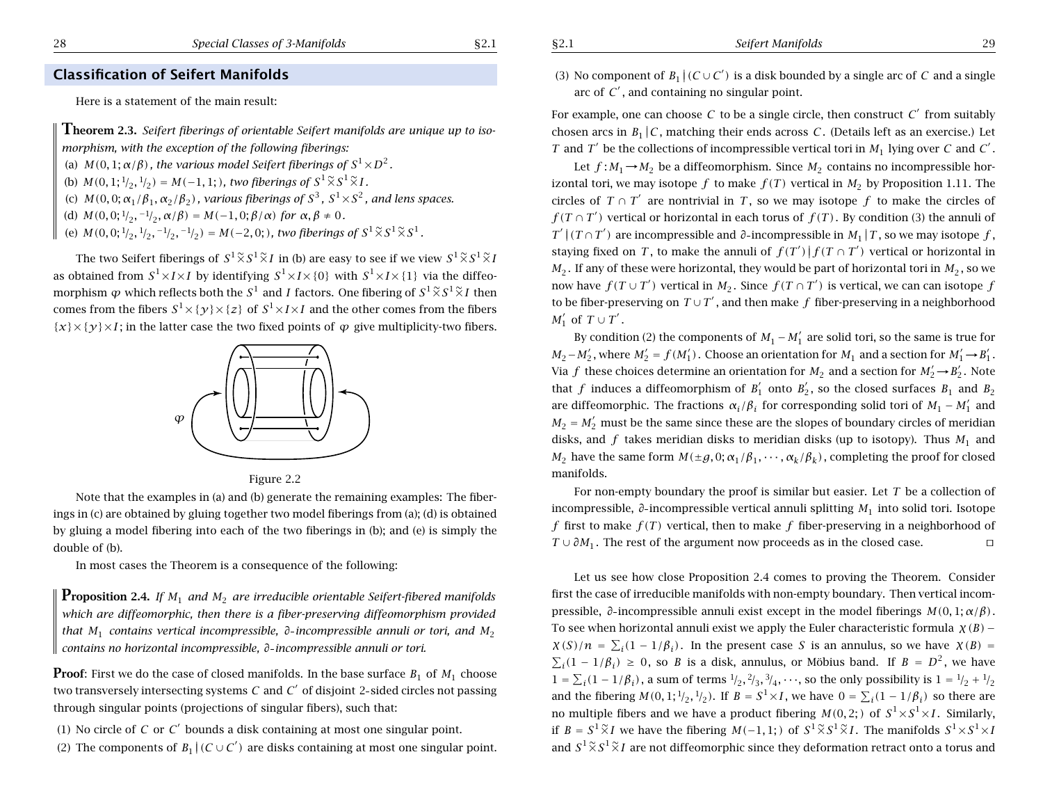### **Classification of Seifert Manifolds**

Here is <sup>a</sup> statement of the main result:

**Theorem 2.3.** Seifert fiberings of orientable Seifert manifolds are unique up to iso*morphism, with the exception of the following fiberings:* (a)  $M(0,1;\alpha/\beta)$  , the various model Seifert fiberings of  $S^1 {\times} D^2$  .

(b)  $M(0, 1; \frac{1}{2}, \frac{1}{2}) = M(-1, 1;)$ *, two fiberings of*  $S^1 \widetilde{\times} S^1 \widetilde{\times} I$ *.* 

(c)  $\,M(0,0;\alpha_1/\beta_1,\alpha_2/\beta_2)$  , various fiberings of  $\,S^3$  ,  $\,S^1\!\times\!S^2$  , and lens spaces.

(d)  $M(0,0;1/2,-1/2,\alpha/\beta) = M(-1,0;\beta/\alpha)$  for  $\alpha, \beta \neq 0$ .

(e)  $M(0,0;1 \_2,1 \_2,-1 \_2,-1 \_2)=M(-2,0;),$  two fiberings of  $S^1 \widetilde{\times} S^1 \widetilde{\times} S^1$  .

The two Seifert fiberings of  $S^1 \widetilde{\times} S^1 \widetilde{\times} I$  in (b) are easy to see if we view  $S^1 \widetilde{\times} S^1 \widetilde{\times} I$ as obtained from  $S^1 \times I \times I$  by identifying  $S^1 \times I \times \{0\}$  with  $S^1 \times I \times \{1\}$  via the diffeomorphism  $\varphi$  which reflects both the  $S^1$  and  $I$  factors. One fibering of  $S^1 \widetilde{\times} S^1 \widetilde{\times} I$  then comes from the fibers  $S^1 \times \{ \mathcal{Y} \} \times \{ \mathcal{Z} \}$  of  $S^1 \times I \times I$  and the other comes from the fibers  $\{x\}\times\{y\}\times I$ ; in the latter case the two fixed points of  $\varphi$  give multiplicity-two fibers.



#### Figure 2.2

Note that the examples in (a) and (b) generate the remaining examples: The fiberings in (c) are obtained by gluing together two model fiberings from (a); (d) is obtained by gluing <sup>a</sup> model fibering into each of the two fiberings in (b); and (e) is simply the double of (b).

In most cases the Theorem is <sup>a</sup> consequence of the following:

**Proposition 2.4.** *If <sup>M</sup>*<sup>1</sup> *and <sup>M</sup>*<sup>2</sup> *are irreducible orientable Seifert-fibered manifolds which are diffeomorphic, then there is <sup>a</sup> fiber-preserving diffeomorphism provided that <sup>M</sup>*<sup>1</sup> *contains vertical incompressible, ∂ incompressible annuli or tori, and M*<sup>2</sup> *contains no horizontal incompressible, ∂ incompressible annuli or tori.*

**Proof**: First we do the case of closed manifolds. In the base surface  $B_1$  of  $M_1$  choose two transversely intersecting systems *C* and *C'* of disjoint 2-sided circles not passing through singular points (projections of singular fibers), such that:

 $(1)$  No circle of C or C' bounds a disk containing at most one singular point.

(2) The components of  $B_1 \,|\, (C \cup C')$  are disks containing at most one singular point.

(3) No component of  $B_1 | (C \cup C')$  is a disk bounded by a single arc of C and a single arc of  $C'$  , and containing no singular point.

For example, one can choose C to be a single circle, then construct C' from suitably chosen arcs in  $B_1 | C$ , matching their ends across  $C$ . (Details left as an exercise.) Let *T* and *T*<sup> $\prime$ </sup> be the collections of incompressible vertical tori in  $M_1$  lying over *C* and *C*<sup> $\prime$ </sup>.

Let  $f : M_1 \rightarrow M_2$  be a diffeomorphism. Since  $M_2$  contains no incompressible horizontal tori, we may isotope  $f$  to make  $f(T)$  vertical in  $M_2$  by Proposition 1.11. The circles of  $T \cap T'$  are nontrivial in T, so we may isotope f to make the circles of  $f(T \cap T')$  vertical or horizontal in each torus of  $f(T)$ . By condition (3) the annuli of  $T' \, | \, (T \cap T') \,$  are incompressible and *∂*-incompressible in  $M_1 \, | \, T$  , so we may isotope  $f$  , staying fixed on  $T$ , to make the annuli of  $f(T')\vert f(T\cap T')$  vertical or horizontal in  $M_2.$  If any of these were horizontal, they would be part of horizontal tori in  $M_2$ , so we now have  $f(T \cup T')$  vertical in  $M_2$ . Since  $f(T \cap T')$  is vertical, we can can isotope  $f$ to be fiber-preserving on  $T\cup T'$  , and then make  $f$  fiber-preserving in a neighborhood  $M_1'$  of  $T \cup T'$ .

By condition (2) the components of  $M_1 - M'_1$  are solid tori, so the same is true for *M*<sub>2</sub> − *M*<sub>2</sub><sup>'</sup>, where *M*<sub>2</sub><sup>'</sup> = *f*(*M*<sub>1</sub><sup>'</sup>). Choose an orientation for *M*<sub>1</sub> and a section for *M*<sub>1</sub><sup>'</sup> → *B*<sub>1</sub><sup>'</sup>. Via f these choices determine an orientation for  $M_2$  and a section for  $M_2' \rightarrow B_2'$ . Note that f induces a diffeomorphism of  $B_1'$  onto  $B_2'$ , so the closed surfaces  $B_1$  and  $B_2$ are diffeomorphic. The fractions  $\alpha_i/\beta_i$  for corresponding solid tori of  $M_1 - M_1'$  and  $M_2 = M_2'$  must be the same since these are the slopes of boundary circles of meridian disks, and *f* takes meridian disks to meridian disks (up to isotopy). Thus *<sup>M</sup>*<sup>1</sup> and *M*<sub>2</sub> have the same form  $M(\pm g, 0; \alpha_1/\beta_1, \cdots, \alpha_k/\beta_k)$ , completing the proof for closed manifolds.

For non-empty boundary the proof is similar but easier. Let *T* be <sup>a</sup> collection of incompressible, *∂* incompressible vertical annuli splitting *<sup>M</sup>*<sup>1</sup> into solid tori. Isotope *f* first to make  $f(T)$  vertical, then to make  $f$  fiber-preserving in a neighborhood of *T* ∪  $\partial M_1$ . The rest of the argument now proceeds as in the closed case.  $\Box$ 

Let us see how close Proposition 2.4 comes to proving the Theorem. Consider first the case of irreducible manifolds with non-empty boundary. Then vertical incompressible, *∂* incompressible annuli exist except in the model fiberings *M(*0*,* 1; *α/β)*. To see when horizontal annuli exist we apply the Euler characteristic formula *χ(B)* −  $\chi(S)/n = \sum_i (1 - 1/\beta_i)$ . In the present case *S* is an annulus, so we have  $\chi(B) =$  $\sum_i(1-1/\beta_i) \geq 0$ , so *B* is a disk, annulus, or Möbius band. If  $B = D^2$ , we have  $1 = \sum_i (1 - 1/\beta_i)$ , a sum of terms  $\frac{1}{2}, \frac{2}{3}, \frac{3}{4}, \cdots$ , so the only possibility is  $1 = \frac{1}{2} + \frac{1}{2}$ and the fibering  $M(0,1; \frac{1}{2}, \frac{1}{2})$ . If  $B = S^1 \times I$ , we have  $0 = \sum_i (1 - 1/\beta_i)$  so there are no multiple fibers and we have a product fibering  $M(0,2;)$  of  $S^1 {\times} S^1 {\times} I$ . Similarly, if  $B = S^1 \widetilde{\times} I$  we have the fibering  $M(-1,1; )$  of  $S^1 \widetilde{\times} S^1 \widetilde{\times} I$ . The manifolds  $S^1 {\times} S^1 {\times} I$ and  $S^1 \widetilde{\times} S^1 \widetilde{\times} I$  are not diffeomorphic since they deformation retract onto a torus and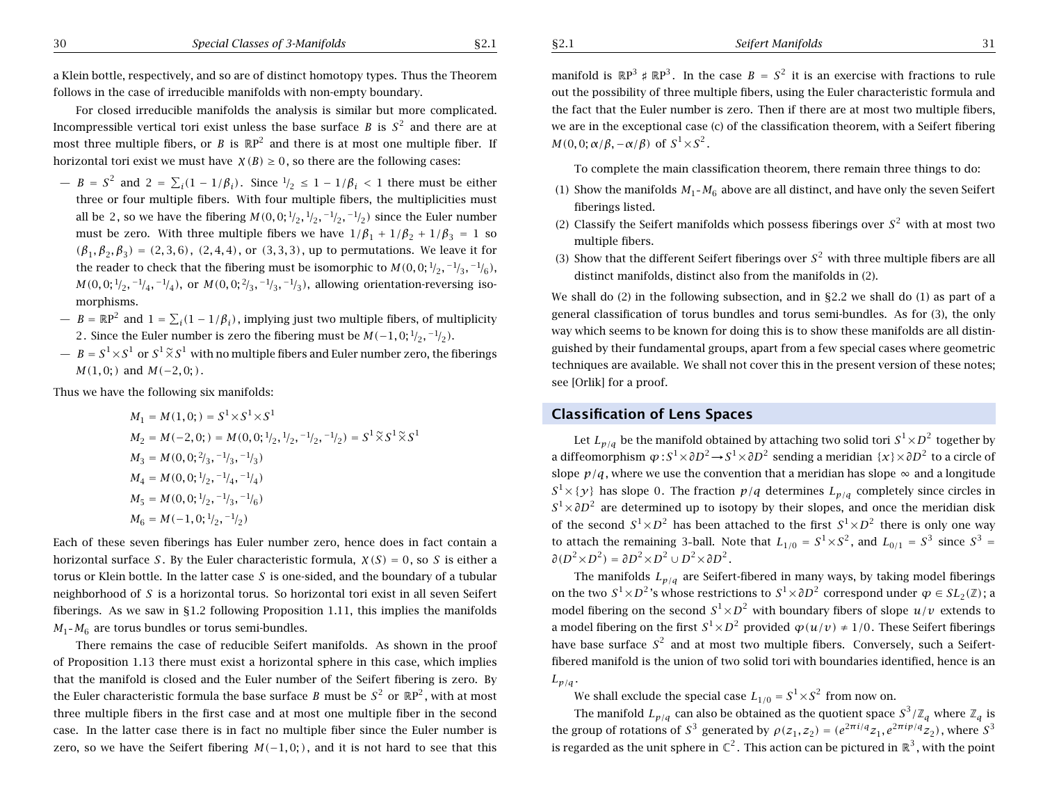<sup>a</sup> Klein bottle, respectively, and so are of distinct homotopy types. Thus the Theorem follows in the case of irreducible manifolds with non-empty boundary.

For closed irreducible manifolds the analysis is similar but more complicated. Incompressible vertical tori exist unless the base surface  $B$  is  $S^2$  and there are at most three multiple fibers, or *B* is  $\mathbb{R}P^2$  and there is at most one multiple fiber. If horizontal tori exist we must have  $\chi(B) \geq 0$ , so there are the following cases:

- $−$  *B* = *S*<sup>2</sup> and 2 =  $\sum_i (1 1/\beta_i)$ . Since  $\frac{1}{2}$  ≤ 1 − 1/β<sub>i</sub> < 1 there must be either three or four multiple fibers. With four multiple fibers, the multiplicities must all be 2, so we have the fibering  $M(0, 0; \frac{1}{2}, \frac{1}{2}, \frac{-1}{2}, \frac{-1}{2})$  since the Euler number must be zero. With three multiple fibers we have  $1/\beta_1 + 1/\beta_2 + 1/\beta_3 = 1$  so  $(\beta_1, \beta_2, \beta_3) = (2, 3, 6)$ ,  $(2, 4, 4)$ , or  $(3, 3, 3)$ , up to permutations. We leave it for the reader to check that the fibering must be isomorphic to  $M(0,0; 1/2, -1/3, -1/6)$ , *M*(0*,* 0; <sup>1</sup>/<sub>2</sub>*,* −1/<sub>4</sub>*,* −1/<sub>4</sub>), or *M*(0*,* 0; <sup>2</sup>/<sub>3</sub>*,* −1/<sub>3</sub>*,* −1/<sub>3</sub>), allowing orientation-reversing isomorphisms.
- $−$  *B* = ℝP<sup>2</sup> and 1 =  $\sum_i(1 1/\beta_i)$ , implying just two multiple fibers, of multiplicity 2. Since the Euler number is zero the fibering must be  $M(-1,0;1/_{2},-1/_{2})$ .
- $\bar{B} = S^1 \times S^1 \text{ or } S^1 \widetilde{\times} S^1 \text{ with no multiple fibers and Euler number zero, the fiberings.$ *M*(1*,* 0; *)* and *M*(−2*,* 0; *)*.

Thus we have the following six manifolds:

$$
M_1 = M(1,0; ) = S^1 \times S^1 \times S^1
$$
  
\n
$$
M_2 = M(-2,0; ) = M(0,0; {}^{1}/_{2}, {}^{1}/_{2}, {}^{-1}/_{2}) = S^1 \tilde{\times} S^1 \tilde{\times} S^1
$$
  
\n
$$
M_3 = M(0,0; {}^{2}/_{3}, {}^{-1}/_{3}, {}^{-1}/_{3})
$$
  
\n
$$
M_4 = M(0,0; {}^{1}/_{2}, {}^{-1}/_{4}, {}^{-1}/_{4})
$$
  
\n
$$
M_5 = M(0,0; {}^{1}/_{2}, {}^{-1}/_{3}, {}^{-1}/_{6})
$$
  
\n
$$
M_6 = M(-1,0; {}^{1}/_{2}, {}^{-1}/_{2})
$$

Each of these seven fiberings has Euler number zero, hence does in fact contain <sup>a</sup> horizontal surface *S* . By the Euler characteristic formula, *χ(S)* = 0, so *S* is either a torus or Klein bottle. In the latter case *S* is one-sided, and the boundary of <sup>a</sup> tubular neighborhood of *S* is <sup>a</sup> horizontal torus. So horizontal tori exist in all seven Seifert fiberings. As we saw in §1.2 following Proposition 1.11, this implies the manifolds  $M_1$ - $M_6$  are torus bundles or torus semi-bundles.

There remains the case of reducible Seifert manifolds. As shown in the proof of Proposition 1.13 there must exist <sup>a</sup> horizontal sphere in this case, which implies that the manifold is closed and the Euler number of the Seifert fibering is zero. By the Euler characteristic formula the base surface  $B$  must be  $S^2$  or  $\mathbb{R} \text{P}^2$ , with at most three multiple fibers in the first case and at most one multiple fiber in the second case. In the latter case there is in fact no multiple fiber since the Euler number is zero, so we have the Seifert fibering  $M(-1,0;)$ , and it is not hard to see that this

manifold is  $\mathbb{R}P^3 \nless \mathbb{R}P^3$ . In the case  $B = S^2$  it is an exercise with fractions to rule out the possibility of three multiple fibers, using the Euler characteristic formula and the fact that the Euler number is zero. Then if there are at most two multiple fibers, we are in the exceptional case (c) of the classification theorem, with <sup>a</sup> Seifert fibering *M*(0,0;  $\alpha/\beta$ ,  $-\alpha/\beta$ ) of  $S^1 \times S^2$ .

To complete the main classification theorem, there remain three things to do:

- (1) Show the manifolds  $M_1$ - $M_6$  above are all distinct, and have only the seven Seifert fiberings listed.
- (2) Classify the Seifert manifolds which possess fiberings over  $S^2$  with at most two multiple fibers.
- (3) Show that the different Seifert fiberings over  $S^2$  with three multiple fibers are all distinct manifolds, distinct also from the manifolds in (2).

We shall do (2) in the following subsection, and in §2.2 we shall do (1) as part of <sup>a</sup> general classification of torus bundles and torus semi-bundles. As for (3), the only way which seems to be known for doing this is to show these manifolds are all distinguished by their fundamental groups, apart from <sup>a</sup> few special cases where geometric techniques are available. We shall not cover this in the present version of these notes; see [Orlik] for <sup>a</sup> proof.

### **Classification of Lens Spaces**

Let  $L_{p/q}$  be the manifold obtained by attaching two solid tori  $S^1 {\times} D^2$  together by <sup>a</sup> diffeomorphism *<sup>ϕ</sup>* : *<sup>S</sup>*<sup>1</sup>×*∂D*<sup>2</sup> → *<sup>S</sup>*<sup>1</sup>×*∂D*<sup>2</sup> sending <sup>a</sup> meridian {*x*}×*∂D*<sup>2</sup> to <sup>a</sup> circle of slope  $\,p/q$  , where we use the convention that a meridian has slope  $\,\infty\,$  and a longitude  $S^1\times \{ {\cal Y} \}$  has slope 0. The fraction  $p/q$  determines  $L_{p/q}$  completely since circles in  $S^1 \times \partial D^2$  are determined up to isotopy by their slopes, and once the meridian disk of the second  $S^1 {\times} D^2$  has been attached to the first  $S^1 {\times} D^2$  there is only one way to attach the remaining 3-ball. Note that  $L_{1/0} = S^1 \times S^2$ , and  $L_{0/1} = S^3$  since  $S^3 =$  $\partial (D^2 {\times} D^2) = \partial D^2 {\times} D^2 \cup D^2 {\times} \partial D^2$  .

The manifolds *Lp/q* are Seifert-fibered in many ways, by taking model fiberings on the two  $S^1 {\times} D^2$  's whose restrictions to  $S^1 {\times} \partial D^2$  correspond under  $\varphi \in SL_2(\mathbb{Z})$  ; a model fibering on the second  $S^1 {\times} D^2$  with boundary fibers of slope  $u/v$  extends to a model fibering on the first  $S^1 {\times} D^2$  provided  $\bm{\varphi}(u/v) \neq 1/0.$  These Seifert fiberings have base surface  $S^2$  and at most two multiple fibers. Conversely, such a Seifertfibered manifold is the union of two solid tori with boundaries identified, hence is an  $L_{p/q}$ .

We shall exclude the special case  $L_{1/0} = S^1 \times S^2$  from now on.

The manifold  $L_{p/q}$  can also be obtained as the quotient space  $S^3/\mathbb{Z}_q$  where  $\mathbb{Z}_q$  is the group of rotations of  $S^3$  generated by  $\rho(z_1, z_2) = (e^{2\pi i/q} z_1, e^{2\pi i p/q} z_2)$ , where  $S^3$ is regarded as the unit sphere in  $\mathbb{C}^2.$  This action can be pictured in  $\mathbb{R}^3$  , with the point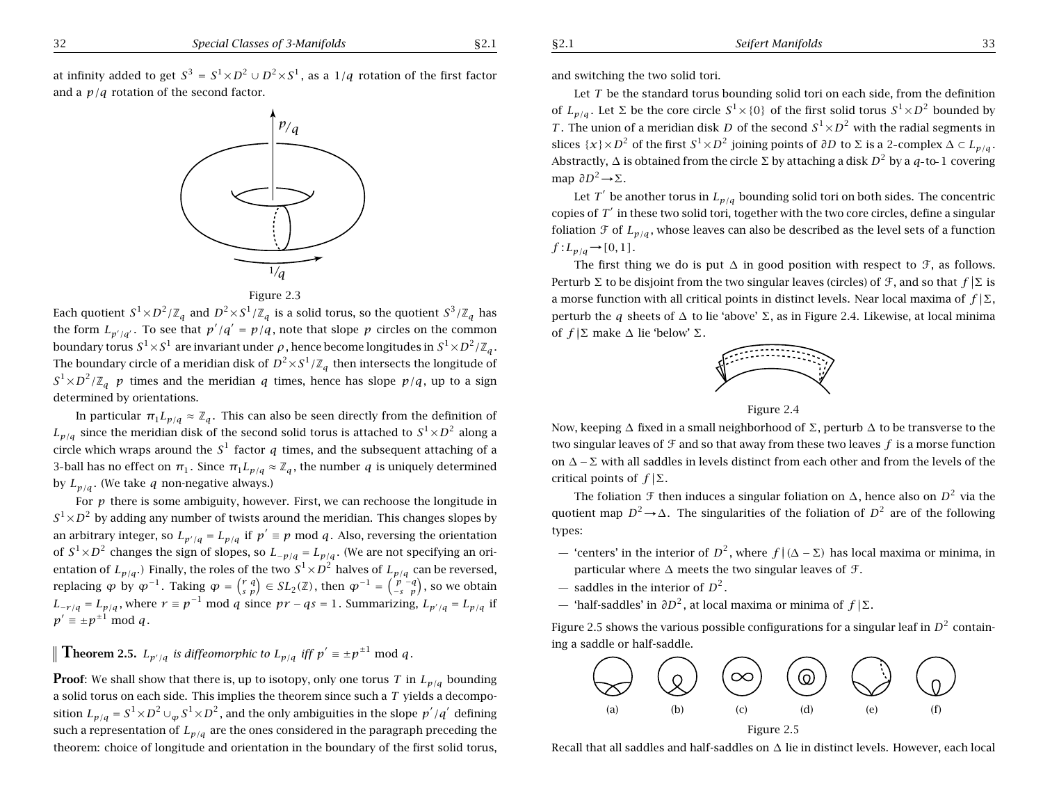32 *Special Classes of 3-Manifolds* §2.1

*<sup>p</sup>*/*<sup>q</sup>*

at infinity added to get  $S^3 = S^1 \times D^2 \cup D^2 \times S^1$ , as a  $1/q$  rotation of the first factor and <sup>a</sup> *p/q* rotation of the second factor.

Each quotient  $S^1 \times D^2/\mathbb{Z}_q$  and  $D^2 \times S^1/\mathbb{Z}_q$  is a solid torus, so the quotient  $S^3/\mathbb{Z}_q$  has the form  $L_{p'/q'}$ . To see that  $p'/q' = p/q$ , note that slope *p* circles on the common boundary torus  $S^1 \times S^1$  are invariant under  $\rho$ , hence become longitudes in  $S^1 \times D^2/\mathbb{Z}_q$ . The boundary circle of a meridian disk of  $D^2 \times S^1/\mathbb{Z}_q$  then intersects the longitude of  $S^1 \times D^2/\mathbb{Z}_q$  *p* times and the meridian *q* times, hence has slope *p/q*, up to a sign determined by orientations.

 $\frac{1}{a}$ Figure 2.3

In particular  $\pi_1 L_{p/q} \approx \mathbb{Z}_q$ . This can also be seen directly from the definition of  $L_{p/q}$  since the meridian disk of the second solid torus is attached to  $S^1 \times D^2$  along a circle which wraps around the  $S^1$  factor q times, and the subsequent attaching of a 3-ball has no effect on  $\pi_1$ . Since  $\pi_1 L_{p/q} \approx \mathbb{Z}_q$ , the number *q* is uniquely determined by  $L_{p/q}$ . (We take *q* non-negative always.)

For *p* there is some ambiguity, however. First, we can rechoose the longitude in  $S^1 \times D^2$  by adding any number of twists around the meridian. This changes slopes by an arbitrary integer, so  $L_{p'/q} = L_{p/q}$  if  $p' \equiv p \mod q$ . Also, reversing the orientation of  $S^1 \times D^2$  changes the sign of slopes, so  $L_{-p/q} = L_{p/q}$ . (We are not specifying an orientation of  $L_{p/q}$ .) Finally, the roles of the two  $S^1 \times D^2$  halves of  $L_{p/q}$  can be reversed, replacing  $\varphi$  by  $\varphi^{-1}$ . Taking  $\varphi = \begin{pmatrix} r & q \\ s & p \end{pmatrix} \in SL_2(\mathbb{Z})$ , then  $\varphi^{-1} = \begin{pmatrix} p & -q \\ -s & p \end{pmatrix}$ , so we obtain *L*<sub>−*r*</sub>*/q* = *L*<sub>*p*</sub>/*q*, where *r* ≡ *p*<sup>−1</sup> mod *q* since *pr* − *qs* = 1. Summarizing,  $L_{p'/q} = L_{p/q}$  if  $p' \equiv \pm p^{\pm 1} \mod q$ .

**Theorem 2.5.**  $L_{p'/q}$  is diffeomorphic to  $L_{p/q}$  iff  $p' \equiv \pm p^{\pm 1} \mod q$ .

**Proof:** We shall show that there is, up to isotopy, only one torus *T* in  $L_{p/q}$  bounding <sup>a</sup> solid torus on each side. This implies the theorem since such <sup>a</sup> *T* yields <sup>a</sup> decomposition  $L_{p/q} = S^1 \times D^2 \cup_{\omega} S^1 \times D^2$ , and the only ambiguities in the slope  $p'/q'$  defining such a representation of  $L_{p/q}$  are the ones considered in the paragraph preceding the theorem: choice of longitude and orientation in the boundary of the first solid torus, and switching the two solid tori.

Let *T* be the standard torus bounding solid tori on each side, from the definition of  $L_{p/q}$ . Let  $\Sigma$  be the core circle  $S^1 \times \{0\}$  of the first solid torus  $S^1 \times D^2$  bounded by *T*. The union of a meridian disk *D* of the second  $S^1 \times D^2$  with the radial segments in slices  $\{x\}\times D^2$  of the first  $S^1\times D^2$  joining points of  $\partial D$  to  $\Sigma$  is a 2-complex  $\Delta \subset L_{p/q}$ . Abstractly, <sup>∆</sup> is obtained from the circle <sup>Σ</sup> by attaching <sup>a</sup> disk *<sup>D</sup>*<sup>2</sup> by <sup>a</sup> *<sup>q</sup>* to <sup>1</sup> covering map  $\partial D^2 \rightarrow \Sigma$ .

Let *T'* be another torus in  $L_{p/q}$  bounding solid tori on both sides. The concentric copies of *T*<sup> $\prime$ </sup> in these two solid tori, together with the two core circles, define a singular foliation  $\mathcal F$  of  $L_{p/q}$ , whose leaves can also be described as the level sets of a function  $f: L_{p/q} \rightarrow [0,1].$ 

The first thing we do is put  $\Delta$  in good position with respect to  $\mathcal{F}$ , as follows. Perturb Σ to be disjoint from the two singular leaves (circles) of  $\mathcal{F}$ , and so that  $f | \Sigma$  is a morse function with all critical points in distinct levels. Near local maxima of  $f | Σ$ , perturb the *q* sheets of  $\Delta$  to lie 'above'  $\Sigma$ , as in Figure 2.4. Likewise, at local minima of  $f | \Sigma$  make  $\Delta$  lie 'below' Σ.



Figure 2.4

Now, keeping Δ fixed in a small neighborhood of Σ, perturb Δ to be transverse to the two singular leaves of F and so that away from these two leaves *f* is <sup>a</sup> morse function on  $\Delta - \Sigma$  with all saddles in levels distinct from each other and from the levels of the critical points of  $f|\Sigma$ .

The foliation  $\mathfrak F$  then induces a singular foliation on  $\Delta$ , hence also on  $D^2$  via the quotient map  $D^2 \rightarrow \Delta$ . The singularities of the foliation of  $D^2$  are of the following types:

- 'centers' in the interior of *<sup>D</sup>*<sup>2</sup> , where *f* ||*(*<sup>∆</sup> <sup>−</sup> <sup>Σ</sup>*)* has local maxima or minima, in particular where  $\Delta$  meets the two singular leaves of  $\mathcal{F}$ .
- $-$  saddles in the interior of  $D^2$  .
- $-$  'half-saddles' in  $\partial D^2$ , at local maxima or minima of  $f | \Sigma.$

Figure 2.5 shows the various possible configurations for a singular leaf in  $D^2$  containing <sup>a</sup> saddle or half-saddle.



Recall that all saddles and half-saddles on ∆ lie in distinct levels. However, each local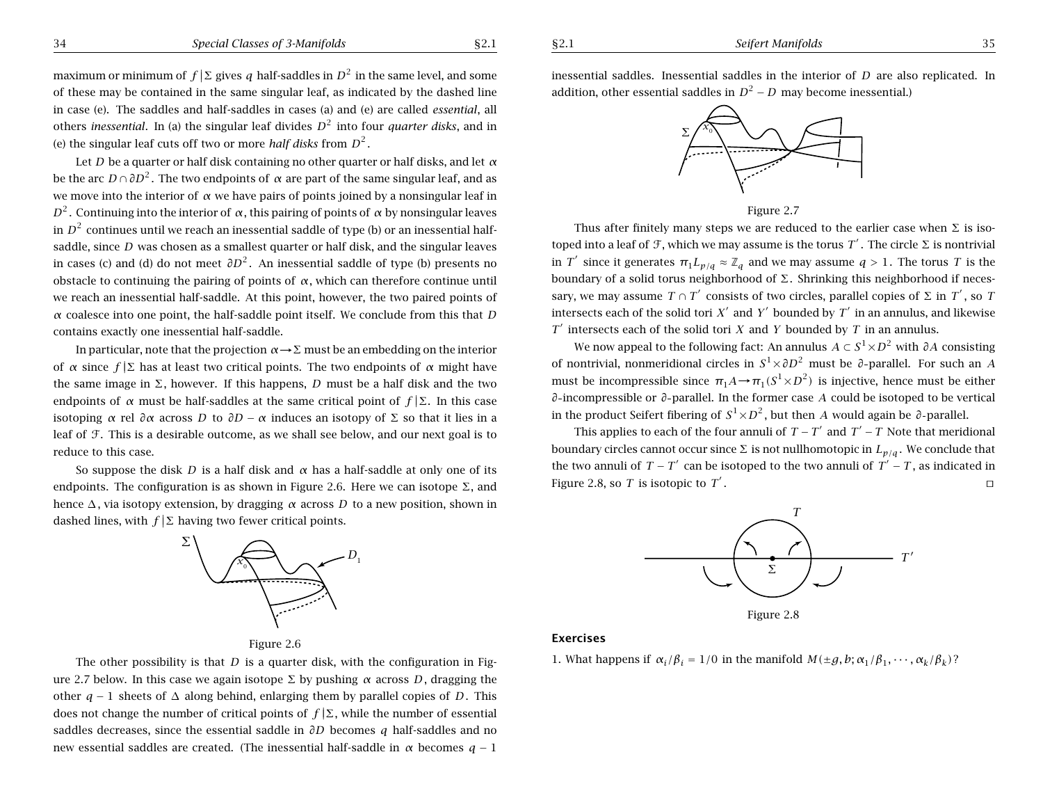Let *D* be <sup>a</sup> quarter or half disk containing no other quarter or half disks, and let *<sup>α</sup>* be the arc *<sup>D</sup>* <sup>∩</sup>*∂D*<sup>2</sup> . The two endpoints of *<sup>α</sup>* are part of the same singular leaf, and as we move into the interior of *<sup>α</sup>* we have pairs of points joined by <sup>a</sup> nonsingular leaf in *D*<sup>2</sup>. Continuing into the interior of *α*, this pairing of points of *α* by nonsingular leaves in  $D<sup>2</sup>$  continues until we reach an inessential saddle of type (b) or an inessential halfsaddle, since *D* was chosen as <sup>a</sup> smallest quarter or half disk, and the singular leaves in cases (c) and (d) do not meet  $\partial D^2$ . An inessential saddle of type (b) presents no obstacle to continuing the pairing of points of *<sup>α</sup>*, which can therefore continue until we reach an inessential half-saddle. At this point, however, the two paired points of *<sup>α</sup>* coalesce into one point, the half-saddle point itself. We conclude from this that *D* contains exactly one inessential half-saddle.

In particular, note that the projection *<sup>α</sup>*→Σ must be an embedding on the interior of *α* since  $f | Σ$  has at least two critical points. The two endpoints of *α* might have the same image in  $\Sigma$ , however. If this happens, *D* must be a half disk and the two endpoints of  $\alpha$  must be half-saddles at the same critical point of  $f(\Sigma)$ . In this case isotoping *α* rel  $\partial \alpha$  across *D* to  $\partial D - \alpha$  induces an isotopy of Σ so that it lies in a leaf of F. This is <sup>a</sup> desirable outcome, as we shall see below, and our next goal is to reduce to this case.

So suppose the disk *D* is a half disk and  $\alpha$  has a half-saddle at only one of its endpoints. The configuration is as shown in Figure 2.6. Here we can isotope  $\Sigma$ , and hence ∆, via isotopy extension, by dragging *<sup>α</sup>* across *D* to <sup>a</sup> new position, shown in dashed lines, with  $f|\Sigma$  having two fewer critical points.







The other possibility is that *D* is a quarter disk, with the configuration in Figure 2.7 below. In this case we again isotope  $\Sigma$  by pushing *α* across *D*, dragging the other *q* <sup>−</sup> 1 sheets of ∆ along behind, enlarging them by parallel copies of *D*. This does not change the number of critical points of  $f | \Sigma$ , while the number of essential saddles decreases, since the essential saddle in *∂D* becomes *q* half-saddles and no new essential saddles are created. (The inessential half-saddle in *<sup>α</sup>* becomes *q* <sup>−</sup> 1

inessential saddles. Inessential saddles in the interior of *D* are also replicated. In addition, other essential saddles in  $D^2 - D$  may become inessential.)



Figure 2.7

Thus after finitely many steps we are reduced to the earlier case when  $\Sigma$  is isotoped into a leaf of F, which we may assume is the torus T'. The circle  $\Sigma$  is nontrivial in *T'* since it generates  $\pi_1 L_{p/q} \approx \mathbb{Z}_q$  and we may assume  $q > 1$ . The torus *T* is the boundary of a solid torus neighborhood of  $\Sigma$ . Shrinking this neighborhood if necessary, we may assume  $T \cap T'$  consists of two circles, parallel copies of  $\Sigma$  in  $T'$ , so  $T$ intersects each of the solid tori  $X'$  and  $Y'$  bounded by  $T'$  in an annulus, and likewise *T*<sup> $\prime$ </sup> intersects each of the solid tori *X* and *Y* bounded by *T* in an annulus.

We now appeal to the following fact: An annulus  $A \subset S^1 \times D^2$  with  $\partial A$  consisting of nontrivial, nonmeridional circles in *<sup>S</sup>*<sup>1</sup>×*∂D*<sup>2</sup> must be *<sup>∂</sup>* parallel. For such an *<sup>A</sup>* must be incompressible since  $\pi_1 A \rightarrow \pi_1 (S^1 \times D^2)$  is injective, hence must be either *∂* incompressible or *∂* parallel. In the former case *A* could be isotoped to be vertical in the product Seifert fibering of  $S^1 \times D^2$ , but then *A* would again be  $\partial$ -parallel.

This applies to each of the four annuli of  $T - T'$  and  $T' - T$  Note that meridional boundary circles cannot occur since  $\Sigma$  is not nullhomotopic in  $L_{p/q}$ . We conclude that the two annuli of  $T - T'$  can be isotoped to the two annuli of  $T' - T$ , as indicated in Figure 2.8, so *T* is isotopic to  $T'$ .





#### **Exercises**

1. What happens if  $\alpha_i/\beta_i = 1/0$  in the manifold  $M(\pm g, b; \alpha_1/\beta_1, \cdots, \alpha_k/\beta_k)$ ?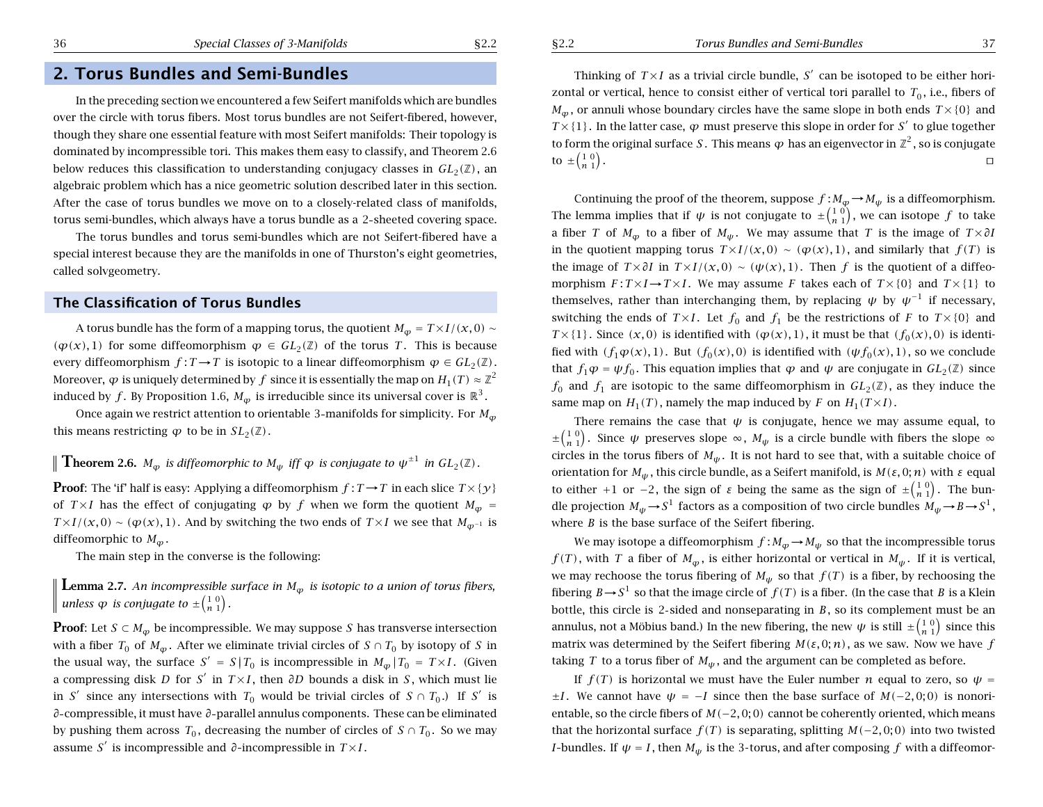# **2. Torus Bundles and Semi-Bundles**

In the preceding section we encountered <sup>a</sup> few Seifert manifolds which are bundles over the circle with torus fibers. Most torus bundles are not Seifert-fibered, however, though they share one essential feature with most Seifert manifolds: Their topology is dominated by incompressible tori. This makes them easy to classify, and Theorem 2.6 below reduces this classification to understanding conjugacy classes in  $GL_2(\mathbb{Z})$ , an algebraic problem which has <sup>a</sup> nice geometric solution described later in this section. After the case of torus bundles we move on to <sup>a</sup> closely-related class of manifolds, torus semi-bundles, which always have <sup>a</sup> torus bundle as <sup>a</sup> 2 sheeted covering space.

The torus bundles and torus semi-bundles which are not Seifert-fibered have <sup>a</sup> special interest because they are the manifolds in one of Thurston's eight geometries, called solvgeometry.

### **The Classification of Torus Bundles**

A torus bundle has the form of a mapping torus, the quotient  $M_\phi = T \times I/(x,0) \sim$  $(\varphi(x), 1)$  for some diffeomorphism  $\varphi \in GL_2(\mathbb{Z})$  of the torus T. This is because every diffeomorphism  $f: T \to T$  is isotopic to a linear diffeomorphism  $\varphi \in GL_2(\mathbb{Z})$ . Moreover,  $\varphi$  is uniquely determined by  $f$  since it is essentially the map on  $H_1(T) \approx \mathbb{Z}^2$ induced by  $f.$  By Proposition 1.6,  $M_\varphi$  is irreducible since its universal cover is  $\mathbb{R}^3.$ 

Once again we restrict attention to orientable  $3$ -manifolds for simplicity. For  $M_{\varphi}$ this means restricting  $\varphi$  to be in  $SL_2(\mathbb{Z})$  .

**Theorem 2.6.**  $M_{\varphi}$  is diffeomorphic to  $M_{\psi}$  iff  $\varphi$  is conjugate to  $\psi^{\pm 1}$  in  $GL_2(\mathbb{Z})$  .

**Proof**: The 'if' half is easy: Applying a diffeomorphism  $f : T \rightarrow T$  in each slice  $T \times \{y\}$ of *T*×*I* has the effect of conjugating  $\varphi$  by  $f$  when we form the quotient  $M_\varphi$  = *T* × *I*/(*x*, 0) ∼ ( $\varphi$ (*x*), 1). And by switching the two ends of *T* × *I* we see that  $M_{\varphi^{-1}}$  is diffeomorphic to  $M_\varphi$  .

The main step in the converse is the following:

 ${\bf L}$ emma 2.7. An incompressible surface in  $M_\varphi$  is isotopic to a union of torus fibers,  $\nu$  *unless*  $\varphi$  *is conjugate to*  $\pm \left(\frac{1}{n} \frac{0}{1}\right)$ .

**Proof**: Let  $S \subset M_\varphi$  be incompressible. We may suppose  $S$  has transverse intersection with a fiber  $T_0$  of  $M_\varphi$ . After we eliminate trivial circles of  $S \cap T_0$  by isotopy of  $S$  in the usual way, the surface  $S' = S | T_0$  is incompressible in  $M_\varphi | T_0 = T \times I$ . (Given <sup>a</sup> compressing disk *D* for *S*<sup>0</sup> in *T* <sup>×</sup>*I* , then *∂D* bounds <sup>a</sup> disk in *S* , which must lie in S<sup> $\prime$ </sup> since any intersections with  $T_0$  would be trivial circles of  $S \cap T_0$ .) If S $\prime$  is *∂* compressible, it must have *∂* parallel annulus components. These can be eliminated by pushing them across  $T_0$ , decreasing the number of circles of  $S \cap T_0$ . So we may assume S<sup> $\prime$ </sup> is incompressible and  $\partial$ -incompressible in  $T \times I$ .

Thinking of  $T \times I$  as a trivial circle bundle, S' can be isotoped to be either horizontal or vertical, hence to consist either of vertical tori parallel to *<sup>T</sup>*<sup>0</sup> , i.e., fibers of  $M_\varphi$  , or annuli whose boundary circles have the same slope in both ends  $T\times\{0\}$  and  $T\times\{1\}$ . In the latter case,  $\varphi$  must preserve this slope in order for S<sup>'</sup> to glue together to form the original surface  $S$  . This means  $\varphi$  has an eigenvector in  $\mathbb{Z}^2$  , so is conjugate to  $\pm \begin{pmatrix} 1 & 0 \\ n & 1 \end{pmatrix}$ . Turkiya ta 1980-yil turkiya ta 1980-yil turkiya ta 1980-yil turkiya ta 1980-yil turkiya ta 1980-yil turkiya

Continuing the proof of the theorem, suppose  $f$  :  $M_\varphi$   $\rightarrow$   $M_\psi$  is a diffeomorphism. The lemma implies that if  $\psi$  is not conjugate to  $\pm\binom{1\;0}{n\;1},$  we can isotope  $f$  to take a fiber  $T$  of  $M_\varphi$  to a fiber of  $M_\psi$ . We may assume that  $T$  is the image of  $T \times \partial I$ in the quotient mapping torus  $T \times I/(\mathcal{X}, 0) \sim (\varphi(\mathcal{X}), 1)$ , and similarly that  $f(T)$  is the image of  $T \times \partial I$  in  $T \times I/(\mathbf{x}, 0) \sim (\psi(\mathbf{x}), 1)$ . Then f is the quotient of a diffeomorphism  $F: T \times I \rightarrow T \times I$ . We may assume F takes each of  $T \times \{0\}$  and  $T \times \{1\}$  to themselves, rather than interchanging them, by replacing  $\psi$  by  $\psi^{-1}$  if necessary, switching the ends of  $T \times I$ . Let  $f_0$  and  $f_1$  be the restrictions of F to  $T \times \{0\}$  and *T* × {1}. Since  $(x, 0)$  is identified with  $(\varphi(x), 1)$ , it must be that  $(f_0(x), 0)$  is identified with  $(f_1\varphi(x), 1)$ . But  $(f_0(x), 0)$  is identified with  $(\psi f_0(x), 1)$ , so we conclude that  $f_1 \varphi = \psi f_0$ . This equation implies that  $\varphi$  and  $\psi$  are conjugate in  $GL_2(\mathbb{Z})$  since  $f_0$  and  $f_1$  are isotopic to the same diffeomorphism in  $GL_2(\mathbb{Z})$ , as they induce the same map on  $H_1(T)$ , namely the map induced by F on  $H_1(T \times I)$ .

There remains the case that  $\psi$  is conjugate, hence we may assume equal, to  $\pm \binom{1 \ 0}{n \ 1}$ . Since  $\psi$  preserves slope  $\infty$ ,  $M_{\psi}$  is a circle bundle with fibers the slope  $\infty$ circles in the torus fibers of  $M_\psi.$  It is not hard to see that, with a suitable choice of orientation for *Mψ* , this circle bundle, as <sup>a</sup> Seifert manifold, is *M(ε,* 0; *n)* with *<sup>ε</sup>* equal to either +1 or -2, the sign of *ε* being the same as the sign of  $\pm \binom{1 \ 0}{n \ 1}$ . The bundle projection  $M_\psi\!\to\!S^1$  factors as a composition of two circle bundles  $M_\psi\!\to\!B\!\to\!S^1,$ where *B* is the base surface of the Seifert fibering.

We may isotope a diffeomorphism  $f$  :  $M_\varphi$   $\rightarrow$   $M_\psi$  so that the incompressible torus  $f(T)$  , with  $T$  a fiber of  $M_{\phi}$  , is either horizontal or vertical in  $M_{\psi}$  . If it is vertical, we may rechoose the torus fibering of  $M_\psi$  so that  $f(T)$  is a fiber, by rechoosing the fibering  $B\rightarrow S^1$  so that the image circle of  $f(T)$  is a fiber. (In the case that  $B$  is a Klein bottle, this circle is 2 sided and nonseparating in *B*, so its complement must be an annulus, not a Möbius band.) In the new fibering, the new  $\psi$  is still  $\pm\binom{1\;0}{n\;1}$  since this matrix was determined by the Seifert fibering *M(ε,* 0; *n)*, as we saw. Now we have *f* taking  $T$  to a torus fiber of  $M_\psi$  , and the argument can be completed as before.

If  $f(T)$  is horizontal we must have the Euler number  $n$  equal to zero, so  $\psi =$  $\pm I$ . We cannot have  $\psi = -I$  since then the base surface of  $M(-2,0;0)$  is nonorientable, so the circle fibers of *M(* <sup>−</sup>2*,* 0; 0*)* cannot be coherently oriented, which means that the horizontal surface  $f(T)$  is separating, splitting  $M(-2,0;0)$  into two twisted *I*-bundles. If  $\psi = I$ , then  $M_\psi$  is the 3-torus, and after composing  $f$  with a diffeomor-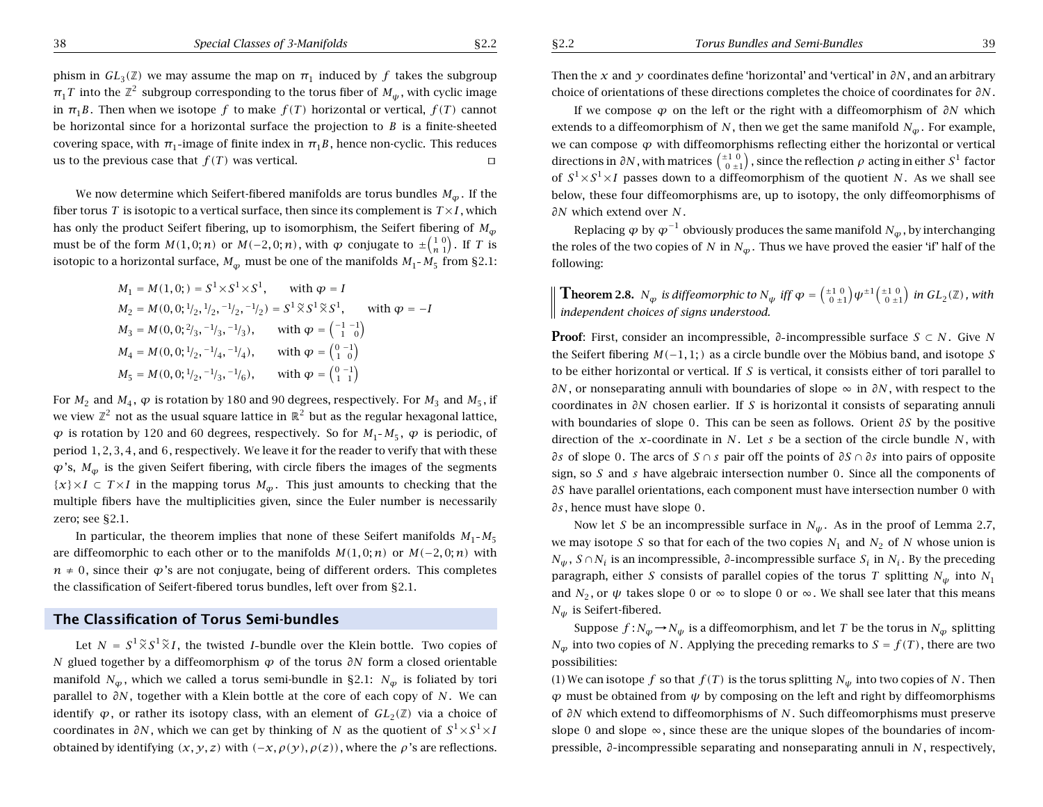phism in  $GL_3(\mathbb{Z})$  we may assume the map on  $\pi_1$  induced by  $f$  takes the subgroup  $\pi_{1}$ *T* into the  $\mathbb{Z}^{2}$  subgroup corresponding to the torus fiber of  $M_{\psi}$  , with cyclic image in  $\pi_1 B$ . Then when we isotope f to make  $f(T)$  horizontal or vertical,  $f(T)$  cannot be horizontal since for <sup>a</sup> horizontal surface the projection to *B* is <sup>a</sup> finite-sheeted covering space, with  $\pi_1$ -image of finite index in  $\pi_1B$ , hence non-cyclic. This reduces us to the previous case that  $f(T)$  was vertical.  $\Box$ 

We now determine which Seifert-fibered manifolds are torus bundles *M <sup>ϕ</sup>* . If the fiber torus  $T$  is isotopic to a vertical surface, then since its complement is  $\mathit{T}\times\mathit{I}$  , which has only the product Seifert fibering, up to isomorphism, the Seifert fibering of  $M_{\varphi}$ must be of the form  $M(1,0;n)$  or  $M(-2,0;n)$ , with  $\varphi$  conjugate to  $\pm {1\choose n-1}.$  If  $T$  is isotopic to a horizontal surface,  $M_{\phi}$  must be one of the manifolds  $M_1$ -  $M_5$  from §2.1:

$$
M_1 = M(1, 0; ) = S^1 \times S^1 \times S^1, \quad \text{with } \varphi = I
$$
  
\n
$$
M_2 = M(0, 0; {}^{1/2}, {}^{1/2}, {}^{-1/2}, {}^{-1/2}) = S^1 \tilde{\times} S^1 \tilde{\times} S^1, \quad \text{with } \varphi = -I
$$
  
\n
$$
M_3 = M(0, 0; {}^{2/3}, {}^{-1/3}, {}^{-1/3}), \quad \text{with } \varphi = \begin{pmatrix} -1 & -1 \\ 1 & 0 \end{pmatrix}
$$
  
\n
$$
M_4 = M(0, 0; {}^{1/2}, {}^{-1/4}, {}^{-1/4}), \quad \text{with } \varphi = \begin{pmatrix} 0 & -1 \\ 1 & 0 \end{pmatrix}
$$
  
\n
$$
M_5 = M(0, 0; {}^{1/2}, {}^{-1/3}, {}^{-1/6}), \quad \text{with } \varphi = \begin{pmatrix} 0 & -1 \\ 1 & 1 \end{pmatrix}
$$

For  $M_2$  and  $M_4$ ,  $\varphi$  is rotation by 180 and 90 degrees, respectively. For  $M_3$  and  $M_5$ , if we view  $\mathbb{Z}^2$  not as the usual square lattice in  $\mathbb{R}^2$  but as the regular hexagonal lattice,  $\varphi$  is rotation by 120 and 60 degrees, respectively. So for  $M_1$ - $M_5$ ,  $\varphi$  is periodic, of period 1*,* 2*,* 3*,* 4, and 6, respectively. We leave it for the reader to verify that with these  $\varphi$ 's,  $M_\varphi$  is the given Seifert fibering, with circle fibers the images of the segments  $\{x\}\times I \subset T\times I$  in the mapping torus  $M_\varphi$ . This just amounts to checking that the multiple fibers have the multiplicities given, since the Euler number is necessarily zero; see §2.1.

In particular, the theorem implies that none of these Seifert manifolds  $M_1$ - $M_5$ are diffeomorphic to each other or to the manifolds  $M(1,0;n)$  or  $M(-2,0;n)$  with  $n \neq 0$ , since their  $\varphi$ 's are not conjugate, being of different orders. This completes the classification of Seifert-fibered torus bundles, left over from §2.1.

### **The Classification of Torus Semi-bundles**

Let  $N = S^1 \widetilde{\times} S^1 \widetilde{\times} I$ , the twisted *I*-bundle over the Klein bottle. Two copies of *N* glued together by <sup>a</sup> diffeomorphism *ϕ* of the torus *∂N* form <sup>a</sup> closed orientable manifold  $N_\varphi$ , which we called a torus semi-bundle in §2.1:  $N_\varphi$  is foliated by tori parallel to *∂N* , together with <sup>a</sup> Klein bottle at the core of each copy of *N* . We can identify  $\varphi$ , or rather its isotopy class, with an element of  $GL_2(\mathbb{Z})$  via a choice of coordinates in *∂N* , which we can get by thinking of *N* as the quotient of *S*<sup>1</sup><sup>×</sup> *S*<sup>1</sup>×*I* obtained by identifying *(x, y, z)* with *(*−*x, ρ(y), ρ(z))*, where the *ρ*'s are reflections.

Then the *x* and *y* coordinates define 'horizontal' and 'vertical' in *∂N* , and an arbitrary choice of orientations of these directions completes the choice of coordinates for *∂N* .

If we compose *ϕ* on the left or the right with <sup>a</sup> diffeomorphism of *∂N* which extends to a diffeomorphism of  $N$  , then we get the same manifold  $N_{\phi}$  . For example, we can compose  $\varphi$  with diffeomorphisms reflecting either the horizontal or vertical directions in  $\partial N$  , with matrices  $\left( \begin{smallmatrix} \pm 1 & 0 \ 0 & \pm 1 \end{smallmatrix} \right)$  , since the reflection  $\rho$  acting in either  $S^1$  factor of  $S^1 {\times} S^1 {\times} I$  passes down to a diffeomorphism of the quotient  $N.$  As we shall see below, these four diffeomorphisms are, up to isotopy, the only diffeomorphisms of *∂N* which extend over *N* .

Replacing *ϕ* by *<sup>ϕ</sup>*<sup>−</sup><sup>1</sup> obviously produces the same manifold *N <sup>ϕ</sup>* , by interchanging the roles of the two copies of  $N$  in  $N_\varphi.$  Thus we have proved the easier 'if' half of the following:

**Theorem 2.8.**  $N_{\varphi}$  is diffeomorphic to  $N_{\psi}$  iff  $\varphi = \left(\begin{smallmatrix} \pm 1 & 0 \ 0 & \pm 1 \end{smallmatrix}\right) \psi^{\pm 1} \left(\begin{smallmatrix} \pm 1 & 0 \ 0 & \pm 1 \end{smallmatrix}\right)$  in  $GL_2(\mathbb{Z})$  , with *independent choices of signs understood.*

**Proof**: First, consider an incompressible, *∂* incompressible surface *S* ⊂ *N* . Give *N* the Seifert fibering  $M(-1,1; )$  as a circle bundle over the Möbius band, and isotope S to be either horizontal or vertical. If *S* is vertical, it consists either of tori parallel to *∂N* , or nonseparating annuli with boundaries of slope <sup>∞</sup> in *∂N* , with respect to the coordinates in *∂N* chosen earlier. If *S* is horizontal it consists of separating annuli with boundaries of slope 0. This can be seen as follows. Orient *∂S* by the positive direction of the *x* coordinate in *N* . Let *<sup>s</sup>* be <sup>a</sup> section of the circle bundle *N* , with *∂s* of slope 0. The arcs of *S* ∩ *s* pair off the points of *∂S* ∩ *∂s* into pairs of opposite sign, so *S* and *<sup>s</sup>* have algebraic intersection number 0. Since all the components of *∂S* have parallel orientations, each component must have intersection number 0 with *∂s* , hence must have slope 0.

Now let  $S$  be an incompressible surface in  $N_\psi.$  As in the proof of Lemma 2.7, we may isotope  $S$  so that for each of the two copies  $N_1$  and  $N_2$  of  $N$  whose union is  $N_\psi$  ,  $S \cap N_i$  is an incompressible,  $\partial$ -incompressible surface  $S_i$  in  $N_i$ . By the preceding paragraph, either  $S$  consists of parallel copies of the torus  $T$  splitting  $N_\psi$  into  $N_1$ and  $N_2,$  or  $\,\psi\,$  takes slope 0 or  $\infty$  to slope 0 or  $\infty.$  We shall see later that this means *Nψ* is Seifert-fibered.

Suppose  $f$  :  $N_\varphi$   $\rightarrow$   $N_\psi$  is a diffeomorphism, and let  $T$  be the torus in  $N_\varphi$  splitting  $N_\varphi$  into two copies of  $N$ . Applying the preceding remarks to  $S=f(T)$  , there are two possibilities:

(1) We can isotope  $f$  so that  $f(T)$  is the torus splitting  $N_\psi$  into two copies of  $N.$  Then *ϕ* must be obtained from *ψ* by composing on the left and right by diffeomorphisms of *∂N* which extend to diffeomorphisms of *N* . Such diffeomorphisms must preserve slope 0 and slope  $\infty$ , since these are the unique slopes of the boundaries of incompressible, *∂* incompressible separating and nonseparating annuli in *N* , respectively,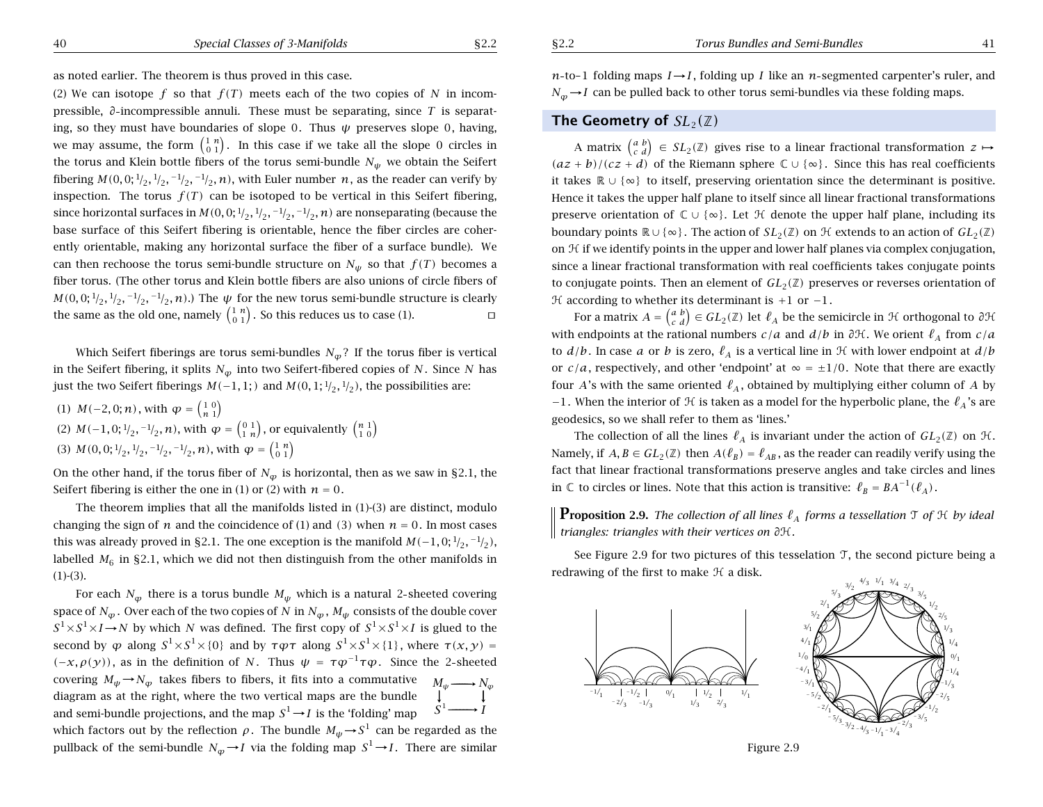as noted earlier. The theorem is thus proved in this case.

(2) We can isotope  $f$  so that  $f(T)$  meets each of the two copies of N in incompressible, *∂* incompressible annuli. These must be separating, since *T* is separating, so they must have boundaries of slope 0. Thus *ψ* preserves slope 0, having, we may assume, the form  $\left(\begin{smallmatrix} 1 & n \ 0 & 1 \end{smallmatrix}\right)$ . In this case if we take all the slope 0 circles in the torus and Klein bottle fibers of the torus semi-bundle *Nψ* we obtain the Seifert fibering  $M(0,0;1/2,1/2,-1/2,-1/2,n)$ , with Euler number  $n$ , as the reader can verify by inspection. The torus  $f(T)$  can be isotoped to be vertical in this Seifert fibering, since horizontal surfaces in  $M(0,0; 1/2, 1/2, -1/2, -1/2, n)$  are nonseparating (because the base surface of this Seifert fibering is orientable, hence the fiber circles are coherently orientable, making any horizontal surface the fiber of <sup>a</sup> surface bundle). We can then rechoose the torus semi-bundle structure on  $N_\psi$  so that  $f(T)$  becomes a fiber torus. (The other torus and Klein bottle fibers are also unions of circle fibers of  $M(0,0;1/2,1/2,-1/2,-1/2,n)$ .) The  $\psi$  for the new torus semi-bundle structure is clearly the same as the old one, namely  $\left(\begin{smallmatrix} 1 & n\ 0 & 1 \end{smallmatrix}\right)$ . So this reduces us to case (1).  $\Box$ 

Which Seifert fiberings are torus semi-bundles  $N_\varphi$ ? If the torus fiber is vertical in the Seifert fibering, it splits  $N_\varphi$  into two Seifert-fibered copies of  $N.$  Since  $N$  has just the two Seifert fiberings  $M(-1,1; 1)$  and  $M(0,1; \frac{1}{2}, \frac{1}{2})$ , the possibilities are:

(1)  $M(-2,0; n)$ , with  $\varphi = \begin{pmatrix} 1 & 0 \\ n & 1 \end{pmatrix}$ (2)  $M(-1,0;^{1}/_{2},^{-1}/_{2},n)$ , with  $\varphi = \left( \begin{smallmatrix} 0 & 1 \ 1 & n \end{smallmatrix} \right)$ , or equivalently  $\left( \begin{smallmatrix} n & 1 \ 1 & 0 \end{smallmatrix} \right)$ (3)  $M(0, 0; \frac{1}{2}, \frac{1}{2}, \frac{-1}{2}, \frac{-1}{2}, n)$ , with  $\varphi = \begin{pmatrix} 1 & n \\ 0 & 1 \end{pmatrix}$ 

On the other hand, if the torus fiber of  $N_\varphi$  is horizontal, then as we saw in §2.1, the Seifert fibering is either the one in (1) or (2) with  $n=0$ .

The theorem implies that all the manifolds listed in (1)-(3) are distinct, modulo changing the sign of  $n$  and the coincidence of (1) and (3) when  $n = 0$ . In most cases this was already proved in §2.1. The one exception is the manifold  $M(-1,0;1/2,-1/2)$ , labelled  $M_6$  in §2.1, which we did not then distinguish from the other manifolds in  $(1)-(3)$ .

For each  $N_{\bm{\phi}}$  there is a torus bundle  $M_{\bm{\psi}}$  which is a natural 2-sheeted covering space of  $N_{\bm{\varphi}}$  . Over each of the two copies of  $N$  in  $N_{\bm{\varphi}}$  ,  $M_{\bm{\psi}}$  consists of the double cover  $S^1 {\times} S^1 {\times} I {\,\rightarrow\,} N$  by which  $N$  was defined. The first copy of  $S^1 {\times} S^1 {\times} I$  is glued to the second by  $\varphi$  along  $S^1 \times S^1 \times \{0\}$  and by  $\tau \varphi \tau$  along  $S^1 \times S^1 \times \{1\}$ , where  $\tau(x, y) =$ *(*−*x, ρ(y))*, as in the definition of *N* . Thus *ψ* = *τϕ*<sup>−</sup>1*τϕ*. Since the <sup>2</sup> sheeted  $\alpha$  covering  $M_\psi$   $\rightarrow$   $N_\varphi$  takes fibers to fibers, it fits into a commutative  $\quad M_\psi$   $\longrightarrow$   $N_\varphi$ diagram as at the right, where the two vertical maps are the bundle −→ −−−−−→*S* −→  $\longrightarrow$   $I$ and semi-bundle projections, and the map  $S^1 \rightarrow I$  is the 'folding' map

which factors out by the reflection  $\rho$  . The bundle  $M_{\psi} \! \rightarrow \! S^1$  can be regarded as the pullback of the semi-bundle  $N_\varphi \!\to\! I$  via the folding map  $S^1 \!\to\! I$ . There are similar *n*-to-1 folding maps *I* → *I*, folding up *I* like an *n*-segmented carpenter's ruler, and *N<sub>φ</sub>* → *I* can be pulled back to other torus semi-bundles via these folding maps.

### **The Geometry of**  $SL_2(\mathbb{Z})$

A matrix  $\begin{pmatrix} a & b \ c & d \end{pmatrix} \in SL_2(\mathbb{Z})$  gives rise to a linear fractional transformation  $z \mapsto$ *(az* + *b*)/(*cz* + *d*) of the Riemann sphere  $\mathbb{C} \cup {\infty}$ . Since this has real coefficients it takes R <sup>∪</sup> {∞} to itself, preserving orientation since the determinant is positive. Hence it takes the upper half plane to itself since all linear fractional transformations preserve orientation of  $\mathbb{C} \cup \{\infty\}$ . Let  $\mathcal H$  denote the upper half plane, including its boundary points <sup>R</sup><sup>∪</sup> {∞}. The action of *SL*2*(*Z*)* on H extends to an action of *GL*2*(*Z*)* on H if we identify points in the upper and lower half planes via complex conjugation, since <sup>a</sup> linear fractional transformation with real coefficients takes conjugate points to conjugate points. Then an element of  $GL_2(\mathbb{Z})$  preserves or reverses orientation of  $H$  according to whether its determinant is +1 or -1.

For a matrix  $A = \begin{pmatrix} a & b \ c & d \end{pmatrix} \in GL_2(\mathbb{Z})$  let  $\ell_A$  be the semicircle in  $\mathcal H$  orthogonal to  $\partial \mathcal H$ with endpoints at the rational numbers *c/a* and *d/b* in *∂*H. We orient *`A* from *c/a* to  $d/b$ . In case a or b is zero,  $\ell_A$  is a vertical line in  ${\mathcal H}$  with lower endpoint at  $d/b$ or  $c/a$ , respectively, and other 'endpoint' at  $\infty = \pm 1/0$ . Note that there are exactly four A's with the same oriented  $\ell_A$ , obtained by multiplying either column of A by −1. When the interior of  $\mathcal H$  is taken as a model for the hyperbolic plane, the  $\ell_A$ 's are geodesics, so we shall refer to them as 'lines.'

The collection of all the lines  $\ell_A$  is invariant under the action of  $GL_2(\mathbb{Z})$  on  $\mathfrak{H}.$ Namely, if  $A, B \in GL_2(\mathbb{Z})$  then  $A(\ell_B) = \ell_{AB}$ , as the reader can readily verify using the fact that linear fractional transformations preserve angles and take circles and lines in  $\mathbb C$  to circles or lines. Note that this action is transitive:  $\ell_B = BA^{-1}(\ell_A)$ .

**Proposition 2.9.** The collection of all lines  $\ell_A$  forms a tessellation T of H by ideal *triangles: triangles with their vertices on ∂*H*.*

See Figure 2.9 for two pictures of this tesselation T, the second picture being <sup>a</sup> redrawing of the first to make  ${\mathcal H}$  a disk.  $\frac{1}{1}$ 



Figure 2.9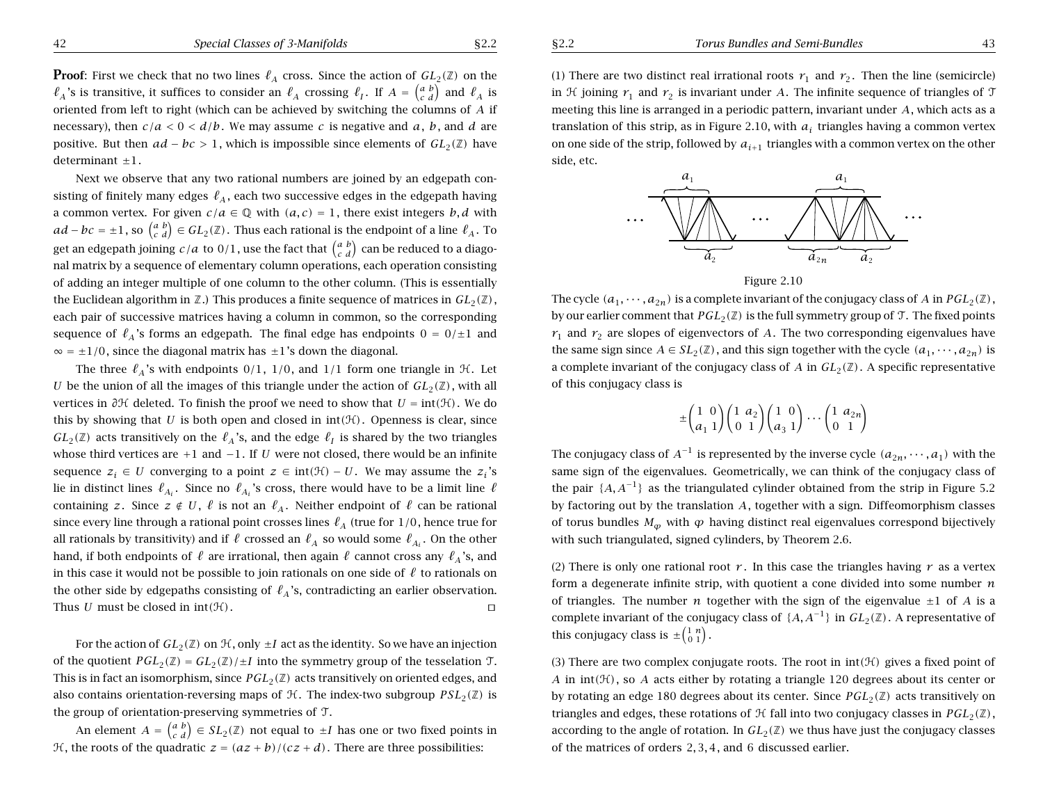**Proof**: First we check that no two lines  $\ell_A$  cross. Since the action of  $GL_2(\mathbb{Z})$  on the  $\ell_A$ 's is transitive, it suffices to consider an  $\ell_A$  crossing  $\ell_I$ . If  $A = \begin{pmatrix} a & b \\ c & d \end{pmatrix}$  and  $\ell_A$  is oriented from left to right (which can be achieved by switching the columns of *A* if necessary), then  $c/a < 0 < d/b$ . We may assume *c* is negative and *a*, *b*, and *d* are positive. But then  $ad - bc > 1$ , which is impossible since elements of  $GL_2(\mathbb{Z})$  have determinant  $\pm 1$ .

Next we observe that any two rational numbers are joined by an edgepath consisting of finitely many edges  $\ell_A$ , each two successive edges in the edgepath having a common vertex. For given  $c/a \in \mathbb{Q}$  with  $(a, c) = 1$ , there exist integers *b*, *d* with *ad* − *bc* = ±1, so  $\begin{pmatrix} a & b \\ c & d \end{pmatrix}$  ∈ *GL*<sub>2</sub>( $\mathbb{Z}$ ). Thus each rational is the endpoint of a line  $\ell_A$ . To get an edgepath joining  $c/a$  to  $0/1$ , use the fact that  $\begin{pmatrix} a & b \\ c & d \end{pmatrix}$  can be reduced to a diagonal matrix by <sup>a</sup> sequence of elementary column operations, each operation consisting of adding an integer multiple of one column to the other column. (This is essentially the Euclidean algorithm in  $\mathbb{Z}$ .) This produces a finite sequence of matrices in  $GL_2(\mathbb{Z})$ , each pair of successive matrices having <sup>a</sup> column in common, so the corresponding sequence of  $\ell_A$ 's forms an edgepath. The final edge has endpoints  $0 = 0/\pm 1$  and  $\infty = \pm 1/0$ , since the diagonal matrix has  $\pm 1$ 's down the diagonal.

The three  $\ell_A$ 's with endpoints 0/1, 1/0, and 1/1 form one triangle in  $H$ . Let *U* be the union of all the images of this triangle under the action of  $GL_2(\mathbb{Z})$ , with all vertices in *∂*H deleted. To finish the proof we need to show that *U* <sup>=</sup> int*(*H*)*. We do this by showing that *U* is both open and closed in  $int(\mathcal{H})$ . Openness is clear, since  $GL_2(\mathbb{Z})$  acts transitively on the  $\ell_A$ 's, and the edge  $\ell_I$  is shared by the two triangles whose third vertices are +1 and -1. If *U* were not closed, there would be an infinite sequence  $z_i$  ∈ *U* converging to a point  $z$  ∈ int( $\mathcal{H}$ ) – *U*. We may assume the  $z_i$ 's lie in distinct lines  $\ell_{A_i}$ . Since no  $\ell_{A_i}$ 's cross, there would have to be a limit line  $\ell$ containing *z*. Since  $z \notin U$ ,  $\ell$  is not an  $\ell_A$ . Neither endpoint of  $\ell$  can be rational since every line through a rational point crosses lines  $\ell_A$  (true for 1/0, hence true for all rationals by transitivity) and if  $\ell$  crossed an  $\ell_A$  so would some  $\ell_{A_i}$ . On the other hand, if both endpoints of  $\ell$  are irrational, then again  $\ell$  cannot cross any  $\ell_A$ 's, and in this case it would not be possible to join rationals on one side of  $\ell$  to rationals on the other side by edgepaths consisting of  $\ell_A$ 's, contradicting an earlier observation. Thus *U* must be closed in  $int(\mathcal{H})$ .

For the action of  $GL_2(\mathbb{Z})$  on  $\mathcal{H}$ , only  $\pm I$  act as the identity. So we have an injection of the quotient  $PGL_2(\mathbb{Z}) = GL_2(\mathbb{Z}) / \pm I$  into the symmetry group of the tesselation  $\mathcal{T}$ . This is in fact an isomorphism, since  $PGL_2(\mathbb{Z})$  acts transitively on oriented edges, and also contains orientation-reversing maps of  $H$ . The index-two subgroup  $PSL_2(\mathbb{Z})$  is the group of orientation-preserving symmetries of T.

An element  $A = \begin{pmatrix} a & b \\ c & d \end{pmatrix} \in SL_2(\mathbb{Z})$  not equal to  $\pm I$  has one or two fixed points in H, the roots of the quadratic  $z = (az + b)/(cz + d)$ . There are three possibilities:

(1) There are two distinct real irrational roots  $r_1$  and  $r_2$ . Then the line (semicircle) in  $\mathcal H$  joining  $r_1$  and  $r_2$  is invariant under *A*. The infinite sequence of triangles of  $\mathcal T$ meeting this line is arranged in <sup>a</sup> periodic pattern, invariant under *A*, which acts as <sup>a</sup> translation of this strip, as in Figure 2.10, with  $a_i$  triangles having a common vertex on one side of the strip, followed by  $a_{i+1}$  triangles with a common vertex on the other side, etc.



The cycle  $(a_1, \dots, a_{2n})$  is a complete invariant of the conjugacy class of *A* in  $PGL_2(\mathbb{Z})$ , by our earlier comment that  $PGL_2(\mathbb{Z})$  is the full symmetry group of  $\mathfrak{T}$ . The fixed points  $r_1$  and  $r_2$  are slopes of eigenvectors of *A*. The two corresponding eigenvalues have the same sign since  $A \in SL_2(\mathbb{Z})$ , and this sign together with the cycle  $(a_1, \dots, a_{2n})$  is a complete invariant of the conjugacy class of *A* in  $GL_2(\mathbb{Z})$ . A specific representative of this conjugacy class is

$$
\pm \begin{pmatrix} 1 & 0 \\ a_1 & 1 \end{pmatrix} \begin{pmatrix} 1 & a_2 \\ 0 & 1 \end{pmatrix} \begin{pmatrix} 1 & 0 \\ a_3 & 1 \end{pmatrix} \cdots \begin{pmatrix} 1 & a_{2n} \\ 0 & 1 \end{pmatrix}
$$

The conjugacy class of  $A^{-1}$  is represented by the inverse cycle  $(a_{2n}, \dots, a_1)$  with the same sign of the eigenvalues. Geometrically, we can think of the conjugacy class of the pair  $\{A, A^{-1}\}$  as the triangulated cylinder obtained from the strip in Figure 5.2 by factoring out by the translation *A*, together with <sup>a</sup> sign. Diffeomorphism classes of torus bundles  $M_{\varphi}$  with  $\varphi$  having distinct real eigenvalues correspond bijectively with such triangulated, signed cylinders, by Theorem 2.6.

(2) There is only one rational root  $r$ . In this case the triangles having  $r$  as a vertex form <sup>a</sup> degenerate infinite strip, with quotient <sup>a</sup> cone divided into some number *<sup>n</sup>* of triangles. The number *n* together with the sign of the eigenvalue  $\pm 1$  of *A* is a complete invariant of the conjugacy class of  $\{A, A^{-1}\}$  in  $GL_2(\mathbb{Z})$ . A representative of this conjugacy class is  $\pm \binom{1 \ n}{0 \ 1}$ .

(3) There are two complex conjugate roots. The root in  $int(\mathcal{H})$  gives a fixed point of *A* in  $int(\mathcal{H})$ , so *A* acts either by rotating a triangle 120 degrees about its center or by rotating an edge 180 degrees about its center. Since  $PGL_2(\mathbb{Z})$  acts transitively on triangles and edges, these rotations of  $H$  fall into two conjugacy classes in  $PGL_2(\mathbb{Z})$ , according to the angle of rotation. In  $GL_2(\mathbb{Z})$  we thus have just the conjugacy classes of the matrices of orders 2*,* 3*,* 4, and 6 discussed earlier.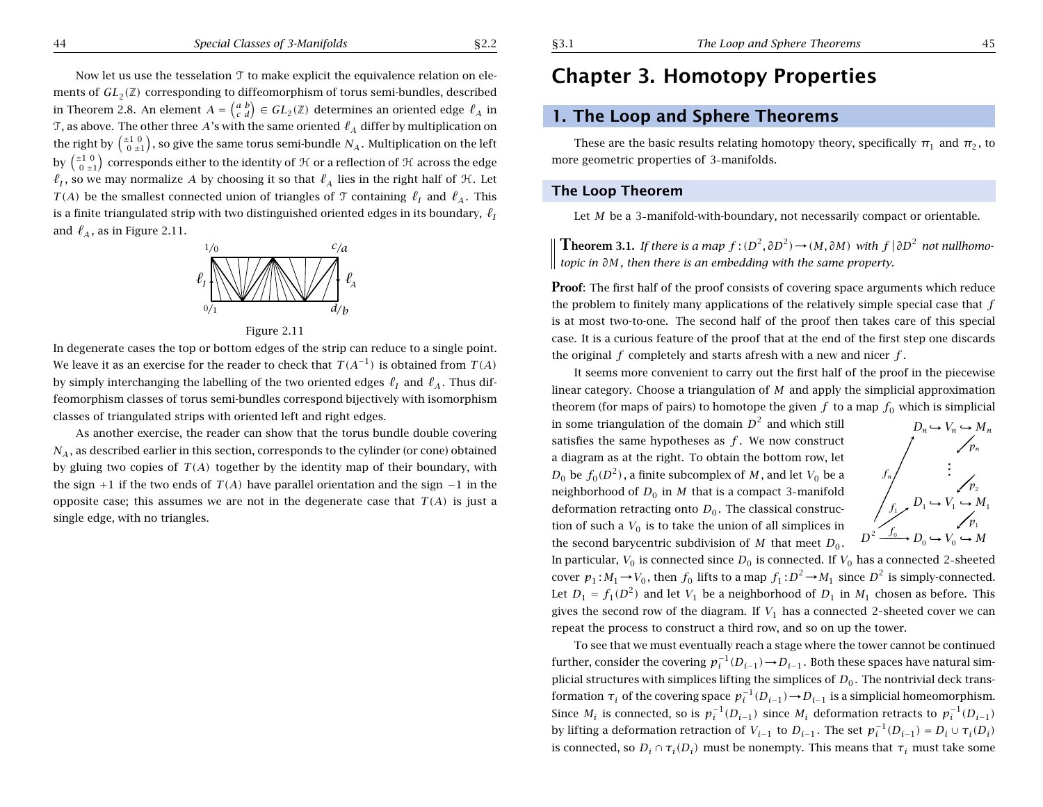Now let us use the tesselation T to make explicit the equivalence relation on elements of  $GL_2(\mathbb{Z})$  corresponding to diffeomorphism of torus semi-bundles, described in Theorem 2.8. An element  $A = \begin{pmatrix} a & b \ c & d \end{pmatrix} \in GL_2(\mathbb{Z})$  determines an oriented edge  $\ell_A$  in T, as above. The other three  $A$ 's with the same oriented  $\ell_A$  differ by multiplication on the right by  $\left(\begin{smallmatrix} \pm 1 & 0\ 0 & \pm 1\end{smallmatrix}\right)$ , so give the same torus semi-bundle  $N_A.$  Multiplication on the left by  $\left(\begin{smallmatrix} \pm 1 & 0\ 0 & \pm 1\end{smallmatrix}\right)$  corresponds either to the identity of  $\mathcal H$  or a reflection of  $\mathcal H$  across the edge  $\ell_I$ , so we may normalize A by choosing it so that  $\ell_A$  lies in the right half of  $H$ . Let  $T(A)$  be the smallest connected union of triangles of  $\mathcal T$  containing  $\ell_I$  and  $\ell_A$ . This is a finite triangulated strip with two distinguished oriented edges in its boundary,  $\ell_I$ and  $\,\ell_A^{}$ , as in Figure 2.11.



Figure 2.11

In degenerate cases the top or bottom edges of the strip can reduce to <sup>a</sup> single point. We leave it as an exercise for the reader to check that  $T(A^{-1})$  is obtained from  $T(A)$ by simply interchanging the labelling of the two oriented edges  $\ell_I$  and  $\ell_A$ . Thus diffeomorphism classes of torus semi-bundles correspond bijectively with isomorphism classes of triangulated strips with oriented left and right edges.

As another exercise, the reader can show that the torus bundle double covering  $N_A$ , as described earlier in this section, corresponds to the cylinder (or cone) obtained by gluing two copies of  $T(A)$  together by the identity map of their boundary, with the sign  $+1$  if the two ends of  $T(A)$  have parallel orientation and the sign  $-1$  in the opposite case; this assumes we are not in the degenerate case that  $T(A)$  is just a single edge, with no triangles.

# **Chapter 3. Homotopy Properties**

## **1. The Loop and Sphere Theorems**

These are the basic results relating homotopy theory, specifically  $\pi_1$  and  $\pi_2$ , to more geometric properties of 3 manifolds.

### **The Loop Theorem**

Let *M* be <sup>a</sup> 3 manifold-with-boundary, not necessarily compact or orientable.

**Theorem 3.1.** If there is a map  $f:(D^2,\partial D^2) \to (M,\partial M)$  with  $f | \partial D^2$  not nullhomotopic in  $\partial M$ , then there is an embedding with the same property.

**Proof:** The first half of the proof consists of covering space arguments which reduce the problem to finitely many applications of the relatively simple special case that *f* is at most two-to-one. The second half of the proof then takes care of this special case. It is <sup>a</sup> curious feature of the proof that at the end of the first step one discards the original *f* completely and starts afresh with <sup>a</sup> new and nicer *f* .

It seems more convenient to carry out the first half of the proof in the piecewise linear category. Choose <sup>a</sup> triangulation of *M* and apply the simplicial approximation theorem (for maps of pairs) to homotope the given  $f$  to a map  $f_0$  which is simplicial

in some triangulation of the domain  $D^2$  and which still satisfies the same hypotheses as *f* . We now construct <sup>a</sup> diagram as at the right. To obtain the bottom row, let *<sup>D</sup>* ... <sup>0</sup> be *f*0*(D*<sup>2</sup>*)*, <sup>a</sup> finite subcomplex of *M* , and let *<sup>V</sup>*<sup>0</sup> be <sup>a</sup> neighborhood of  $D_0$  in  $M$  that is a compact 3-manifold deformation retracting onto  $D_0.$  The classical construction of such a  $V_0$  is to take the union of all simplices in the second barycentric subdivision of M that meet  $D_0$ .



In particular,  $V_0$  is connected since  $D_0$  is connected. If  $V_0$  has a connected 2-sheeted cover  $p_1: M_1 \to V_0$ , then  $f_0$  lifts to a map  $f_1: D^2 \to M_1$  since  $D^2$  is simply-connected. Let  $D_1 = f_1(D^2)$  and let  $V_1$  be a neighborhood of  $D_1$  in  $M_1$  chosen as before. This gives the second row of the diagram. If  $V_1$  has a connected 2-sheeted cover we can repeat the process to construct <sup>a</sup> third row, and so on up the tower.

To see that we must eventually reach <sup>a</sup> stage where the tower cannot be continued further, consider the covering  $p_i^{-1}(D_{i-1})$  →  $D_{i-1}$ . Both these spaces have natural simplicial structures with simplices lifting the simplices of  $D_0$  . The nontrivial deck transformation  $τ_i$  of the covering space  $p_i^{-1}(D_{i-1}) → D_{i-1}$  is a simplicial homeomorphism. Since  $M_i$  is connected, so is  $p_i^{-1}(D_{i-1})$  since  $M_i$  deformation retracts to  $p_i^{-1}(D_{i-1})$ by lifting a deformation retraction of  $V_{i-1}$  to  $D_{i-1}$ . The set  $p_i^{-1}(D_{i-1}) = D_i \cup \tau_i(D_i)$ is connected, so  $D_i \cap \tau_i(D_i)$  must be nonempty. This means that  $\tau_i$  must take some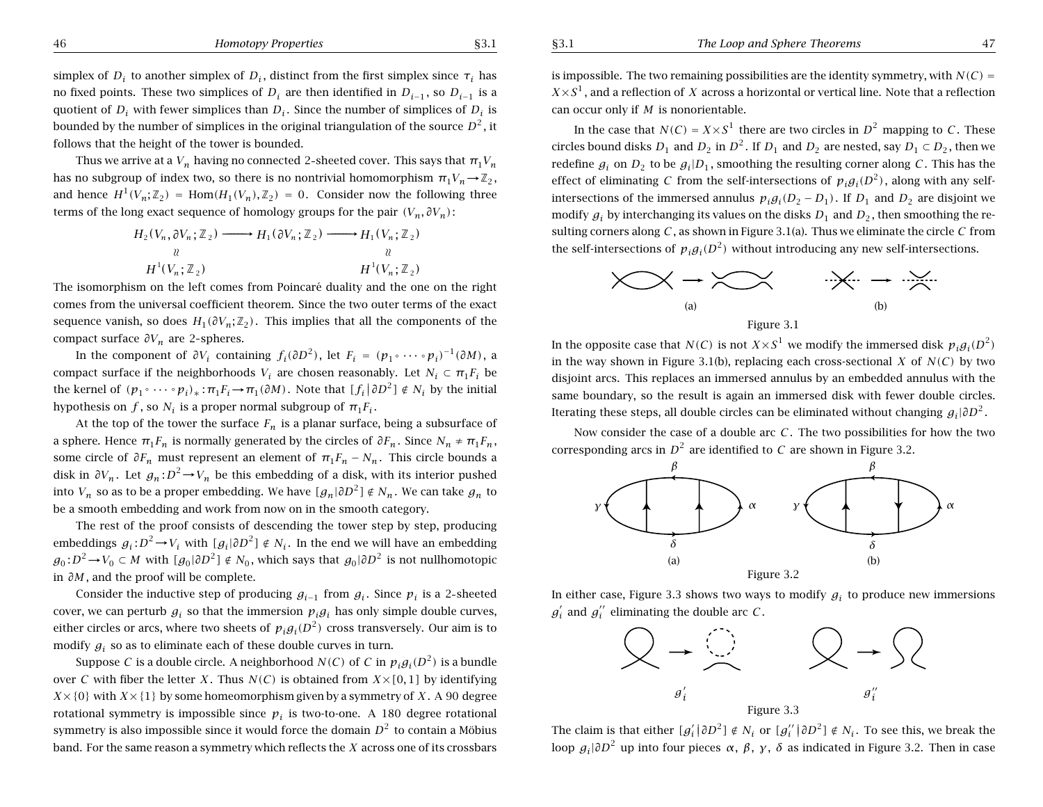46 *Homotopy Properties* §3.1

simplex of  $D_i$  to another simplex of  $D_i$ , distinct from the first simplex since  $\tau_i$  has no fixed points. These two simplices of  $D_i$  are then identified in  $D_{i-1}$ , so  $D_{i-1}$  is a quotient of  $D_i$  with fewer simplices than  $D_i$ . Since the number of simplices of  $D_i$  is bounded by the number of simplices in the original triangulation of the source  $D^2$ , it follows that the height of the tower is bounded.

Thus we arrive at a  $V_n$  having no connected 2-sheeted cover. This says that  $\pi_1 V_n$ has no subgroup of index two, so there is no nontrivial homomorphism  $\pi_1 V_n \rightarrow \mathbb{Z}_2$ , and hence  $H^1(V_n; \mathbb{Z}_2) = \text{Hom}(H_1(V_n), \mathbb{Z}_2) = 0$ . Consider now the following three terms of the long exact sequence of homology groups for the pair  $(V_n, \partial V_n)$ :

$$
H_2(V_n, \partial V_n; \mathbb{Z}_2) \longrightarrow H_1(\partial V_n; \mathbb{Z}_2) \longrightarrow H_1(V_n; \mathbb{Z}_2)
$$
\n
$$
\downarrow \qquad \qquad \downarrow \qquad \qquad \downarrow
$$
\n
$$
H^1(V_n; \mathbb{Z}_2) \longrightarrow H^1(V_n; \mathbb{Z}_2)
$$

The isomorphism on the left comes from Poincaré duality and the one on the right comes from the universal coefficient theorem. Since the two outer terms of the exact sequence vanish, so does  $H_1(\partial V_n; \mathbb{Z}_2)$ . This implies that all the components of the compact surface  $\partial V_n$  are 2-spheres.

In the component of  $\partial V_i$  containing  $f_i(\partial D^2)$ , let  $F_i = (p_1 \circ \cdots \circ p_i)^{-1}(\partial M)$ , a compact surface if the neighborhoods  $V_i$  are chosen reasonably. Let  $N_i \subset \pi_1 F_i$  be the kernel of  $(p_1 \circ \cdots \circ p_i)_* : \pi_1 F_i \to \pi_1(\partial M)$ . Note that  $[f_i | \partial D^2] \notin N_i$  by the initial hypothesis on *f*, so  $N_i$  is a proper normal subgroup of  $\pi_1 F_i$ .

At the top of the tower the surface  $F_n$  is a planar surface, being a subsurface of a sphere. Hence  $\pi_1 F_n$  is normally generated by the circles of  $\partial F_n$ . Since  $N_n \neq \pi_1 F_n$ , some circle of  $\partial F_n$  must represent an element of  $\pi_1 F_n - N_n$ . This circle bounds a disk in  $\partial V_n$ . Let  $g_n$ : *D*<sup>2</sup>→*V<sub>n</sub>* be this embedding of a disk, with its interior pushed into  $V_n$  so as to be a proper embedding. We have  $[g_n|\partial D^2] \notin N_n$ . We can take  $g_n$  to be <sup>a</sup> smooth embedding and work from now on in the smooth category.

The rest of the proof consists of descending the tower step by step, producing embeddings  $g_i: D^2 \to V_i$  with  $[g_i|\partial D^2] \notin N_i$ . In the end we will have an embedding *g*<sub>0</sub>: $D^2 \rightarrow V_0$  ⊂ *M* with  $[g_0|\partial D^2] \notin N_0$ , which says that  $g_0|\partial D^2$  is not nullhomotopic in *∂M* , and the proof will be complete.

Consider the inductive step of producing  $g_{i-1}$  from  $g_i$ . Since  $p_i$  is a 2-sheeted cover, we can perturb  $g_i$  so that the immersion  $p_i g_i$  has only simple double curves, either circles or arcs, where two sheets of  $p_i g_i(D^2)$  cross transversely. Our aim is to modify  $g_i$  so as to eliminate each of these double curves in turn.

Suppose *C* is a double circle. A neighborhood  $N(C)$  of *C* in  $p_i g_i(D^2)$  is a bundle over *C* with fiber the letter *X*. Thus  $N(C)$  is obtained from  $X \times [0, 1]$  by identifying  $X \times \{0\}$  with  $X \times \{1\}$  by some homeomorphism given by a symmetry of *X*. A 90 degree rotational symmetry is impossible since  $p_i$  is two-to-one. A 180 degree rotational symmetry is also impossible since it would force the domain  $D<sup>2</sup>$  to contain a Möbius band. For the same reason <sup>a</sup> symmetry which reflects the *X* across one of its crossbars is impossible. The two remaining possibilities are the identity symmetry, with  $N(C)$  =  $X \times S<sup>1</sup>$ , and a reflection of *X* across a horizontal or vertical line. Note that a reflection can occur only if *M* is nonorientable.

In the case that  $N(C) = X \times S^1$  there are two circles in  $D^2$  mapping to *C*. These circles bound disks  $D_1$  and  $D_2$  in  $D^2$ . If  $D_1$  and  $D_2$  are nested, say  $D_1 \subset D_2$ , then we redefine  $g_i$  on  $D_2$  to be  $g_i|D_1$ , smoothing the resulting corner along *C*. This has the effect of eliminating *C* from the self-intersections of  $p_i g_i(D^2)$ , along with any selfintersections of the immersed annulus  $p_i g_i (D_2 - D_1)$ . If  $D_1$  and  $D_2$  are disjoint we modify  $g_i$  by interchanging its values on the disks  $D_1$  and  $D_2$ , then smoothing the resulting corners along *C* , as shown in Figure 3.1(a). Thus we eliminate the circle *C* from the self-intersections of  $p_i g_i(D^2)$  without introducing any new self-intersections.



In the opposite case that *N(C)* is not  $X \times S^1$  we modify the immersed disk  $p_i g_j(D^2)$ in the way shown in Figure 3.1(b), replacing each cross-sectional  $X$  of  $N(C)$  by two disjoint arcs. This replaces an immersed annulus by an embedded annulus with the same boundary, so the result is again an immersed disk with fewer double circles. Iterating these steps, all double circles can be eliminated without changing *gi*|*∂D*<sup>2</sup> .

Now consider the case of <sup>a</sup> double arc *C* . The two possibilities for how the two corresponding arcs in  $D^2$  are identified to *C* are shown in Figure 3.2.



In either case, Figure 3.3 shows two ways to modify  $g_i$  to produce new immersions  $g_i'$  and  $g_i''$  eliminating the double arc  $C$ .



The claim is that either  $[g'_i | \partial D^2] \notin N_i$  or  $[g''_i | \partial D^2] \notin N_i$ . To see this, we break the loop  $g_i|\partial D^2$  up into four pieces  $\alpha$ ,  $\beta$ ,  $\gamma$ ,  $\delta$  as indicated in Figure 3.2. Then in case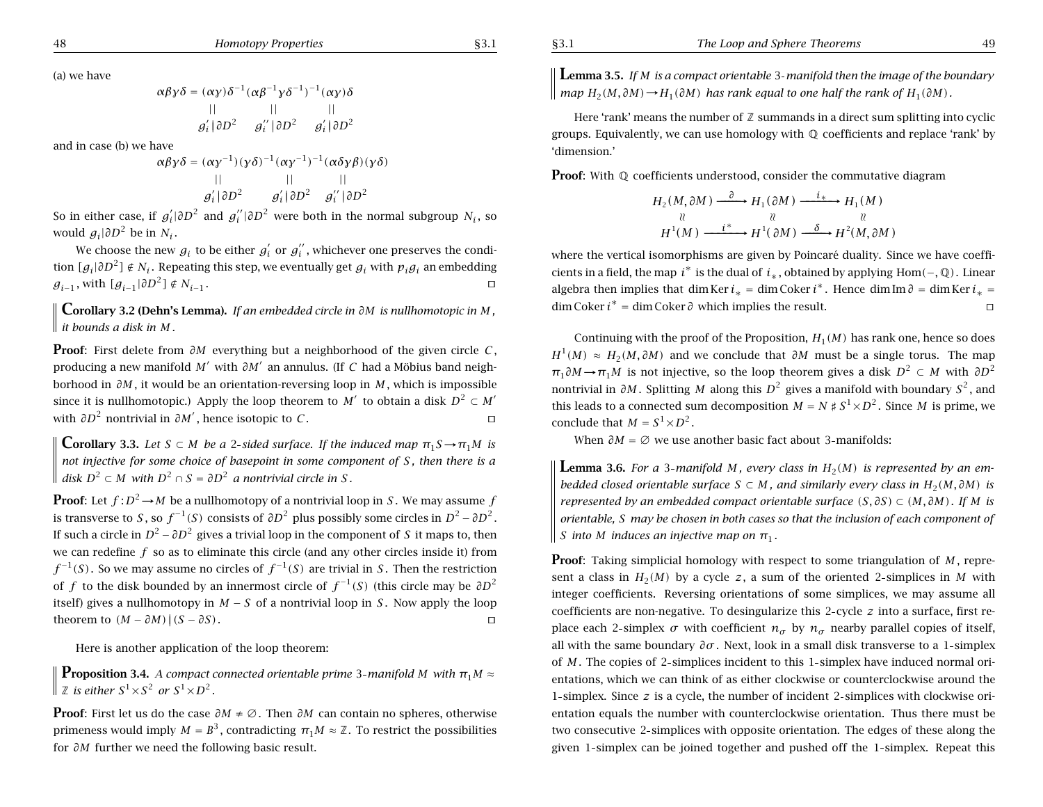(a) we have

$$
\alpha \beta \gamma \delta = (\alpha \gamma) \delta^{-1} (\alpha \beta^{-1} \gamma \delta^{-1})^{-1} (\alpha \gamma) \delta
$$
  
|| || || ||  

$$
g'_i | \partial D^2 \qquad g''_i | \partial D^2 \qquad g'_i | \partial D^2
$$

and in case (b) we have

$$
\alpha\beta\gamma\delta = (\alpha\gamma^{-1})(\gamma\delta)^{-1}(\alpha\gamma^{-1})^{-1}(\alpha\delta\gamma\beta)(\gamma\delta)
$$
  
|| || || ||  

$$
g'_i|\partial D^2 \qquad g'_i|\partial D^2 \qquad g''_i|\partial D^2
$$

So in either case, if  $g_i' \mid \partial D^2$  and  $g_i'' \mid \partial D^2$  were both in the normal subgroup  $N_i$ , so would  $g_i|\partial D^2$  be in  $N_i$ .

We choose the new  $g_i$  to be either  $g'_i$  or  $g''_i$ , whichever one preserves the condition  $[g_i|\partial D^2] \notin N_i$ . Repeating this step, we eventually get  $g_i$  with  $p_i g_i$  an embedding *g*<sub>*i*−1</sub>, with  $[g_{i-1}|\partial D^2] \notin N_{i-1}$ .

**Corollary 3.2 (Dehn's Lemma).** If an embedded circle in  $\partial M$  is nullhomotopic in M. *it bounds a disk in M .*

**Proof**: First delete from *∂M* everything but <sup>a</sup> neighborhood of the given circle *<sup>C</sup>* , producing a new manifold *M'* with  $\partial M'$  an annulus. (If *C* had a Möbius band neighborhood in *∂M* , it would be an orientation-reversing loop in *M* , which is impossible since it is nullhomotopic.) Apply the loop theorem to *M'* to obtain a disk  $D^2 \subset M'$ with  $\partial D^2$  nontrivial in  $\partial M'$ , hence isotopic to *C*.  $\Box$ 

**Corollary 3.3.** Let  $S \subset M$  be a 2-sided surface. If the induced map  $\pi_1 S \to \pi_1 M$  is not injective for some choice of basepoint in some component of S, then there is a  $\parallel$  *disk D*<sup>2</sup> ⊂ *M with D*<sup>2</sup> ∩ *S* =  $\partial D^2$  *a nontrivial circle in S*.

**Proof**: Let  $f: D^2 \to M$  be a nullhomotopy of a nontrivial loop in *S*. We may assume *f* is transverse to *S*, so  $f^{-1}(S)$  consists of  $\partial D^2$  plus possibly some circles in  $D^2 - \partial D^2$ . If such a circle in  $D^2 - \partial D^2$  gives a trivial loop in the component of *S* it maps to, then we can redefine *f* so as to eliminate this circle (and any other circles inside it) from  $f^{-1}(S)$ . So we may assume no circles of  $f^{-1}(S)$  are trivial in *S*. Then the restriction of *f* to the disk bounded by an innermost circle of  $f^{-1}(S)$  (this circle may be  $\partial D^2$ itself) gives a nullhomotopy in  $M - S$  of a nontrivial loop in *S*. Now apply the loop theorem to  $(M - \partial M)$ | $(S - \partial S)$ .

Here is another application of the loop theorem:

**Proposition** 3.4. *A compact connected orientable prime* 3-*manifold M with*  $\pi_1 M \approx$  $\parallel$  **Z** is either  $S^1 \times S^2$  or  $S^1 \times D^2$ .

**Proof**: First let us do the case *∂M* <sup>≠</sup> <sup>∅</sup>. Then *∂M* can contain no spheres, otherwise primeness would imply  $M = B^3$ , contradicting  $\pi_1 M \approx \mathbb{Z}$ . To restrict the possibilities for *∂M* further we need the following basic result.

**Lemma 3.5.** If  $M$  is a compact orientable 3-manifold then the image of the boundary  $\parallel$  map  $H_2(M, \partial M) \rightarrow H_1(\partial M)$  has rank equal to one half the rank of  $H_1(\partial M)$ .

Here 'rank' means the number of  $\mathbb Z$  summands in a direct sum splitting into cyclic groups. Equivalently, we can use homology with Q coefficients and replace 'rank' by 'dimension.'

**Proof**: With Q coefficients understood, consider the commutative diagram

$$
H_2(M, \partial M) \xrightarrow{\partial} H_1(\partial M) \xrightarrow{i_*} H_1(M)
$$
  
\n
$$
\begin{array}{ccc}\n\downarrow & \vee & \vee \\
\downarrow & & \vee \\
H^1(M) & \xrightarrow{i^*} H^1(\partial M) \xrightarrow{\delta} H^2(M, \partial M)\n\end{array}
$$

where the vertical isomorphisms are given by Poincaré duality. Since we have coefficients in a field, the map *i*<sup>\*</sup> is the dual of  $i<sub>*</sub>$ , obtained by applying Hom(−,  $\mathbb{Q}$ ). Linear algebra then implies that dim Ker  $i_* = \dim \text{Coker } i^*$ . Hence dim Im  $\partial = \dim \text{Ker } i_* =$ dim Coker  $i^* = \dim C$ oker  $\partial$  which implies the result.  $\Box$ 

Continuing with the proof of the Proposition,  $H_1(M)$  has rank one, hence so does *H*<sup>1</sup>(*M*) ≈ *H*<sub>2</sub>(*M*,  $\partial M$ ) and we conclude that  $\partial M$  must be a single torus. The map *π*<sub>1</sub> $\partial M \rightarrow \pi$ <sub>1</sub>*M* is not injective, so the loop theorem gives a disk  $D^2 \subset M$  with  $\partial D^2$ nontrivial in  $\partial M$ . Splitting *M* along this  $D^2$  gives a manifold with boundary  $S^2$ , and this leads to a connected sum decomposition  $M = N \sharp S^1 \times D^2$ . Since *M* is prime, we conclude that  $M = S^1 \times D^2$ .

When  $\partial M = \emptyset$  we use another basic fact about 3-manifolds:

**Lemma 3.6.** For a 3-manifold M, every class in  $H_2(M)$  is represented by an embedded closed orientable surface  $S \subset M$ , and similarly every class in  $H_2(M, \partial M)$  is represented by an embedded compact orientable surface  $(S, \partial S) \subset (M, \partial M)$ . If M is orientable. S may be chosen in both cases so that the inclusion of each component of *S into M induces an injective map on*  $\pi_1$ *.* 

**Proof:** Taking simplicial homology with respect to some triangulation of *M*, represent a class in  $H_2(M)$  by a cycle z, a sum of the oriented 2-simplices in M with integer coefficients. Reversing orientations of some simplices, we may assume all coefficients are non-negative. To desingularize this 2 cycle *<sup>z</sup>* into <sup>a</sup> surface, first replace each 2-simplex  $\sigma$  with coefficient  $n_{\sigma}$  by  $n_{\sigma}$  nearby parallel copies of itself, all with the same boundary  $\partial \sigma$ . Next, look in a small disk transverse to a 1-simplex of *M* . The copies of 2 simplices incident to this 1 simplex have induced normal orientations, which we can think of as either clockwise or counterclockwise around the 1 simplex. Since *<sup>z</sup>* is <sup>a</sup> cycle, the number of incident 2 simplices with clockwise orientation equals the number with counterclockwise orientation. Thus there must be two consecutive 2 simplices with opposite orientation. The edges of these along the given 1 simplex can be joined together and pushed off the 1 simplex. Repeat this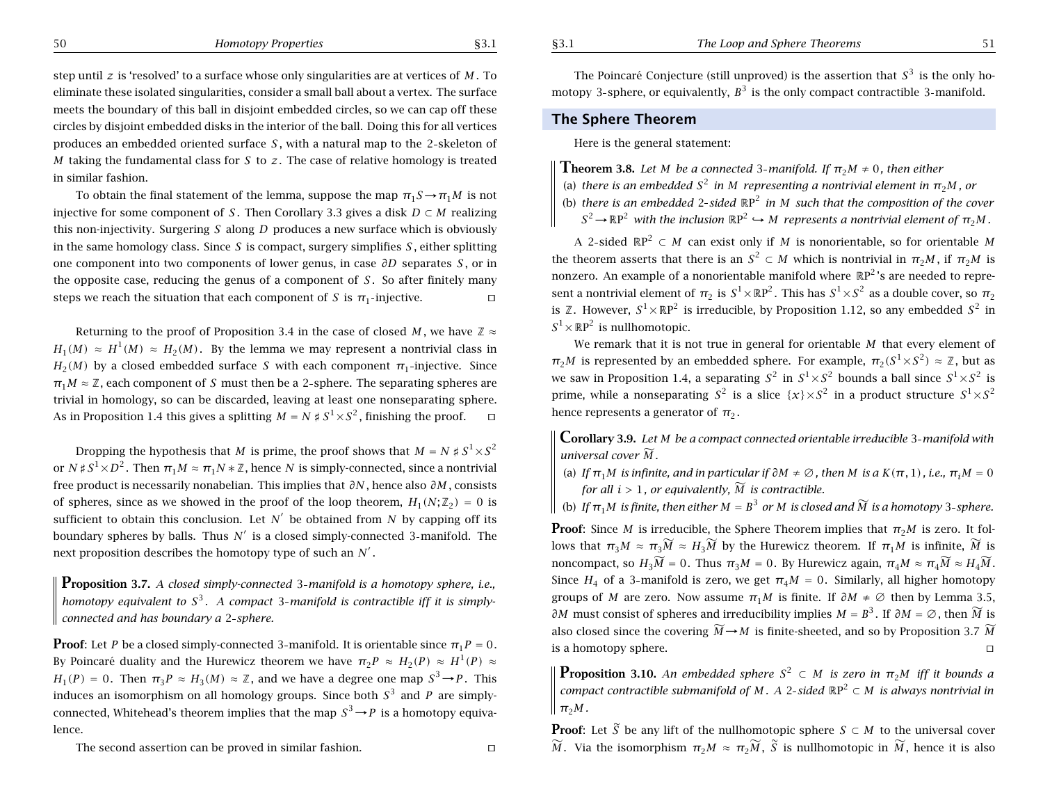step until *<sup>z</sup>* is 'resolved' to <sup>a</sup> surface whose only singularities are at vertices of *M* . To eliminate these isolated singularities, consider <sup>a</sup> small ball about <sup>a</sup> vertex. The surface meets the boundary of this ball in disjoint embedded circles, so we can cap off these circles by disjoint embedded disks in the interior of the ball. Doing this for all vertices produces an embedded oriented surface *S* , with <sup>a</sup> natural map to the 2 skeleton of *M* taking the fundamental class for *S* to *<sup>z</sup>*. The case of relative homology is treated in similar fashion.

To obtain the final statement of the lemma, suppose the map  $\pi_1S \to \pi_1M$  is not injective for some component of S. Then Corollary 3.3 gives a disk  $D\subset M$  realizing this non-injectivity. Surgering *S* along *D* produces <sup>a</sup> new surface which is obviously in the same homology class. Since *S* is compact, surgery simplifies *S* , either splitting one component into two components of lower genus, in case *∂D* separates *S* , or in the opposite case, reducing the genus of <sup>a</sup> component of *S* . So after finitely many steps we reach the situation that each component of S is  $\pi_1$ -injective.  $\Box$ 

Returning to the proof of Proposition 3.4 in the case of closed  $M$  , we have  $\mathbb{Z}\approx$ *H*<sub>1</sub>(*M*) ≈ *H*<sup>1</sup>(*M*) ≈ *H*<sub>2</sub>(*M*). By the lemma we may represent a nontrivial class in  $H_2(M)$  by a closed embedded surface *S* with each component  $π_1$ -injective. Since  $\pi_1 M \approx {\mathbb Z}$ , each component of  $S$  must then be a 2-sphere. The separating spheres are trivial in homology, so can be discarded, leaving at least one nonseparating sphere. As in Proposition 1.4 this gives a splitting  $M = N \nless S^1 \times S^2$  , finishing the proof.  $\Box$ 

Dropping the hypothesis that  $M$  is prime, the proof shows that  $M = N \nmid S^1 \times S^2$ or  $N$  #  $S^1 \times D^2$  . Then  $\pi_1 M \approx \pi_1 N$   $*$   $\mathbb Z$ , hence  $N$  is simply-connected, since a nontrivial free product is necessarily nonabelian. This implies that *∂N* , hence also *∂M* , consists of spheres, since as we showed in the proof of the loop theorem,  $H_1(N;\mathbb{Z}_2) = 0$  is sufficient to obtain this conclusion. Let  $N'$  be obtained from N by capping off its boundary spheres by balls. Thus  $N'$  is a closed simply-connected 3-manifold. The next proposition describes the homotopy type of such an  $N^{\prime}$  .

**Proposition 3.7.** *<sup>A</sup> closed simply-connected* <sup>3</sup> *manifold is <sup>a</sup> homotopy sphere, i.e.,* homotopy equivalent to  $S^3$ . A compact 3-manifold is contractible iff it is simply*connected and has boundary <sup>a</sup>* 2 *sphere.*

**Proof**: Let P be a closed simply-connected 3-manifold. It is orientable since  $\pi_1P=0.$ By Poincaré duality and the Hurewicz theorem we have  $\pi_2 P \approx H_2(P) \approx H^1(P) \approx$  $H_1(P) = 0$ . Then  $\pi_3 P \approx H_3(M) \approx \mathbb{Z}$ , and we have a degree one map  $S^3 \rightarrow P$ . This induces an isomorphism on all homology groups. Since both  $S^3$  and  $P$  are simplyconnected, Whitehead's theorem implies that the map  $S^3 \rightarrow P$  is a homotopy equivalence.

The second assertion can be proved in similar fashion.

The Poincaré Conjecture (still unproved) is the assertion that  $S^3$  is the only homotopy 3-sphere, or equivalently,  $B^3$  is the only compact contractible 3-manifold.

### **The Sphere Theorem**

Here is the general statement:

**Theorem 3.8.** Let M be a connected 3-manifold. If  $\pi_2 M \neq 0$ , then either

- (a) there is an embedded  $S^2$  in M-representing a nontrivial element in  $\bm{\pi}_2 \bm{M}$  , or
- (b) there is an embedded 2-sided  $\mathbb{R}P^2$  in M such that the composition of the cover
- $S^2 \rightarrow \mathbb{R}P^2$  with the inclusion  $\mathbb{R}P^2 \hookrightarrow M$  represents a nontrivial element of  $\pi_2 M$  .

A 2-sided  $\mathbb{R}P^2 \subset M$  can exist only if M is nonorientable, so for orientable M the theorem asserts that there is an  $S^2 \subset M$  which is nontrivial in  $\pi_2 M$ , if  $\pi_2 M$  is nonzero. An example of a nonorientable manifold where  $\mathbb{R} \mathrm{P}^2$  's are needed to represent a nontrivial element of  $\pi_2$  is  $S^1 {\times} {\mathbb R} {\rm P}^2.$  This has  $S^1 {\times} S^2$  as a double cover, so  $\pi_2$ is Z. However,  $S^1{\times}\mathbb{R}\text{P}^2$  is irreducible, by Proposition 1.12, so any embedded  $S^2$  in  $S^1{\times}\mathbb{R}\text{P}^2$  is nullhomotopic.

We remark that it is not true in general for orientable *M* that every element of  $\pi_2 M$  is represented by an embedded sphere. For example,  $\pi_2(S^1 \times S^2) \approx {\mathbb Z},$  but as we saw in Proposition 1.4, a separating  $S^2$  in  $S^1 {\times} S^2$  bounds a ball since  $S^1 {\times} S^2$  is prime, while a nonseparating  $S^2$  is a slice  $\{x\}\times S^2$  in a product structure  $S^1\!\times\!S^2$ hence represents a generator of  $\pi_2.$ 

**Corollary 3.9.** *Let M be <sup>a</sup> compact connected orientable irreducible* 3 *manifold with universal cover M* f*.*

(a) If  $\pi_1 M$  is infinite, and in particular if  $\partial M \neq \varnothing$  , then  $M$  is a  $K(\pi,1)$  , i.e.,  $\pi_i M = 0$ *for all i* > 1, *or equivalently,*  $\widetilde{M}$  *is contractible.* 

(b) If  $\pi_1 M$  is finite, then either  $M=B^3$  or  $M$  is closed and  $\widetilde{M}$  is a homotopy 3-sphere.

**Proof**: Since M is irreducible, the Sphere Theorem implies that  $\pi_2 M$  is zero. It follows that  $\pi_3 M \approx \pi_3 \widetilde{M} \approx H_3 \widetilde{M}$  by the Hurewicz theorem. If  $\pi_1 M$  is infinite,  $\widetilde{M}$  is noncompact, so  $H_{3}\widetilde{M} = 0.$  Thus  $\pi_{3}M = 0.$  By Hurewicz again,  $\pi_{4}M \approx \pi_{4}\widetilde{M} \approx H_{4}\widetilde{M}.$ Since  $H_4$  of a 3-manifold is zero, we get  $\pi_4 M = 0$ . Similarly, all higher homotopy groups of M are zero. Now assume  $\pi_1M$  is finite. If  $\partial M \neq \emptyset$  then by Lemma 3.5, *∂M* must consist of spheres and irreducibility implies  $M = B^3$ . If *∂M* = ∅, then  $\widetilde{M}$  is also closed since the covering  $\widetilde{M} \!\to\! M$  is finite-sheeted, and so by Proposition 3.7  $\widetilde{M}$ is <sup>a</sup> homotopy sphere.  $\Box$ 

**Proposition** 3.10. An embedded sphere  $S^2\, \subset\, M$  is zero in  $\pi_{2}M$  iff it bounds a  $\alpha$  *compact* contractible submanifold of M . A 2-sided  $\mathbb{R}P^2 \subset M$  is always nontrivial in  $\pi_2 M$  *.* 

**Proof**: Let  $\widetilde{S}$  be any lift of the nullhomotopic sphere  $S \subset M$  to the universal cover  $\widetilde{M}$ . Via the isomorphism  $π_2M ≈ π_2\widetilde{M}$ ,  $\widetilde{S}$  is nullhomotopic in  $\widetilde{M}$ , hence it is also

 $\Box$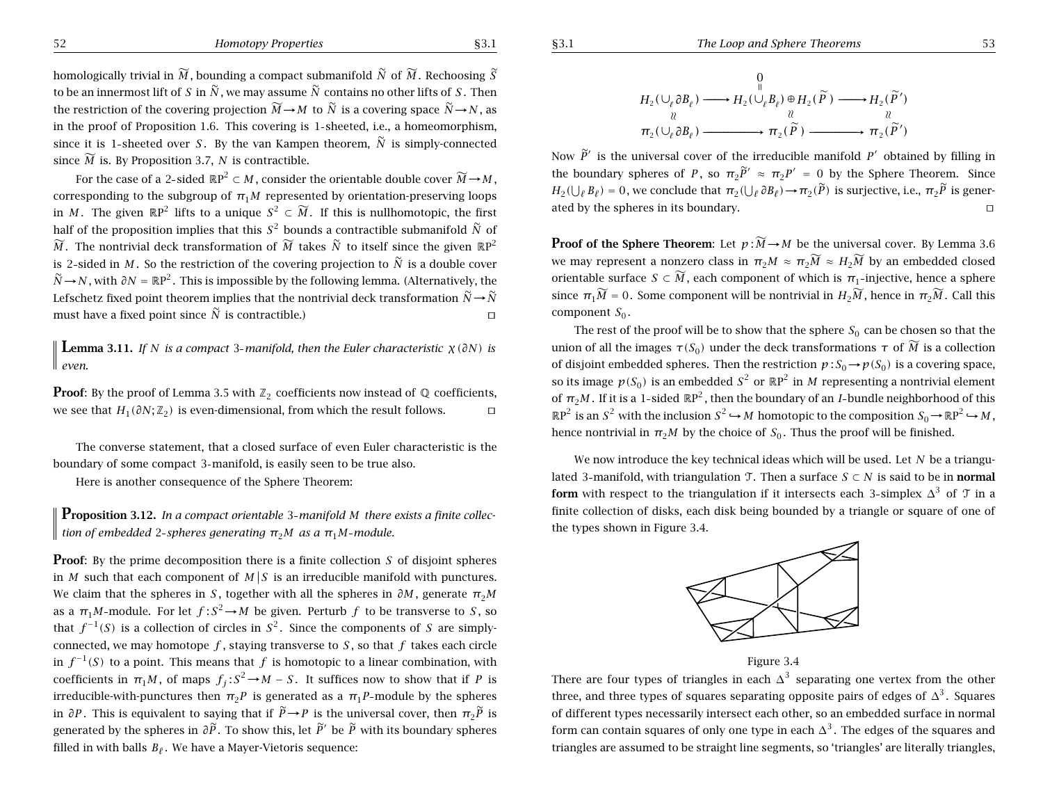homologically trivial in  $\widetilde{M}$  , bounding a compact submanifold  $\widetilde{N}$  of  $\widetilde{M}$  . Rechoosing  $\widetilde{S}$ to be an innermost lift of  $S$  in  $\widetilde{N}$  , we may assume  $\widetilde{N}$  contains no other lifts of  $S$  . Then the restriction of the covering projection  $\widetilde{M} \to M$  to  $\widetilde{N}$  is a covering space  $\widetilde{N} \to N$ , as in the proof of Proposition 1.6. This covering is 1 sheeted, i.e., <sup>a</sup> homeomorphism, since it is 1-sheeted over *S*. By the van Kampen theorem,  $\widetilde{N}$  is simply-connected since  $\widetilde{M}$  is. By Proposition 3.7,  $N$  is contractible.

For the case of a 2-sided  $\mathbb{R}P^2 \subset M$ , consider the orientable double cover  $\widetilde{M} \rightarrow M$ , corresponding to the subgroup of  $\pi_1 M$  represented by orientation-preserving loops in *M*. The given  $\mathbb{R}P^2$  lifts to a unique  $S^2 \subset \widetilde{M}$ . If this is nullhomotopic, the first half of the proposition implies that this  $S^2$  bounds a contractible submanifold  $\tilde{N}$  of  $\widetilde{M}$ . The nontrivial deck transformation of  $\widetilde{M}$  takes  $\widetilde{N}$  to itself since the given  $\mathbb{R} \mathrm{P}^2$ is 2-sided in  $M.$  So the restriction of the covering projection to  $\widetilde{N}$  is a double cover  $\widetilde{N}$ →*N*, with  $\partial N = \mathbb{R}P^2$ . This is impossible by the following lemma. (Alternatively, the Lefschetz fixed point theorem implies that the nontrivial deck transformation  $\widetilde{N}\!\rightarrow\!\widetilde{N}$ must have a fixed point since  $\widetilde{N}$  is contractible.) turns on the set of  $\Box$ 

**Lemma 3.11.** If N is a compact 3-manifold, then the Euler characteristic  $\chi(\partial N)$  is *even.*

**Proof**: By the proof of Lemma 3.5 with  $\mathbb{Z}_2$  coefficients now instead of  $\mathbb{Q}$  coefficients, we see that  $H_1(\partial N; \mathbb{Z}_2)$  is even-dimensional, from which the result follows.  $\Box$ 

The converse statement, that <sup>a</sup> closed surface of even Euler characteristic is the boundary of some compact 3 manifold, is easily seen to be true also.

Here is another consequence of the Sphere Theorem:

**Proposition 3.12.** In a compact orientable 3-manifold M there exists a finite collec*f* tion of embedded 2-spheres generating  $\pi_2 M$  as a  $\pi_1 M$ -module.

**Proof**: By the prime decomposition there is a finite collection *S* of disjoint spheres in *M* such that each component of  $M/S$  is an irreducible manifold with punctures. We claim that the spheres in *S*, together with all the spheres in  $\partial M$ , generate  $\pi_{2}M$ as a  $\pi_1 M$ -module. For let  $f : S^2 \to M$  be given. Perturb  $f$  to be transverse to *S*, so that  $f^{-1}(S)$  is a collection of circles in  $S^2$ . Since the components of *S* are simplyconnected, we may homotope  $f$ , staying transverse to  $S$ , so that  $f$  takes each circle in  $f^{-1}(S)$  to a point. This means that *f* is homotopic to a linear combination, with coefficients in  $\pi_1 M$ , of maps  $f_i : S^2 \to M - S$ . It suffices now to show that if *P* is irreducible-with-punctures then  $\pi_2 P$  is generated as a  $\pi_1 P$ -module by the spheres in ∂P . This is equivalent to saying that if  $\widetilde{P} \to P$  is the universal cover, then  $\pi_2 \widetilde{P}$  is generated by the spheres in  $\partial\widetilde{P}$ . To show this, let  $\widetilde{P}'$  be  $\widetilde{P}$  with its boundary spheres filled in with balls  $B_\ell$ . We have a Mayer-Vietoris sequence:

$$
H_2(\bigcup_{\ell} \partial B_{\ell}) \longrightarrow H_2(\bigcup_{\ell} B_{\ell}) \oplus H_2(\widetilde{P}) \longrightarrow H_2(\widetilde{P}')
$$
  

$$
\underset{\pi_2(\bigcup_{\ell} \partial B_{\ell}) \longrightarrow \longrightarrow \pi_2(\widetilde{P})}{\longrightarrow} \underset{\pi_2(\widetilde{P}) \longrightarrow \longrightarrow \pi_2(\widetilde{P}')}{\longrightarrow} \pi_2(\widetilde{P}')
$$

Now  $\widetilde{P}'$  is the universal cover of the irreducible manifold  $P'$  obtained by filling in the boundary spheres of *P*, so  $\pi_2 \widetilde{P}' \approx \pi_2 P' = 0$  by the Sphere Theorem. Since  $H_2(\bigcup_{\ell} B_{\ell}) = 0$ , we conclude that  $\pi_2(\bigcup_{\ell} \partial B_{\ell}) \to \pi_2(\widetilde{P})$  is surjective, i.e.,  $\pi_2 \widetilde{P}$  is generated by the spheres in its boundary.  $\Box$ 

**Proof** of the Sphere Theorem: Let  $p : \widetilde{M} \to M$  be the universal cover. By Lemma 3.6 we may represent a nonzero class in  $\pi_2 M \approx \pi_2 \widetilde{M} \approx H_2 \widetilde{M}$  by an embedded closed orientable surface  $S \subset \widetilde{M}$ , each component of which is  $\pi_1\text{-injective,}$  hence a sphere since  $\pi_1\widetilde{M} = 0.$  Some component will be nontrivial in  $H_2\widetilde{M}$ , hence in  $\pi_2\widetilde{M}$ . Call this component  $S_0$ .

The rest of the proof will be to show that the sphere  $S_0$  can be chosen so that the union of all the images  $\tau(S_0)$  under the deck transformations  $\tau$  of  $\widetilde{M}$  is a collection of disjoint embedded spheres. Then the restriction  $p : S_0 \to p(S_0)$  is a covering space, so its image  $p(S_0)$  is an embedded  $S^2$  or  $\mathbb{R}P^2$  in *M* representing a nontrivial element of  $\pi_2 M$ . If it is a 1-sided  $\mathbb{R}P^2$ , then the boundary of an *I*-bundle neighborhood of this  $\mathbb{R}P^2$  is an *S*<sup>2</sup> with the inclusion  $S^2 \hookrightarrow M$  homotopic to the composition  $S_0 \to \mathbb{R}P^2 \hookrightarrow M$ , hence nontrivial in  $\pi_2 M$  by the choice of  $S_0$ . Thus the proof will be finished.

We now introduce the key technical ideas which will be used. Let *N* be <sup>a</sup> triangulated 3-manifold, with triangulation  $\mathcal{T}$ . Then a surface *S* ⊂ *N* is said to be in **normal form** with respect to the triangulation if it intersects each 3-simplex  $\Delta^3$  of  $\mathcal{T}$  in a finite collection of disks, each disk being bounded by <sup>a</sup> triangle or square of one of the types shown in Figure 3.4.





There are four types of triangles in each  $\Delta^3$  separating one vertex from the other three, and three types of squares separating opposite pairs of edges of  $\Delta^3$ . Squares of different types necessarily intersect each other, so an embedded surface in normal form can contain squares of only one type in each  $\Delta^3$ . The edges of the squares and triangles are assumed to be straight line segments, so 'triangles' are literally triangles,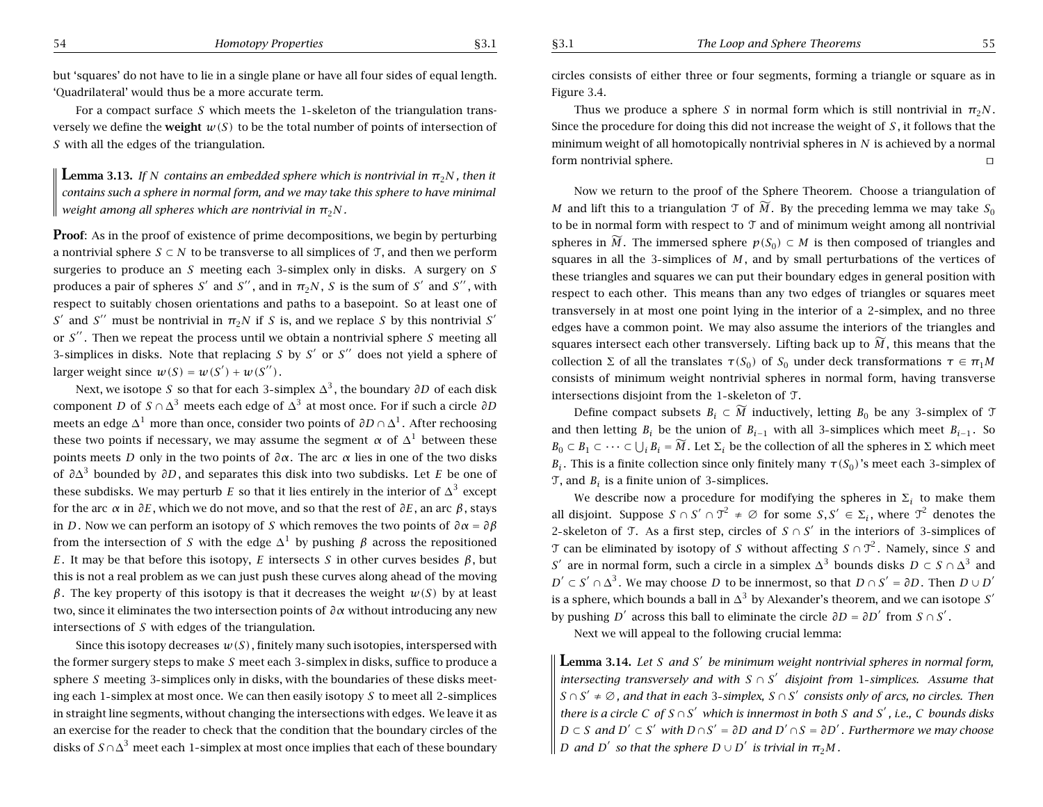but 'squares' do not have to lie in <sup>a</sup> single plane or have all four sides of equal length. 'Quadrilateral' would thus be <sup>a</sup> more accurate term.

For a compact surface S which meets the 1-skeleton of the triangulation transversely we define the **weight**  $w(S)$  to be the total number of points of intersection of *S* with all the edges of the triangulation.

 ${\bf L}$ emma 3.13. If  $N$  contains an embedded sphere which is nontrivial in  $\pi_2 N$ , then it contains such a sphere in normal form, and we may take this sphere to have minimal *weight among all spheres which are nontrivial in <sup>π</sup>*2*N .*

**Proof:** As in the proof of existence of prime decompositions, we begin by perturbing a nontrivial sphere  $S \subset N$  to be transverse to all simplices of T, and then we perform surgeries to produce an *S* meeting each 3 simplex only in disks. A surgery on *S* produces a pair of spheres  $S'$  and  $S''$  , and in  $\pi_2 N$  ,  $S$  is the sum of  $S'$  and  $S''$  , with respect to suitably chosen orientations and paths to <sup>a</sup> basepoint. So at least one of *S*<sup> $\prime$ </sup> and *S*<sup> $\prime$ </sup> must be nontrivial in  $π_2N$  if *S* is, and we replace *S* by this nontrivial *S*<sup> $\prime$ </sup> or S<sup>"</sup>. Then we repeat the process until we obtain a nontrivial sphere S meeting all 3-simplices in disks. Note that replacing S by S' or S'' does not yield a sphere of larger weight since  $w(S) = w(S') + w(S'')$ .

Next, we isotope *S* so that for each 3-simplex ∆<sup>3</sup>, the boundary ∂D of each disk  $\mathop{\mathrm{component}}\nolimits D$  of  $S\cap \Delta^3$  meets each edge of  $\Delta^3$  at most once. For if such a circle  $\partial D$ meets an edge  $\Delta^1$  more than once, consider two points of  $\partial D \cap \Delta^1$  . After rechoosing these two points if necessary, we may assume the segment  $\alpha$  of  $\Delta^1$  between these points meets *D* only in the two points of *∂α*. The arc *<sup>α</sup>* lies in one of the two disks of *<sup>∂</sup>*∆<sup>3</sup> bounded by *∂D*, and separates this disk into two subdisks. Let *E* be one of these subdisks. We may perturb  $E$  so that it lies entirely in the interior of  $\Delta^3$  except for the arc *<sup>α</sup>* in *∂E*, which we do not move, and so that the rest of *∂E*, an arc *β*, stays in *D*. Now we can perform an isotopy of *S* which removes the two points of *∂α* = *∂β* from the intersection of *S* with the edge  $Δ^1$  by pushing *β* across the repositioned *E*. It may be that before this isotopy, *E* intersects *S* in other curves besides  $β$ , but this is not <sup>a</sup> real problem as we can just push these curves along ahead of the moving *β*. The key property of this isotopy is that it decreases the weight *w(S)* by at least two, since it eliminates the two intersection points of *∂α* without introducing any new intersections of *S* with edges of the triangulation.

Since this isotopy decreases  $w(S)$ , finitely many such isotopies, interspersed with the former surgery steps to make *S* meet each 3 simplex in disks, suffice to produce <sup>a</sup> sphere *S* meeting 3 simplices only in disks, with the boundaries of these disks meeting each 1 simplex at most once. We can then easily isotopy *S* to meet all 2 simplices in straight line segments, without changing the intersections with edges. We leave it as an exercise for the reader to check that the condition that the boundary circles of the disks of  $\mathit{S} \cap \Delta^3$  meet each  $1$ -simplex at most once implies that each of these boundary

circles consists of either three or four segments, forming <sup>a</sup> triangle or square as in Figure 3.4.

Thus we produce <sup>a</sup> sphere *S* in normal form which is still nontrivial in *<sup>π</sup>*2*N* . Since the procedure for doing this did not increase the weight of *S* , it follows that the minimum weight of all homotopically nontrivial spheres in *N* is achieved by <sup>a</sup> normal form nontrivial sphere.  $\Box$ 

Now we return to the proof of the Sphere Theorem. Choose <sup>a</sup> triangulation of *M* and lift this to a triangulation  $\mathfrak T$  of  $\widetilde{M}$ . By the preceding lemma we may take  $S_0$ to be in normal form with respect to T and of minimum weight among all nontrivial spheres in  $\widetilde{M}$ . The immersed sphere  $p(S_0) \subset M$  is then composed of triangles and squares in all the 3 simplices of *M* , and by small perturbations of the vertices of these triangles and squares we can put their boundary edges in general position with respect to each other. This means than any two edges of triangles or squares meet transversely in at most one point lying in the interior of <sup>a</sup> 2 simplex, and no three edges have <sup>a</sup> common point. We may also assume the interiors of the triangles and squares intersect each other transversely. Lifting back up to  $\widetilde{M}$  , this means that the collection Σ of all the translates  $\tau(S_0)$  of  $S_0$  under deck transformations  $\tau \in \pi_1 M$ consists of minimum weight nontrivial spheres in normal form, having transverse intersections disjoint from the 1 skeleton of T.

Define compact subsets  $B_i \subset \widetilde{M}$  inductively, letting  $B_0$  be any 3-simplex of  ${\mathfrak T}$ and then letting  $B_i$  be the union of  $B_{i-1}$  with all 3-simplices which meet  $B_{i-1}$ . So  $B_0 \subset B_1 \subset \cdots \subset \bigcup_i B_i = \widetilde{M}$ . Let  $\Sigma_i$  be the collection of all the spheres in  $\Sigma$  which meet *B<sub>i</sub>*. This is a finite collection since only finitely many  $\tau(S_0)$ 's meet each 3-simplex of  $\mathfrak T$ , and  $B_i$  is a finite union of 3-simplices.

We describe now a procedure for modifying the spheres in  $\Sigma_i$  to make them all disjoint. Suppose  $S \cap S' \cap \mathfrak{T}^2 \neq \varnothing$  for some  $S, S' \in \Sigma_i$ , where  $\mathfrak{T}^2$  denotes the 2-skeleton of T. As a first step, circles of  $S \cap S'$  in the interiors of 3-simplices of T can be eliminated by isotopy of S without affecting  $S \cap \mathcal{T}^2$ . Namely, since S and *S*<sup> $\prime$ </sup> are in normal form, such a circle in a simplex  $\Delta$ <sup>3</sup> bounds disks *D* ⊂ *S* ∩  $\Delta$ <sup>3</sup> and *D'* ⊂ *S'* ∩  $\Delta$ <sup>3</sup>. We may choose *D* to be innermost, so that *D* ∩ *S'* = ∂*D*. Then *D* ∪ *D'* is a sphere, which bounds a ball in  $\Delta^3$  by Alexander's theorem, and we can isotope  $S'$ by pushing  $D'$  across this ball to eliminate the circle  $\partial D = \partial D'$  from  $S \cap S'$ .

Next we will appeal to the following crucial lemma:

 ${\bf L}$ emma 3.14. Let S and S' be minimum weight nontrivial spheres in normal form, *intersecting transversely and with S* ∩ *<sup>S</sup>*<sup>0</sup> *disjoint from* <sup>1</sup> *simplices. Assume that*  $S\cap S' \neq \varnothing$  , and that in each 3-simplex,  $S\cap S'$  consists only of arcs, no circles. Then there is a circle C of S  $\cap$  S' which is innermost in both S and S' , i.e., C bounds disks  $D \subset S$  and  $D' \subset S'$  with  $D \cap S' = \partial D$  and  $D' \cap S = \partial D'$  . Furthermore we may choose  $D$  *and*  $D'$  *so that the sphere*  $D \cup D'$  *is trivial in*  $\pi_2 M$ *.*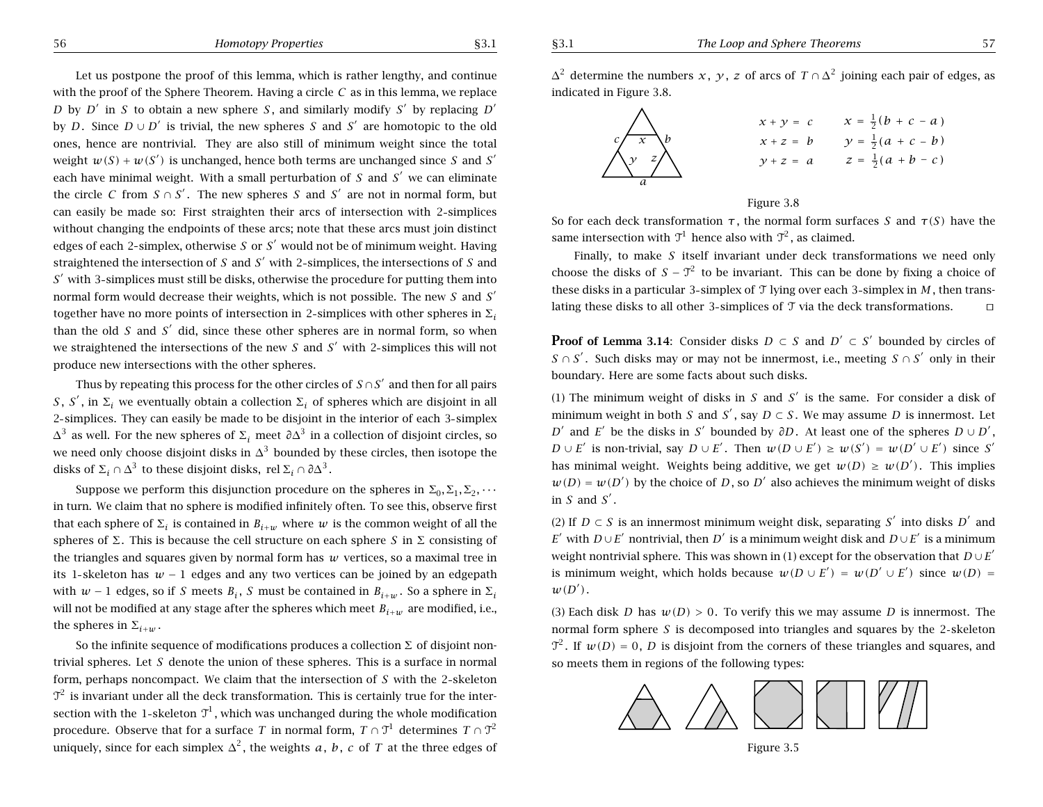56 *Homotopy Properties* §3.1

*x* <sup>+</sup> *y* <sup>=</sup> *c*

*y* <sup>+</sup> *z* <sup>=</sup> *a*

 $x + z = b$   $y = \frac{1}{2}(a + c - b)$ 

 $x = \frac{1}{2}(b + c - a)$ 

 $z = \frac{1}{2}(a + b - c)$ 

Let us postpone the proof of this lemma, which is rather lengthy, and continue with the proof of the Sphere Theorem. Having <sup>a</sup> circle *C* as in this lemma, we replace  $\Delta^2$  determine the numbers  $x,~y,~z$  of arcs of  $T \cap \Delta^2$  joining each pair of edges, as indicated in Figure 3.8. *x y <sup>z</sup> a*  $c \sqrt{x}$  b So for each deck transformation *<sup>τ</sup>* , the normal form surfaces *S* and *τ(S)* have the same intersection with  $\mathfrak{I}^1$  hence also with  $\mathfrak{I}^2$ , as claimed.

Finally, to make *S* itself invariant under deck transformations we need only choose the disks of  $S - T^2$  to be invariant. This can be done by fixing a choice of these disks in <sup>a</sup> particular 3 simplex of T lying over each 3 simplex in *M* , then translating these disks to all other 3-simplices of  $\mathfrak T$  via the deck transformations.  $\Box$ 

Figure 3.8

**Proof of Lemma 3.14:** Consider disks  $D \subset S$  and  $D' \subset S'$  bounded by circles of *S* ∩ *S'* . Such disks may or may not be innermost, i.e., meeting *S* ∩ *S'* only in their boundary. Here are some facts about such disks.

(1) The minimum weight of disks in  $S$  and  $S'$  is the same. For consider a disk of minimum weight in both S and S', say  $D \subset S$ . We may assume D is innermost. Let *D*<sup> $\prime$ </sup> and *E*<sup> $\prime$ </sup> be the disks in *S*<sup> $\prime$ </sup> bounded by *∂D*. At least one of the spheres  $D \cup D'$ ,  $D \cup E'$  is non-trivial, say  $D \cup E'$ . Then  $w(D \cup E') \geq w(S') = w(D' \cup E')$  since S<sup>o</sup> has minimal weight. Weights being additive, we get  $w(D) \geq w(D')$ . This implies  $w(D) = w(D')$  by the choice of D, so D' also achieves the minimum weight of disks in  $S$  and  $S'$ .

(2) If  $D \subset S$  is an innermost minimum weight disk, separating S<sup>'</sup> into disks D<sup>'</sup> and *E* $^{\prime}$  with *D*∪*E* $^{\prime}$  nontrivial, then *D* $^{\prime}$  is a minimum weight disk and *D*∪*E* $^{\prime}$  is a minimum weight nontrivial sphere. This was shown in (1) except for the observation that  $D\cup E^{'}$ is minimum weight, which holds because  $w(D \cup E') = w(D' \cup E')$  since  $w(D) =$  $w(D^{\prime})$  .

(3) Each disk D has  $w(D) > 0$ . To verify this we may assume D is innermost. The normal form sphere S is decomposed into triangles and squares by the 2-skeleton  $\mathfrak{T}^2$ . If  $w(D) = 0$ , D is disjoint from the corners of these triangles and squares, and so meets them in regions of the following types:



Figure 3.5

*D* by *D'* in *S* to obtain a new sphere *S*, and similarly modify *S'* by replacing *D'* by *D*. Since  $D \cup D'$  is trivial, the new spheres *S* and *S'* are homotopic to the old ones, hence are nontrivial. They are also still of minimum weight since the total weight  $w(S) + w(S')$  is unchanged, hence both terms are unchanged since S and S' each have minimal weight. With a small perturbation of  $S$  and  $S'$  we can eliminate the circle C from  $S \cap S'$ . The new spheres S and S' are not in normal form, but can easily be made so: First straighten their arcs of intersection with 2 simplices without changing the endpoints of these arcs; note that these arcs must join distinct edges of each 2-simplex, otherwise S or S' would not be of minimum weight. Having straightened the intersection of *S* and *<sup>S</sup>*<sup>0</sup> with <sup>2</sup> simplices, the intersections of *S* and  $S<sup>′</sup>$  with 3-simplices must still be disks, otherwise the procedure for putting them into normal form would decrease their weights, which is not possible. The new *S* and *S*0 together have no more points of intersection in 2-simplices with other spheres in  $\Sigma_i$ than the old  $S$  and  $S'$  did, since these other spheres are in normal form, so when we straightened the intersections of the new  $S$  and  $S'$  with 2-simplices this will not produce new intersections with the other spheres.

Thus by repeating this process for the other circles of  $S \cap S'$  and then for all pairs *S*, *S'*, in  $\Sigma_i$  we eventually obtain a collection  $\Sigma_i$  of spheres which are disjoint in all 2 simplices. They can easily be made to be disjoint in the interior of each 3 simplex <sup>∆</sup><sup>3</sup> as well. For the new spheres of <sup>Σ</sup>*<sup>i</sup>* meet *<sup>∂</sup>*∆<sup>3</sup> in <sup>a</sup> collection of disjoint circles, so we need only choose disjoint disks in  $\Delta^3$  bounded by these circles, then isotope the disks of  $\Sigma_i \cap \Delta^3$  to these disjoint disks, rel  $\Sigma_i \cap \partial \Delta^3$ .

Suppose we perform this disjunction procedure on the spheres in  $\Sigma_0, \Sigma_1, \Sigma_2, \cdots$ in turn. We claim that no sphere is modified infinitely often. To see this, observe first that each sphere of  $\Sigma_i$  is contained in  $B_{i+w}$  where  $w$  is the common weight of all the spheres of  $\Sigma$ . This is because the cell structure on each sphere S in  $\Sigma$  consisting of the triangles and squares given by normal form has *<sup>w</sup>* vertices, so <sup>a</sup> maximal tree in its 1 skeleton has *w* − 1 edges and any two vertices can be joined by an edgepath with  $w-1$  edges, so if S meets  $B_i$ , S must be contained in  $B_{i+w}$ . So a sphere in  $\Sigma_i$ will not be modified at any stage after the spheres which meet *Bi*<sup>+</sup>*<sup>w</sup>* are modified, i.e., the spheres in  $\Sigma_{i+w}$  .

So the infinite sequence of modifications produces a collection  $\Sigma$  of disjoint nontrivial spheres. Let *S* denote the union of these spheres. This is <sup>a</sup> surface in normal form, perhaps noncompact. We claim that the intersection of S with the 2-skeleton  $\mathcal{T}^2$  is invariant under all the deck transformation. This is certainly true for the intersection with the 1-skeleton  $\mathfrak{I}^1$ , which was unchanged during the whole modification procedure. Observe that for a surface  $T$  in normal form,  $T\cap\mathfrak{T}^1$  determines  $T\cap\mathfrak{T}^2$ uniquely, since for each simplex  $\Delta^2$ , the weights a, b, c of T at the three edges of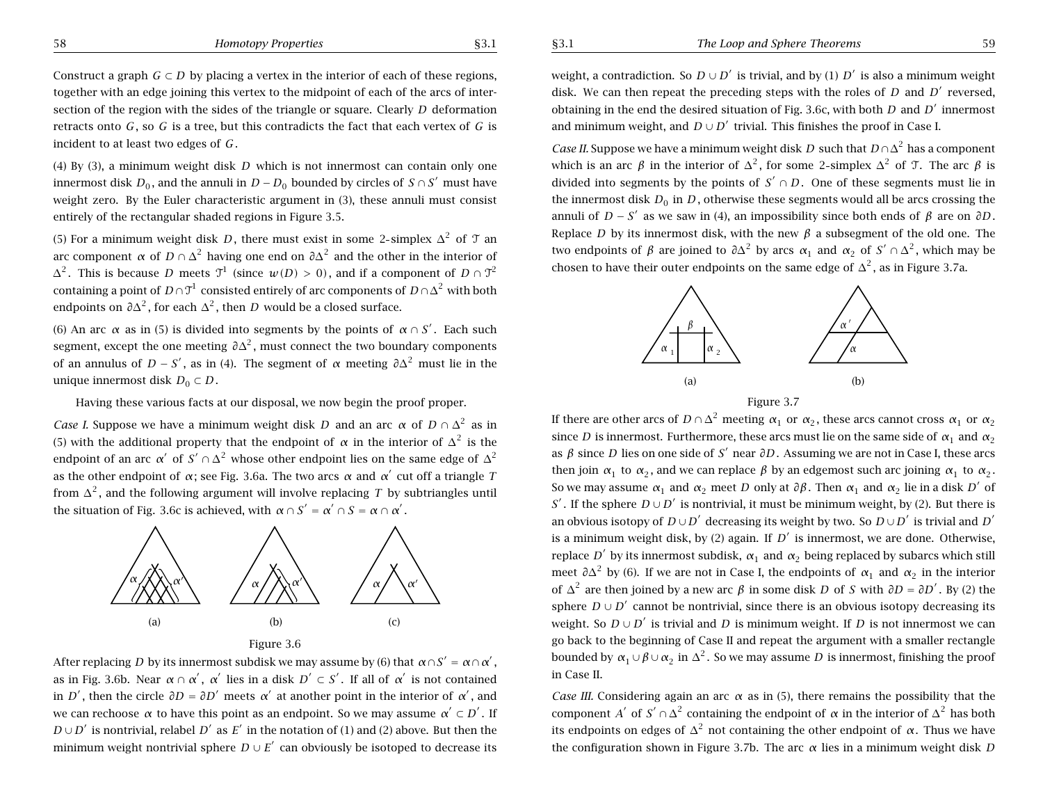Construct a graph *G*  $\subset$  *D* by placing a vertex in the interior of each of these regions, together with an edge joining this vertex to the midpoint of each of the arcs of intersection of the region with the sides of the triangle or square. Clearly *D* deformation retracts onto *G*, so *G* is <sup>a</sup> tree, but this contradicts the fact that each vertex of *G* is incident to at least two edges of *G*.

(4) By (3), <sup>a</sup> minimum weight disk *D* which is not innermost can contain only one innermost disk *D*<sub>0</sub>, and the annuli in *D* − *D*<sub>0</sub> bounded by circles of *S* ∩ *S*<sup> $\prime$ </sup> must have weight zero. By the Euler characteristic argument in (3), these annuli must consist entirely of the rectangular shaded regions in Figure 3.5.

(5) For a minimum weight disk *D*, there must exist in some 2-simplex  $\Delta^2$  of  $\mathcal T$  an arc component *α* of  $D \cap \Delta^2$  having one end on  $\partial \Delta^2$  and the other in the interior of  $\Delta^2$ . This is because *D* meets  $\mathcal{T}^1$  (since  $w(D) > 0$ ), and if a component of  $D \cap \mathcal{T}^2$ containing a point of *D*∩ $T^1$  consisted entirely of arc components of *D*∩∆<sup>2</sup> with both endpoints on  $\partial \Delta^2$ , for each  $\Delta^2$ , then *D* would be a closed surface.

(6) An arc  $\alpha$  as in (5) is divided into segments by the points of  $\alpha \cap S'$ . Each such segment, except the one meeting  $\partial \Delta^2$ , must connect the two boundary components of an annulus of *D* − *S'*, as in (4). The segment of  $\alpha$  meeting  $\partial \Delta^2$  must lie in the unique innermost disk  $D_0 \subset D$ .

Having these various facts at our disposal, we now begin the proof proper.

*Case I.* Suppose we have a minimum weight disk *D* and an arc  $\alpha$  of  $D \cap \Delta^2$  as in (5) with the additional property that the endpoint of  $\alpha$  in the interior of  $\Delta^2$  is the endpoint of an arc *α*<sup> $\prime$ </sup> of  $S' \cap \Delta^2$  whose other endpoint lies on the same edge of  $\Delta^2$ as the other endpoint of  $\alpha$ ; see Fig. 3.6a. The two arcs  $\alpha$  and  $\alpha'$  cut off a triangle *T* from  $\Delta^2$ , and the following argument will involve replacing *T* by subtriangles until the situation of Fig. 3.6c is achieved, with  $α ∩ S' = α' ∩ S = α ∩ α'$ .



Figure 3.6

After replacing *D* by its innermost subdisk we may assume by (6) that  $\alpha \cap S' = \alpha \cap \alpha'$ , as in Fig. 3.6b. Near *α* ∩ *α'*, *α'* lies in a disk  $D' \subset S'$ . If all of *α'* is not contained in *D'*, then the circle  $\partial D = \partial D'$  meets  $\alpha'$  at another point in the interior of  $\alpha'$ , and we can rechoose  $\alpha$  to have this point as an endpoint. So we may assume  $\alpha' \subset D'$ . If  $D \cup D'$  is nontrivial, relabel  $D'$  as  $E'$  in the notation of (1) and (2) above. But then the minimum weight nontrivial sphere  $D \cup E'$  can obviously be isotoped to decrease its weight, a contradiction. So  $D \cup D'$  is trivial, and by (1)  $D'$  is also a minimum weight disk. We can then repeat the preceding steps with the roles of  $D$  and  $D'$  reversed, obtaining in the end the desired situation of Fig. 3.6c, with both  $D$  and  $D'$  innermost and minimum weight, and  $D \cup D'$  trivial. This finishes the proof in Case I.

*Case II.* Suppose we have a minimum weight disk *D* such that  $D \cap \Delta^2$  has a component which is an arc *β* in the interior of  $\Delta^2$ , for some 2-simplex  $\Delta^2$  of *T*. The arc *β* is divided into segments by the points of  $S' \cap D$ . One of these segments must lie in the innermost disk  $D_0$  in  $D$ , otherwise these segments would all be arcs crossing the annuli of *D* − *S'* as we saw in (4), an impossibility since both ends of  $\beta$  are on  $\partial D$ . Replace *D* by its innermost disk, with the new *β* <sup>a</sup> subsegment of the old one. The two endpoints of *β* are joined to  $\partial \Delta^2$  by arcs  $\alpha_1$  and  $\alpha_2$  of  $S' \cap \Delta^2$ , which may be chosen to have their outer endpoints on the same edge of  $\Delta^2$ , as in Figure 3.7a.



If there are other arcs of *D* ∩  $\Delta$ <sup>2</sup> meeting *α*<sub>1</sub> or *α*<sub>2</sub>, these arcs cannot cross *α*<sub>1</sub> or *α*<sub>2</sub> since *D* is innermost. Furthermore, these arcs must lie on the same side of  $\alpha_1$  and  $\alpha_2$ as  $\beta$  since *D* lies on one side of *S'* near  $\partial D$ . Assuming we are not in Case I, these arcs then join  $\alpha_1$  to  $\alpha_2$ , and we can replace  $\beta$  by an edgemost such arc joining  $\alpha_1$  to  $\alpha_2$ . So we may assume  $\alpha_1$  and  $\alpha_2$  meet *D* only at  $\partial \beta$ . Then  $\alpha_1$  and  $\alpha_2$  lie in a disk *D'* of *S*<sup> $\prime$ </sup>. If the sphere *D* ∪ *D*<sup> $\prime$ </sup> is nontrivial, it must be minimum weight, by (2). But there is an obvious isotopy of  $D \cup D'$  decreasing its weight by two. So  $D \cup D'$  is trivial and  $D'$ is a minimum weight disk, by (2) again. If  $D'$  is innermost, we are done. Otherwise, replace *D'* by its innermost subdisk,  $α_1$  and  $α_2$  being replaced by subarcs which still meet  $\partial \Delta^2$  by (6). If we are not in Case I, the endpoints of  $\alpha_1$  and  $\alpha_2$  in the interior of  $\Delta^2$  are then joined by a new arc  $\beta$  in some disk *D* of *S* with  $\partial D = \partial D'$ . By (2) the sphere  $D \cup D'$  cannot be nontrivial, since there is an obvious isotopy decreasing its weight. So  $D \cup D'$  is trivial and *D* is minimum weight. If *D* is not innermost we can go back to the beginning of Case II and repeat the argument with <sup>a</sup> smaller rectangle bounded by  $\alpha_1 \cup \beta \cup \alpha_2$  in  $\Delta^2$ . So we may assume *D* is innermost, finishing the proof in Case II.

*Case III.* Considering again an arc  $\alpha$  as in (5), there remains the possibility that the component *A*<sup> $\prime$ </sup> of *S*<sup> $\prime$ </sup>  $\cap$   $\Delta$ <sup>2</sup> containing the endpoint of  $\alpha$  in the interior of  $\Delta$ <sup>2</sup> has both its endpoints on edges of  $Δ<sup>2</sup>$  not containing the other endpoint of *α*. Thus we have the configuration shown in Figure 3.7b. The arc *<sup>α</sup>* lies in <sup>a</sup> minimum weight disk *D*